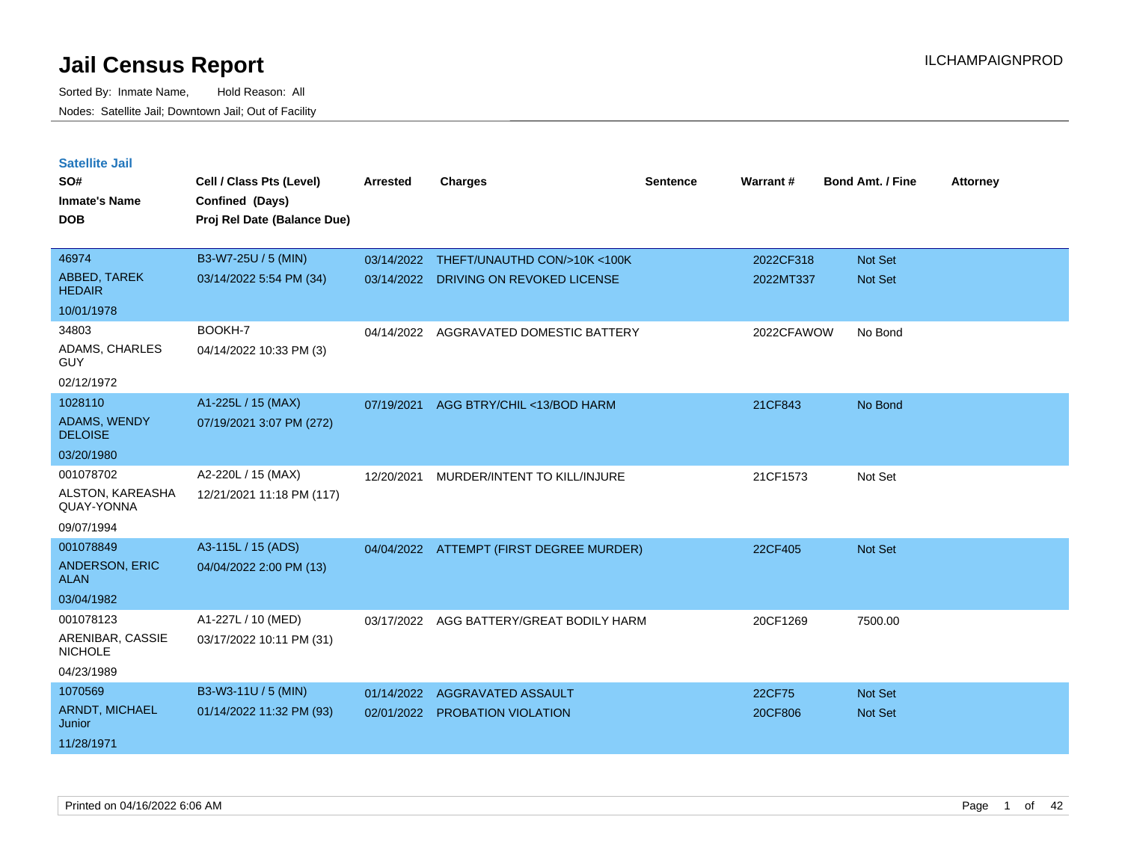| <b>Satellite Jail</b>                 |                             |                 |                                          |          |            |                         |                 |
|---------------------------------------|-----------------------------|-----------------|------------------------------------------|----------|------------|-------------------------|-----------------|
| SO#                                   | Cell / Class Pts (Level)    | <b>Arrested</b> | <b>Charges</b>                           | Sentence | Warrant#   | <b>Bond Amt. / Fine</b> | <b>Attorney</b> |
| <b>Inmate's Name</b>                  | Confined (Days)             |                 |                                          |          |            |                         |                 |
| <b>DOB</b>                            | Proj Rel Date (Balance Due) |                 |                                          |          |            |                         |                 |
|                                       |                             |                 |                                          |          |            |                         |                 |
| 46974                                 | B3-W7-25U / 5 (MIN)         | 03/14/2022      | THEFT/UNAUTHD CON/>10K <100K             |          | 2022CF318  | <b>Not Set</b>          |                 |
| ABBED, TAREK<br><b>HEDAIR</b>         | 03/14/2022 5:54 PM (34)     | 03/14/2022      | DRIVING ON REVOKED LICENSE               |          | 2022MT337  | <b>Not Set</b>          |                 |
| 10/01/1978                            |                             |                 |                                          |          |            |                         |                 |
| 34803                                 | BOOKH-7                     | 04/14/2022      | AGGRAVATED DOMESTIC BATTERY              |          | 2022CFAWOW | No Bond                 |                 |
| ADAMS, CHARLES<br>GUY                 | 04/14/2022 10:33 PM (3)     |                 |                                          |          |            |                         |                 |
| 02/12/1972                            |                             |                 |                                          |          |            |                         |                 |
| 1028110                               | A1-225L / 15 (MAX)          | 07/19/2021      | AGG BTRY/CHIL <13/BOD HARM               |          | 21CF843    | No Bond                 |                 |
| <b>ADAMS, WENDY</b><br><b>DELOISE</b> | 07/19/2021 3:07 PM (272)    |                 |                                          |          |            |                         |                 |
| 03/20/1980                            |                             |                 |                                          |          |            |                         |                 |
| 001078702                             | A2-220L / 15 (MAX)          | 12/20/2021      | MURDER/INTENT TO KILL/INJURE             |          | 21CF1573   | Not Set                 |                 |
| ALSTON, KAREASHA<br>QUAY-YONNA        | 12/21/2021 11:18 PM (117)   |                 |                                          |          |            |                         |                 |
| 09/07/1994                            |                             |                 |                                          |          |            |                         |                 |
| 001078849                             | A3-115L / 15 (ADS)          |                 | 04/04/2022 ATTEMPT (FIRST DEGREE MURDER) |          | 22CF405    | <b>Not Set</b>          |                 |
| ANDERSON, ERIC<br><b>ALAN</b>         | 04/04/2022 2:00 PM (13)     |                 |                                          |          |            |                         |                 |
| 03/04/1982                            |                             |                 |                                          |          |            |                         |                 |
| 001078123                             | A1-227L / 10 (MED)          | 03/17/2022      | AGG BATTERY/GREAT BODILY HARM            |          | 20CF1269   | 7500.00                 |                 |
| ARENIBAR, CASSIE<br><b>NICHOLE</b>    | 03/17/2022 10:11 PM (31)    |                 |                                          |          |            |                         |                 |
| 04/23/1989                            |                             |                 |                                          |          |            |                         |                 |
| 1070569                               | B3-W3-11U / 5 (MIN)         | 01/14/2022      | <b>AGGRAVATED ASSAULT</b>                |          | 22CF75     | <b>Not Set</b>          |                 |
| ARNDT, MICHAEL<br>Junior              | 01/14/2022 11:32 PM (93)    | 02/01/2022      | <b>PROBATION VIOLATION</b>               |          | 20CF806    | <b>Not Set</b>          |                 |
| 11/28/1971                            |                             |                 |                                          |          |            |                         |                 |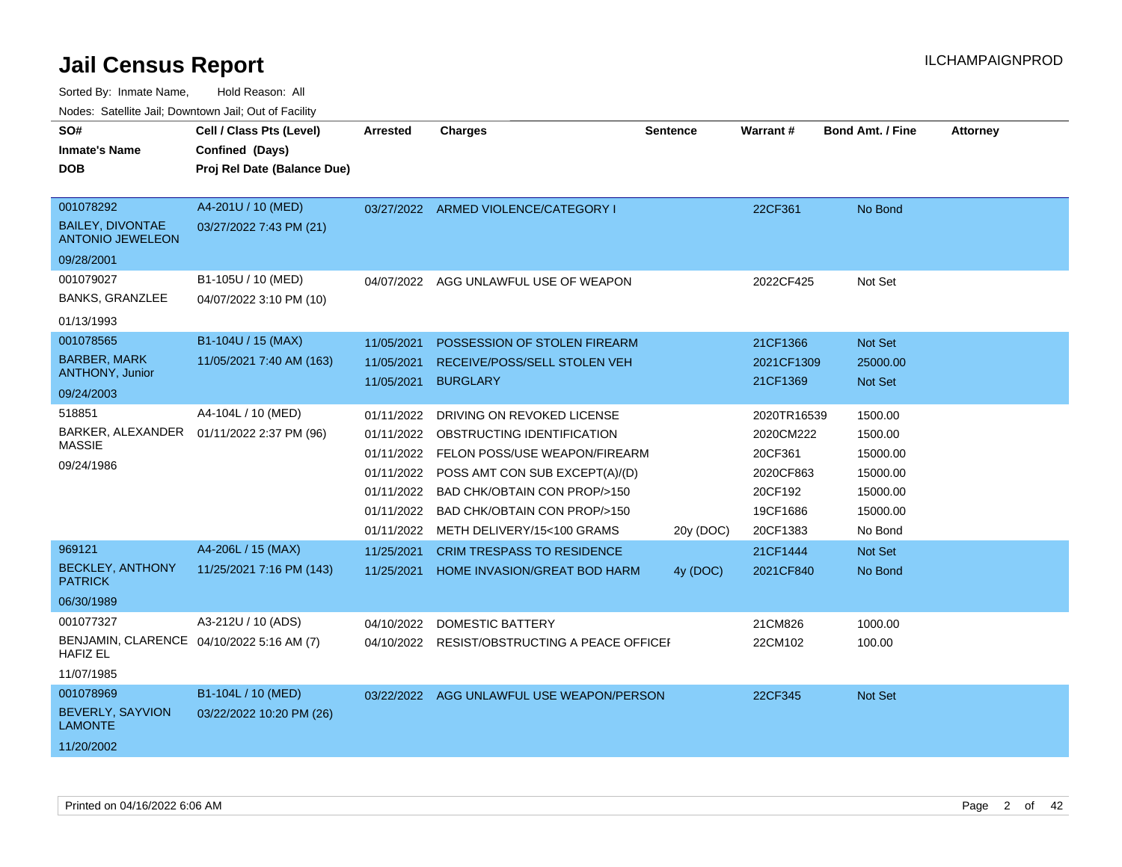Sorted By: Inmate Name, Hold Reason: All

Nodes: Satellite Jail; Downtown Jail; Out of Facility

| SO#                                                          | Cell / Class Pts (Level)    | <b>Arrested</b> | <b>Charges</b>                               | <b>Sentence</b> | <b>Warrant#</b> | <b>Bond Amt. / Fine</b> | <b>Attorney</b> |
|--------------------------------------------------------------|-----------------------------|-----------------|----------------------------------------------|-----------------|-----------------|-------------------------|-----------------|
| <b>Inmate's Name</b>                                         | Confined (Days)             |                 |                                              |                 |                 |                         |                 |
| <b>DOB</b>                                                   | Proj Rel Date (Balance Due) |                 |                                              |                 |                 |                         |                 |
|                                                              |                             |                 |                                              |                 |                 |                         |                 |
| 001078292                                                    | A4-201U / 10 (MED)          |                 | 03/27/2022 ARMED VIOLENCE/CATEGORY I         |                 | 22CF361         | No Bond                 |                 |
| <b>BAILEY, DIVONTAE</b><br><b>ANTONIO JEWELEON</b>           | 03/27/2022 7:43 PM (21)     |                 |                                              |                 |                 |                         |                 |
| 09/28/2001                                                   |                             |                 |                                              |                 |                 |                         |                 |
| 001079027                                                    | B1-105U / 10 (MED)          | 04/07/2022      | AGG UNLAWFUL USE OF WEAPON                   |                 | 2022CF425       | Not Set                 |                 |
| <b>BANKS, GRANZLEE</b>                                       | 04/07/2022 3:10 PM (10)     |                 |                                              |                 |                 |                         |                 |
| 01/13/1993                                                   |                             |                 |                                              |                 |                 |                         |                 |
| 001078565                                                    | B1-104U / 15 (MAX)          | 11/05/2021      | POSSESSION OF STOLEN FIREARM                 |                 | 21CF1366        | Not Set                 |                 |
| <b>BARBER, MARK</b>                                          | 11/05/2021 7:40 AM (163)    | 11/05/2021      | RECEIVE/POSS/SELL STOLEN VEH                 |                 | 2021CF1309      | 25000.00                |                 |
| ANTHONY, Junior                                              |                             | 11/05/2021      | <b>BURGLARY</b>                              |                 | 21CF1369        | Not Set                 |                 |
| 09/24/2003                                                   |                             |                 |                                              |                 |                 |                         |                 |
| 518851                                                       | A4-104L / 10 (MED)          | 01/11/2022      | DRIVING ON REVOKED LICENSE                   |                 | 2020TR16539     | 1500.00                 |                 |
| BARKER, ALEXANDER<br><b>MASSIE</b>                           | 01/11/2022 2:37 PM (96)     |                 | 01/11/2022 OBSTRUCTING IDENTIFICATION        |                 | 2020CM222       | 1500.00                 |                 |
| 09/24/1986                                                   |                             | 01/11/2022      | <b>FELON POSS/USE WEAPON/FIREARM</b>         |                 | 20CF361         | 15000.00                |                 |
|                                                              |                             | 01/11/2022      | POSS AMT CON SUB EXCEPT(A)/(D)               |                 | 2020CF863       | 15000.00                |                 |
|                                                              |                             | 01/11/2022      | BAD CHK/OBTAIN CON PROP/>150                 |                 | 20CF192         | 15000.00                |                 |
|                                                              |                             | 01/11/2022      | BAD CHK/OBTAIN CON PROP/>150                 |                 | 19CF1686        | 15000.00                |                 |
|                                                              |                             | 01/11/2022      | METH DELIVERY/15<100 GRAMS                   | 20y (DOC)       | 20CF1383        | No Bond                 |                 |
| 969121                                                       | A4-206L / 15 (MAX)          | 11/25/2021      | <b>CRIM TRESPASS TO RESIDENCE</b>            |                 | 21CF1444        | Not Set                 |                 |
| <b>BECKLEY, ANTHONY</b><br><b>PATRICK</b>                    | 11/25/2021 7:16 PM (143)    | 11/25/2021      | <b>HOME INVASION/GREAT BOD HARM</b>          | 4y (DOC)        | 2021CF840       | No Bond                 |                 |
| 06/30/1989                                                   |                             |                 |                                              |                 |                 |                         |                 |
| 001077327                                                    | A3-212U / 10 (ADS)          | 04/10/2022      | DOMESTIC BATTERY                             |                 | 21CM826         | 1000.00                 |                 |
| BENJAMIN, CLARENCE 04/10/2022 5:16 AM (7)<br><b>HAFIZ EL</b> |                             |                 | 04/10/2022 RESIST/OBSTRUCTING A PEACE OFFICE |                 | 22CM102         | 100.00                  |                 |
| 11/07/1985                                                   |                             |                 |                                              |                 |                 |                         |                 |
| 001078969                                                    | B1-104L / 10 (MED)          |                 | 03/22/2022 AGG UNLAWFUL USE WEAPON/PERSON    |                 | 22CF345         | Not Set                 |                 |
| <b>BEVERLY, SAYVION</b><br><b>LAMONTE</b>                    | 03/22/2022 10:20 PM (26)    |                 |                                              |                 |                 |                         |                 |
| 11/20/2002                                                   |                             |                 |                                              |                 |                 |                         |                 |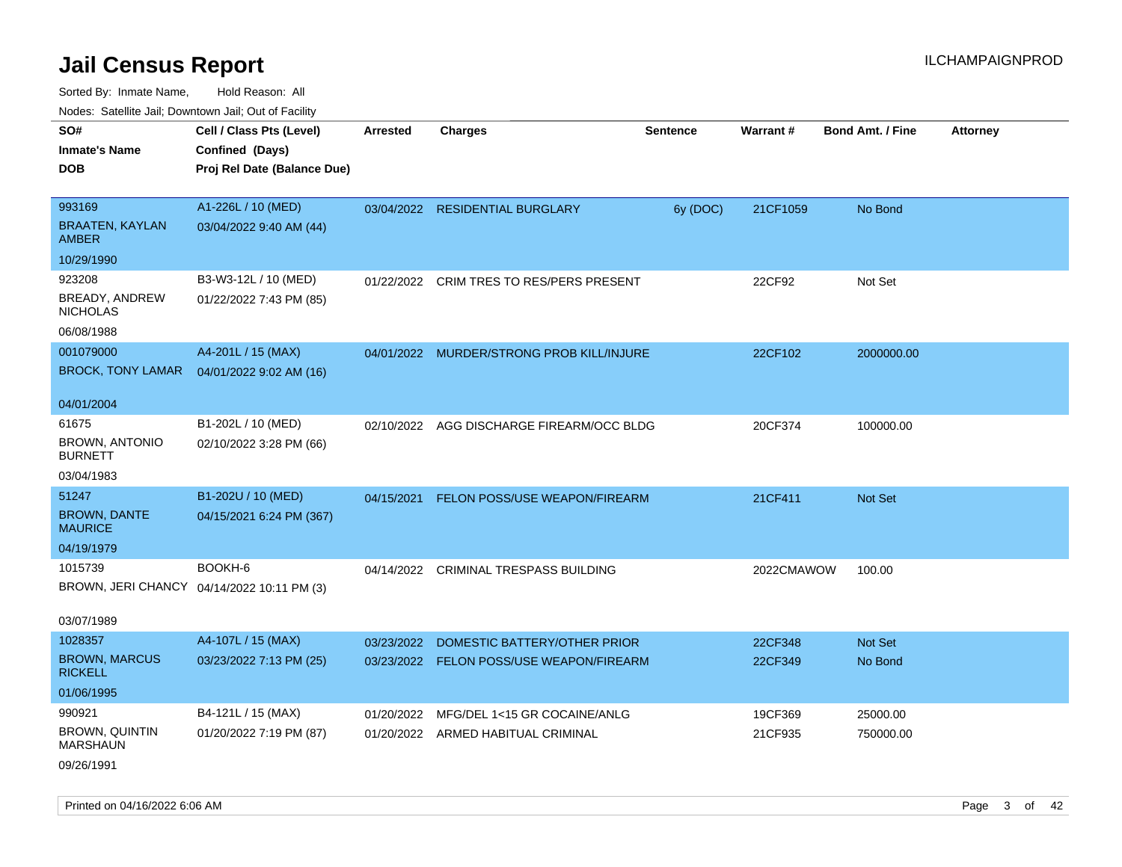| indues. Salenne Jan, Downlown Jan, Out of Facility |                                            |                 |                                           |                 |                 |                         |                 |
|----------------------------------------------------|--------------------------------------------|-----------------|-------------------------------------------|-----------------|-----------------|-------------------------|-----------------|
| SO#                                                | Cell / Class Pts (Level)                   | <b>Arrested</b> | <b>Charges</b>                            | <b>Sentence</b> | <b>Warrant#</b> | <b>Bond Amt. / Fine</b> | <b>Attorney</b> |
| <b>Inmate's Name</b>                               | Confined (Days)                            |                 |                                           |                 |                 |                         |                 |
| <b>DOB</b>                                         | Proj Rel Date (Balance Due)                |                 |                                           |                 |                 |                         |                 |
|                                                    |                                            |                 |                                           |                 |                 |                         |                 |
| 993169                                             | A1-226L / 10 (MED)                         |                 | 03/04/2022 RESIDENTIAL BURGLARY           | 6y (DOC)        | 21CF1059        | No Bond                 |                 |
| <b>BRAATEN, KAYLAN</b><br>AMBER                    | 03/04/2022 9:40 AM (44)                    |                 |                                           |                 |                 |                         |                 |
| 10/29/1990                                         |                                            |                 |                                           |                 |                 |                         |                 |
| 923208                                             | B3-W3-12L / 10 (MED)                       |                 | 01/22/2022 CRIM TRES TO RES/PERS PRESENT  |                 | 22CF92          | Not Set                 |                 |
| BREADY, ANDREW<br><b>NICHOLAS</b>                  | 01/22/2022 7:43 PM (85)                    |                 |                                           |                 |                 |                         |                 |
| 06/08/1988                                         |                                            |                 |                                           |                 |                 |                         |                 |
| 001079000                                          | A4-201L / 15 (MAX)                         |                 | 04/01/2022 MURDER/STRONG PROB KILL/INJURE |                 | 22CF102         | 2000000.00              |                 |
| <b>BROCK, TONY LAMAR</b>                           | 04/01/2022 9:02 AM (16)                    |                 |                                           |                 |                 |                         |                 |
|                                                    |                                            |                 |                                           |                 |                 |                         |                 |
| 04/01/2004                                         |                                            |                 |                                           |                 |                 |                         |                 |
| 61675                                              | B1-202L / 10 (MED)                         |                 | 02/10/2022 AGG DISCHARGE FIREARM/OCC BLDG |                 | 20CF374         | 100000.00               |                 |
| <b>BROWN, ANTONIO</b><br><b>BURNETT</b>            | 02/10/2022 3:28 PM (66)                    |                 |                                           |                 |                 |                         |                 |
| 03/04/1983                                         |                                            |                 |                                           |                 |                 |                         |                 |
| 51247                                              | B1-202U / 10 (MED)                         | 04/15/2021      | <b>FELON POSS/USE WEAPON/FIREARM</b>      |                 | 21CF411         | Not Set                 |                 |
| <b>BROWN, DANTE</b><br><b>MAURICE</b>              | 04/15/2021 6:24 PM (367)                   |                 |                                           |                 |                 |                         |                 |
| 04/19/1979                                         |                                            |                 |                                           |                 |                 |                         |                 |
| 1015739                                            | BOOKH-6                                    |                 | 04/14/2022 CRIMINAL TRESPASS BUILDING     |                 | 2022CMAWOW      | 100.00                  |                 |
|                                                    | BROWN, JERI CHANCY 04/14/2022 10:11 PM (3) |                 |                                           |                 |                 |                         |                 |
|                                                    |                                            |                 |                                           |                 |                 |                         |                 |
| 03/07/1989                                         |                                            |                 |                                           |                 |                 |                         |                 |
| 1028357                                            | A4-107L / 15 (MAX)                         | 03/23/2022      | DOMESTIC BATTERY/OTHER PRIOR              |                 | 22CF348         | <b>Not Set</b>          |                 |
| <b>BROWN, MARCUS</b><br><b>RICKELL</b>             | 03/23/2022 7:13 PM (25)                    |                 | 03/23/2022 FELON POSS/USE WEAPON/FIREARM  |                 | 22CF349         | No Bond                 |                 |
| 01/06/1995                                         |                                            |                 |                                           |                 |                 |                         |                 |
| 990921                                             | B4-121L / 15 (MAX)                         | 01/20/2022      | MFG/DEL 1<15 GR COCAINE/ANLG              |                 | 19CF369         | 25000.00                |                 |
| <b>BROWN, QUINTIN</b><br><b>MARSHAUN</b>           | 01/20/2022 7:19 PM (87)                    |                 | 01/20/2022 ARMED HABITUAL CRIMINAL        |                 | 21CF935         | 750000.00               |                 |
| 09/26/1991                                         |                                            |                 |                                           |                 |                 |                         |                 |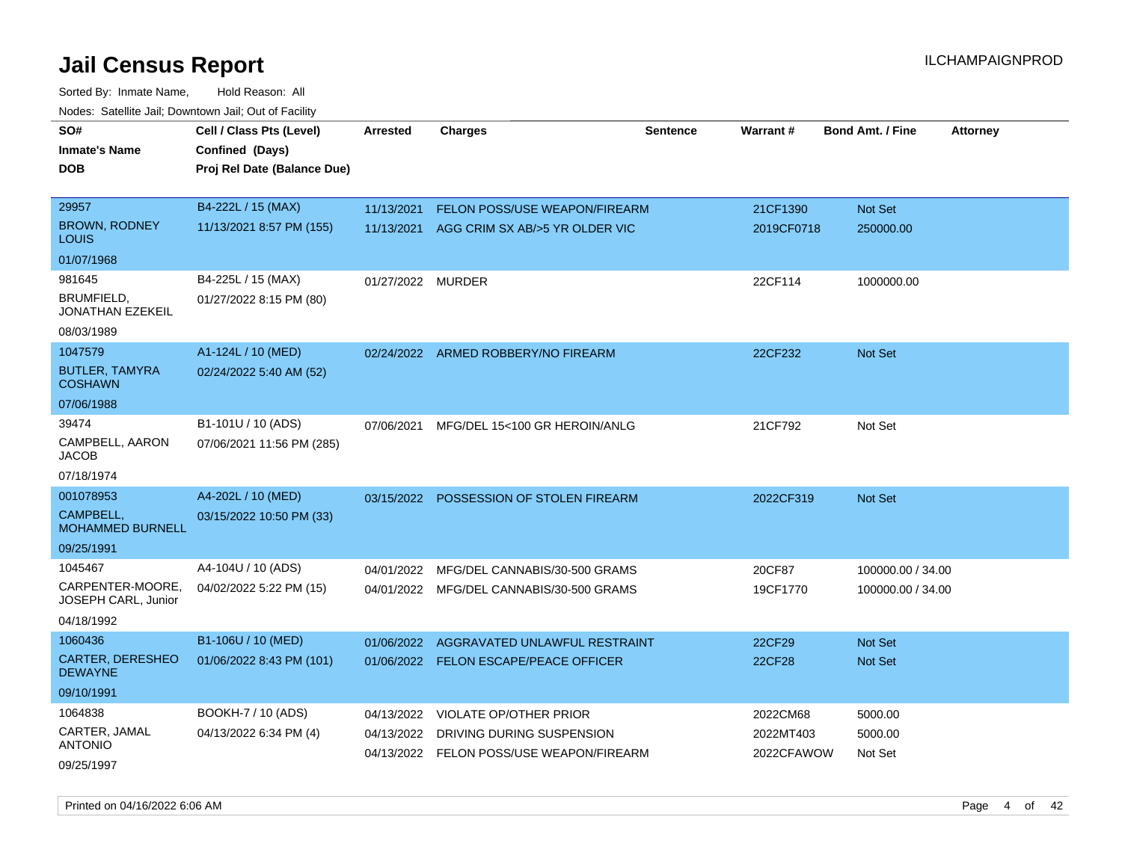Sorted By: Inmate Name, Hold Reason: All Nodes: Satellite Jail; Downtown Jail; Out of Facility

| SO#                                       | Cell / Class Pts (Level)    | <b>Arrested</b>   | <b>Charges</b>                           | Sentence | Warrant#      | <b>Bond Amt. / Fine</b> | <b>Attorney</b> |
|-------------------------------------------|-----------------------------|-------------------|------------------------------------------|----------|---------------|-------------------------|-----------------|
| <b>Inmate's Name</b>                      | Confined (Days)             |                   |                                          |          |               |                         |                 |
| <b>DOB</b>                                | Proj Rel Date (Balance Due) |                   |                                          |          |               |                         |                 |
|                                           |                             |                   |                                          |          |               |                         |                 |
| 29957                                     | B4-222L / 15 (MAX)          | 11/13/2021        | <b>FELON POSS/USE WEAPON/FIREARM</b>     |          | 21CF1390      | Not Set                 |                 |
| <b>BROWN, RODNEY</b><br><b>LOUIS</b>      | 11/13/2021 8:57 PM (155)    | 11/13/2021        | AGG CRIM SX AB/>5 YR OLDER VIC           |          | 2019CF0718    | 250000.00               |                 |
| 01/07/1968                                |                             |                   |                                          |          |               |                         |                 |
| 981645                                    | B4-225L / 15 (MAX)          | 01/27/2022 MURDER |                                          |          | 22CF114       | 1000000.00              |                 |
| BRUMFIELD,<br><b>JONATHAN EZEKEIL</b>     | 01/27/2022 8:15 PM (80)     |                   |                                          |          |               |                         |                 |
| 08/03/1989                                |                             |                   |                                          |          |               |                         |                 |
| 1047579                                   | A1-124L / 10 (MED)          |                   | 02/24/2022 ARMED ROBBERY/NO FIREARM      |          | 22CF232       | Not Set                 |                 |
| <b>BUTLER, TAMYRA</b><br><b>COSHAWN</b>   | 02/24/2022 5:40 AM (52)     |                   |                                          |          |               |                         |                 |
| 07/06/1988                                |                             |                   |                                          |          |               |                         |                 |
| 39474                                     | B1-101U / 10 (ADS)          | 07/06/2021        | MFG/DEL 15<100 GR HEROIN/ANLG            |          | 21CF792       | Not Set                 |                 |
| CAMPBELL, AARON<br><b>JACOB</b>           | 07/06/2021 11:56 PM (285)   |                   |                                          |          |               |                         |                 |
| 07/18/1974                                |                             |                   |                                          |          |               |                         |                 |
| 001078953                                 | A4-202L / 10 (MED)          |                   | 03/15/2022 POSSESSION OF STOLEN FIREARM  |          | 2022CF319     | Not Set                 |                 |
| CAMPBELL.<br><b>MOHAMMED BURNELL</b>      | 03/15/2022 10:50 PM (33)    |                   |                                          |          |               |                         |                 |
| 09/25/1991                                |                             |                   |                                          |          |               |                         |                 |
| 1045467                                   | A4-104U / 10 (ADS)          | 04/01/2022        | MFG/DEL CANNABIS/30-500 GRAMS            |          | 20CF87        | 100000.00 / 34.00       |                 |
| CARPENTER-MOORE,<br>JOSEPH CARL, Junior   | 04/02/2022 5:22 PM (15)     |                   | 04/01/2022 MFG/DEL CANNABIS/30-500 GRAMS |          | 19CF1770      | 100000.00 / 34.00       |                 |
| 04/18/1992                                |                             |                   |                                          |          |               |                         |                 |
| 1060436                                   | B1-106U / 10 (MED)          | 01/06/2022        | AGGRAVATED UNLAWFUL RESTRAINT            |          | 22CF29        | <b>Not Set</b>          |                 |
| <b>CARTER, DERESHEO</b><br><b>DEWAYNE</b> | 01/06/2022 8:43 PM (101)    |                   | 01/06/2022 FELON ESCAPE/PEACE OFFICER    |          | <b>22CF28</b> | <b>Not Set</b>          |                 |
| 09/10/1991                                |                             |                   |                                          |          |               |                         |                 |
| 1064838                                   | BOOKH-7 / 10 (ADS)          | 04/13/2022        | VIOLATE OP/OTHER PRIOR                   |          | 2022CM68      | 5000.00                 |                 |
| CARTER, JAMAL                             | 04/13/2022 6:34 PM (4)      | 04/13/2022        | DRIVING DURING SUSPENSION                |          | 2022MT403     | 5000.00                 |                 |
| <b>ANTONIO</b>                            |                             |                   | 04/13/2022 FELON POSS/USE WEAPON/FIREARM |          | 2022CFAWOW    | Not Set                 |                 |
| 09/25/1997                                |                             |                   |                                          |          |               |                         |                 |

Printed on 04/16/2022 6:06 AM Page 4 of 42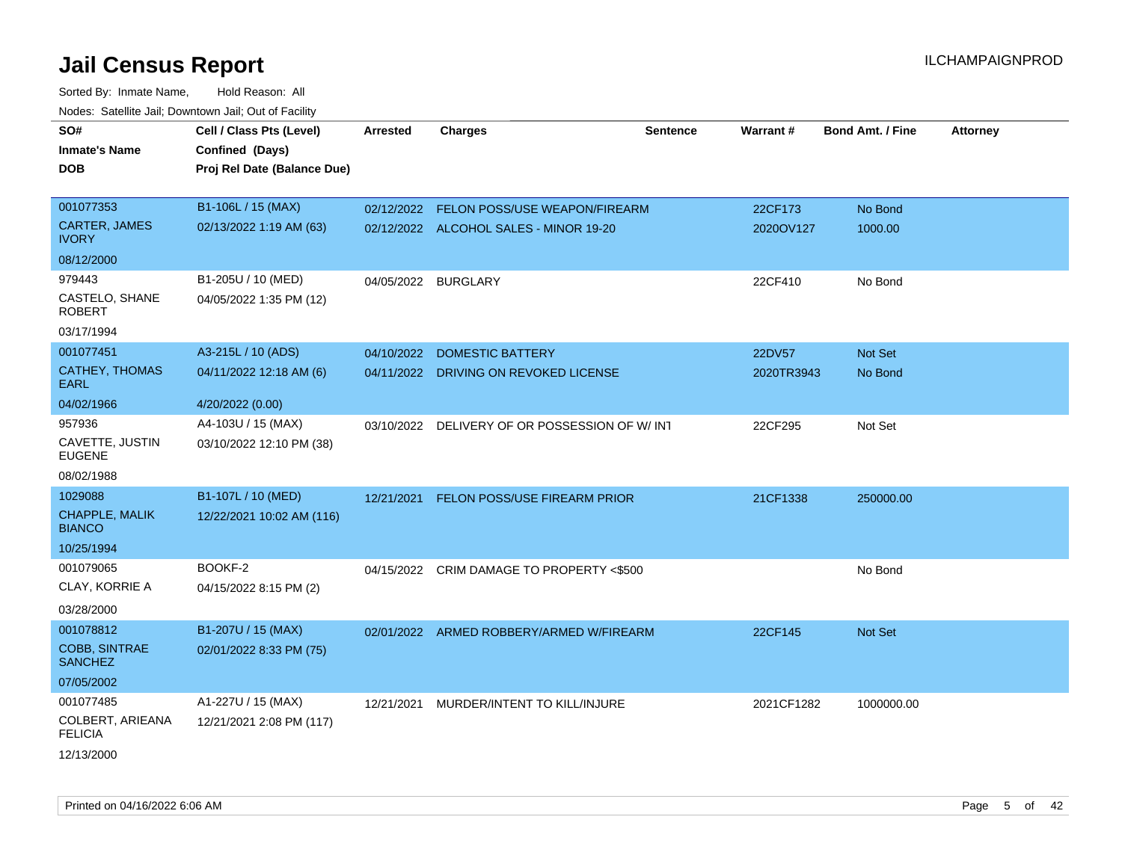| SO#                                    | Cell / Class Pts (Level)    | <b>Arrested</b>     | <b>Charges</b>                           | <b>Sentence</b> | Warrant#   | <b>Bond Amt. / Fine</b> | <b>Attorney</b> |
|----------------------------------------|-----------------------------|---------------------|------------------------------------------|-----------------|------------|-------------------------|-----------------|
| Inmate's Name                          | Confined (Days)             |                     |                                          |                 |            |                         |                 |
| DOB                                    | Proj Rel Date (Balance Due) |                     |                                          |                 |            |                         |                 |
|                                        |                             |                     |                                          |                 |            |                         |                 |
| 001077353                              | B1-106L / 15 (MAX)          |                     | 02/12/2022 FELON POSS/USE WEAPON/FIREARM |                 | 22CF173    | No Bond                 |                 |
| <b>CARTER, JAMES</b><br><b>IVORY</b>   | 02/13/2022 1:19 AM (63)     |                     | 02/12/2022 ALCOHOL SALES - MINOR 19-20   |                 | 2020OV127  | 1000.00                 |                 |
| 08/12/2000                             |                             |                     |                                          |                 |            |                         |                 |
| 979443                                 | B1-205U / 10 (MED)          | 04/05/2022 BURGLARY |                                          |                 | 22CF410    | No Bond                 |                 |
| CASTELO, SHANE<br>ROBERT               | 04/05/2022 1:35 PM (12)     |                     |                                          |                 |            |                         |                 |
| 03/17/1994                             |                             |                     |                                          |                 |            |                         |                 |
| 001077451                              | A3-215L / 10 (ADS)          | 04/10/2022          | <b>DOMESTIC BATTERY</b>                  |                 | 22DV57     | <b>Not Set</b>          |                 |
| <b>CATHEY, THOMAS</b><br>EARL          | 04/11/2022 12:18 AM (6)     |                     | 04/11/2022 DRIVING ON REVOKED LICENSE    |                 | 2020TR3943 | No Bond                 |                 |
| 04/02/1966                             | 4/20/2022 (0.00)            |                     |                                          |                 |            |                         |                 |
| 957936                                 | A4-103U / 15 (MAX)          | 03/10/2022          | DELIVERY OF OR POSSESSION OF W/INT       |                 | 22CF295    | Not Set                 |                 |
| CAVETTE, JUSTIN<br><b>EUGENE</b>       | 03/10/2022 12:10 PM (38)    |                     |                                          |                 |            |                         |                 |
| 08/02/1988                             |                             |                     |                                          |                 |            |                         |                 |
| 1029088                                | B1-107L / 10 (MED)          | 12/21/2021          | FELON POSS/USE FIREARM PRIOR             |                 | 21CF1338   | 250000.00               |                 |
| CHAPPLE, MALIK<br><b>BIANCO</b>        | 12/22/2021 10:02 AM (116)   |                     |                                          |                 |            |                         |                 |
| 10/25/1994                             |                             |                     |                                          |                 |            |                         |                 |
| 001079065                              | BOOKF-2                     | 04/15/2022          | CRIM DAMAGE TO PROPERTY <\$500           |                 |            | No Bond                 |                 |
| CLAY, KORRIE A                         | 04/15/2022 8:15 PM (2)      |                     |                                          |                 |            |                         |                 |
| 03/28/2000                             |                             |                     |                                          |                 |            |                         |                 |
| 001078812                              | B1-207U / 15 (MAX)          |                     | 02/01/2022 ARMED ROBBERY/ARMED W/FIREARM |                 | 22CF145    | Not Set                 |                 |
| <b>COBB, SINTRAE</b><br><b>SANCHEZ</b> | 02/01/2022 8:33 PM (75)     |                     |                                          |                 |            |                         |                 |
| 07/05/2002                             |                             |                     |                                          |                 |            |                         |                 |
| 001077485                              | A1-227U / 15 (MAX)          | 12/21/2021          | MURDER/INTENT TO KILL/INJURE             |                 | 2021CF1282 | 1000000.00              |                 |
| COLBERT, ARIEANA<br><b>FELICIA</b>     | 12/21/2021 2:08 PM (117)    |                     |                                          |                 |            |                         |                 |
| 12/13/2000                             |                             |                     |                                          |                 |            |                         |                 |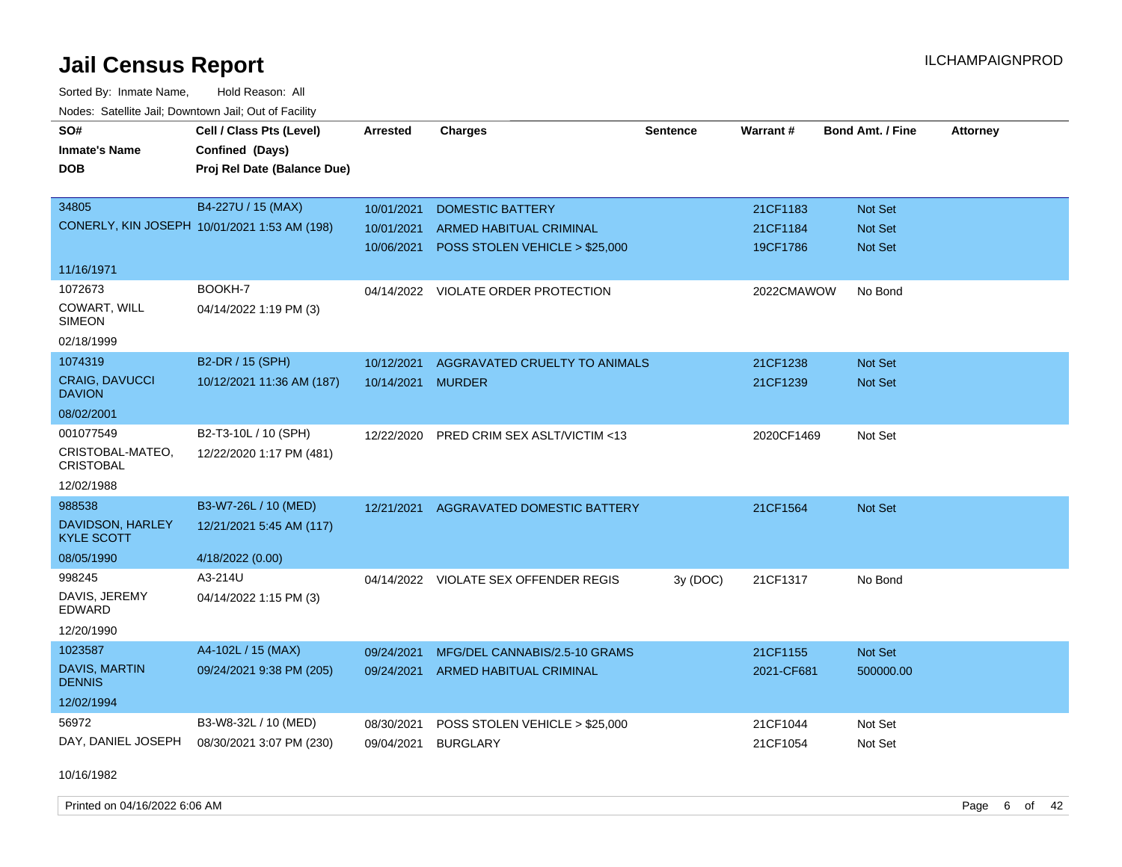Sorted By: Inmate Name, Hold Reason: All Nodes: Satellite Jail; Downtown Jail; Out of Facility

| roaco. Catolino cali, Domntonn cali, Out of Facility |                                              |                 |                                       |                 |            |                         |                 |
|------------------------------------------------------|----------------------------------------------|-----------------|---------------------------------------|-----------------|------------|-------------------------|-----------------|
| SO#                                                  | Cell / Class Pts (Level)                     | <b>Arrested</b> | <b>Charges</b>                        | <b>Sentence</b> | Warrant#   | <b>Bond Amt. / Fine</b> | <b>Attorney</b> |
| <b>Inmate's Name</b>                                 | Confined (Days)                              |                 |                                       |                 |            |                         |                 |
| <b>DOB</b>                                           | Proj Rel Date (Balance Due)                  |                 |                                       |                 |            |                         |                 |
|                                                      |                                              |                 |                                       |                 |            |                         |                 |
| 34805                                                | B4-227U / 15 (MAX)                           | 10/01/2021      | <b>DOMESTIC BATTERY</b>               |                 | 21CF1183   | Not Set                 |                 |
|                                                      | CONERLY, KIN JOSEPH 10/01/2021 1:53 AM (198) | 10/01/2021      | <b>ARMED HABITUAL CRIMINAL</b>        |                 | 21CF1184   | Not Set                 |                 |
|                                                      |                                              | 10/06/2021      | POSS STOLEN VEHICLE > \$25,000        |                 | 19CF1786   | Not Set                 |                 |
| 11/16/1971                                           |                                              |                 |                                       |                 |            |                         |                 |
| 1072673                                              | BOOKH-7                                      |                 | 04/14/2022 VIOLATE ORDER PROTECTION   |                 | 2022CMAWOW | No Bond                 |                 |
| COWART, WILL<br><b>SIMEON</b>                        | 04/14/2022 1:19 PM (3)                       |                 |                                       |                 |            |                         |                 |
| 02/18/1999                                           |                                              |                 |                                       |                 |            |                         |                 |
| 1074319                                              | B2-DR / 15 (SPH)                             | 10/12/2021      | AGGRAVATED CRUELTY TO ANIMALS         |                 | 21CF1238   | Not Set                 |                 |
| <b>CRAIG, DAVUCCI</b><br><b>DAVION</b>               | 10/12/2021 11:36 AM (187)                    | 10/14/2021      | <b>MURDER</b>                         |                 | 21CF1239   | Not Set                 |                 |
| 08/02/2001                                           |                                              |                 |                                       |                 |            |                         |                 |
| 001077549                                            | B2-T3-10L / 10 (SPH)                         | 12/22/2020      | PRED CRIM SEX ASLT/VICTIM <13         |                 | 2020CF1469 | Not Set                 |                 |
| CRISTOBAL-MATEO,<br><b>CRISTOBAL</b>                 | 12/22/2020 1:17 PM (481)                     |                 |                                       |                 |            |                         |                 |
| 12/02/1988                                           |                                              |                 |                                       |                 |            |                         |                 |
| 988538                                               | B3-W7-26L / 10 (MED)                         | 12/21/2021      | AGGRAVATED DOMESTIC BATTERY           |                 | 21CF1564   | Not Set                 |                 |
| DAVIDSON, HARLEY<br><b>KYLE SCOTT</b>                | 12/21/2021 5:45 AM (117)                     |                 |                                       |                 |            |                         |                 |
| 08/05/1990                                           | 4/18/2022 (0.00)                             |                 |                                       |                 |            |                         |                 |
| 998245                                               | A3-214U                                      |                 | 04/14/2022 VIOLATE SEX OFFENDER REGIS | 3y (DOC)        | 21CF1317   | No Bond                 |                 |
| DAVIS, JEREMY<br>EDWARD                              | 04/14/2022 1:15 PM (3)                       |                 |                                       |                 |            |                         |                 |
| 12/20/1990                                           |                                              |                 |                                       |                 |            |                         |                 |
| 1023587                                              | A4-102L / 15 (MAX)                           | 09/24/2021      | MFG/DEL CANNABIS/2.5-10 GRAMS         |                 | 21CF1155   | Not Set                 |                 |
| <b>DAVIS, MARTIN</b><br><b>DENNIS</b>                | 09/24/2021 9:38 PM (205)                     | 09/24/2021      | ARMED HABITUAL CRIMINAL               |                 | 2021-CF681 | 500000.00               |                 |
| 12/02/1994                                           |                                              |                 |                                       |                 |            |                         |                 |
| 56972                                                | B3-W8-32L / 10 (MED)                         | 08/30/2021      | POSS STOLEN VEHICLE > \$25,000        |                 | 21CF1044   | Not Set                 |                 |
| DAY, DANIEL JOSEPH                                   | 08/30/2021 3:07 PM (230)                     | 09/04/2021      | <b>BURGLARY</b>                       |                 | 21CF1054   | Not Set                 |                 |

10/16/1982

Printed on 04/16/2022 6:06 AM Page 6 of 42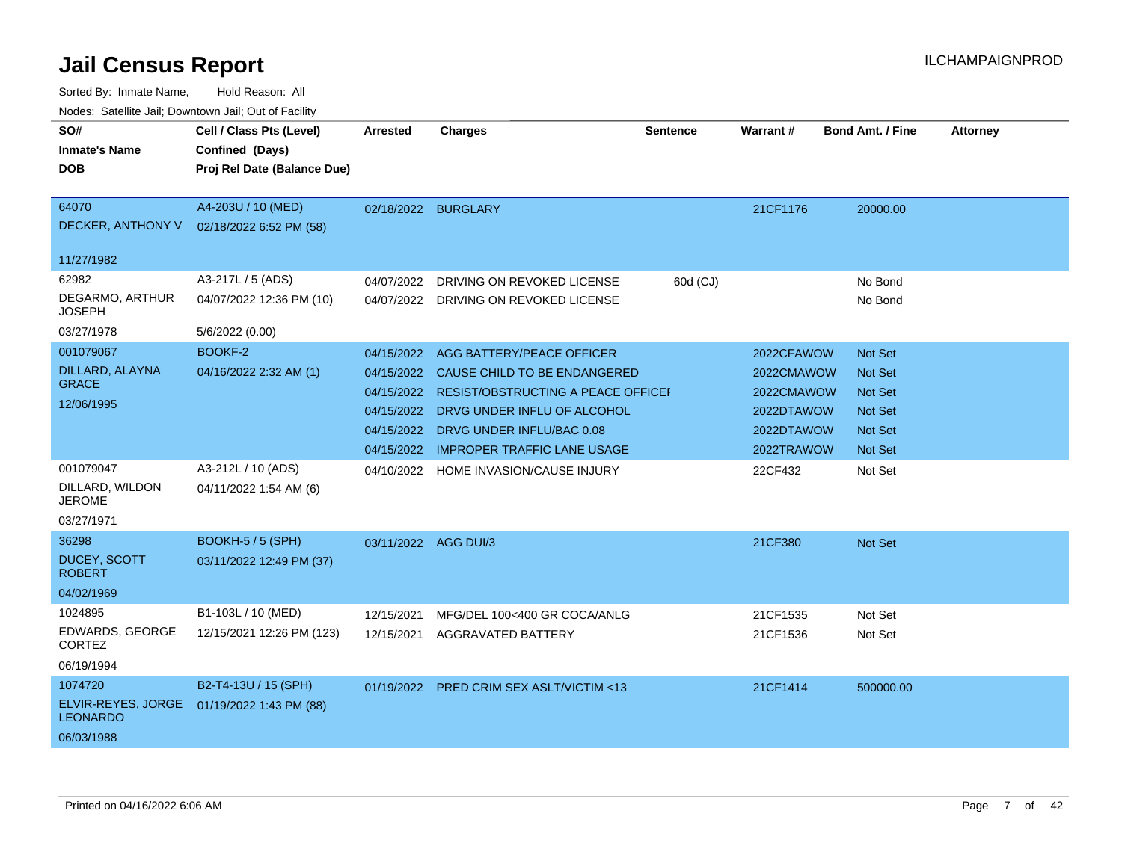| Noues. Sateme Jan, Downtown Jan, Out or Facility |                             |                      |                                           |                 |                 |                         |                 |
|--------------------------------------------------|-----------------------------|----------------------|-------------------------------------------|-----------------|-----------------|-------------------------|-----------------|
| SO#                                              | Cell / Class Pts (Level)    | <b>Arrested</b>      | <b>Charges</b>                            | <b>Sentence</b> | <b>Warrant#</b> | <b>Bond Amt. / Fine</b> | <b>Attorney</b> |
| <b>Inmate's Name</b>                             | Confined (Days)             |                      |                                           |                 |                 |                         |                 |
| DOB                                              | Proj Rel Date (Balance Due) |                      |                                           |                 |                 |                         |                 |
|                                                  |                             |                      |                                           |                 |                 |                         |                 |
| 64070                                            | A4-203U / 10 (MED)          | 02/18/2022 BURGLARY  |                                           |                 | 21CF1176        | 20000.00                |                 |
| DECKER, ANTHONY V                                | 02/18/2022 6:52 PM (58)     |                      |                                           |                 |                 |                         |                 |
| 11/27/1982                                       |                             |                      |                                           |                 |                 |                         |                 |
| 62982                                            | A3-217L / 5 (ADS)           | 04/07/2022           | DRIVING ON REVOKED LICENSE                | 60d (CJ)        |                 | No Bond                 |                 |
| DEGARMO, ARTHUR<br><b>JOSEPH</b>                 | 04/07/2022 12:36 PM (10)    | 04/07/2022           | DRIVING ON REVOKED LICENSE                |                 |                 | No Bond                 |                 |
| 03/27/1978                                       | 5/6/2022 (0.00)             |                      |                                           |                 |                 |                         |                 |
| 001079067                                        | BOOKF-2                     | 04/15/2022           | AGG BATTERY/PEACE OFFICER                 |                 | 2022CFAWOW      | Not Set                 |                 |
| DILLARD, ALAYNA                                  | 04/16/2022 2:32 AM (1)      | 04/15/2022           | CAUSE CHILD TO BE ENDANGERED              |                 | 2022CMAWOW      | <b>Not Set</b>          |                 |
| <b>GRACE</b>                                     |                             | 04/15/2022           | <b>RESIST/OBSTRUCTING A PEACE OFFICEL</b> |                 | 2022CMAWOW      | <b>Not Set</b>          |                 |
| 12/06/1995                                       |                             | 04/15/2022           | DRVG UNDER INFLU OF ALCOHOL               |                 | 2022DTAWOW      | <b>Not Set</b>          |                 |
|                                                  |                             | 04/15/2022           | DRVG UNDER INFLU/BAC 0.08                 |                 | 2022DTAWOW      | Not Set                 |                 |
|                                                  |                             | 04/15/2022           | <b>IMPROPER TRAFFIC LANE USAGE</b>        |                 | 2022TRAWOW      | <b>Not Set</b>          |                 |
| 001079047                                        | A3-212L / 10 (ADS)          | 04/10/2022           | HOME INVASION/CAUSE INJURY                |                 | 22CF432         | Not Set                 |                 |
| DILLARD, WILDON<br><b>JEROME</b>                 | 04/11/2022 1:54 AM (6)      |                      |                                           |                 |                 |                         |                 |
| 03/27/1971                                       |                             |                      |                                           |                 |                 |                         |                 |
| 36298                                            | BOOKH-5 / 5 (SPH)           | 03/11/2022 AGG DUI/3 |                                           |                 | 21CF380         | <b>Not Set</b>          |                 |
| <b>DUCEY, SCOTT</b><br><b>ROBERT</b>             | 03/11/2022 12:49 PM (37)    |                      |                                           |                 |                 |                         |                 |
| 04/02/1969                                       |                             |                      |                                           |                 |                 |                         |                 |
| 1024895                                          | B1-103L / 10 (MED)          | 12/15/2021           | MFG/DEL 100<400 GR COCA/ANLG              |                 | 21CF1535        | Not Set                 |                 |
| EDWARDS, GEORGE<br><b>CORTEZ</b>                 | 12/15/2021 12:26 PM (123)   | 12/15/2021           | <b>AGGRAVATED BATTERY</b>                 |                 | 21CF1536        | Not Set                 |                 |
| 06/19/1994                                       |                             |                      |                                           |                 |                 |                         |                 |
| 1074720                                          | B2-T4-13U / 15 (SPH)        |                      | 01/19/2022 PRED CRIM SEX ASLT/VICTIM <13  |                 | 21CF1414        | 500000.00               |                 |
| ELVIR-REYES, JORGE<br><b>LEONARDO</b>            | 01/19/2022 1:43 PM (88)     |                      |                                           |                 |                 |                         |                 |
| 06/03/1988                                       |                             |                      |                                           |                 |                 |                         |                 |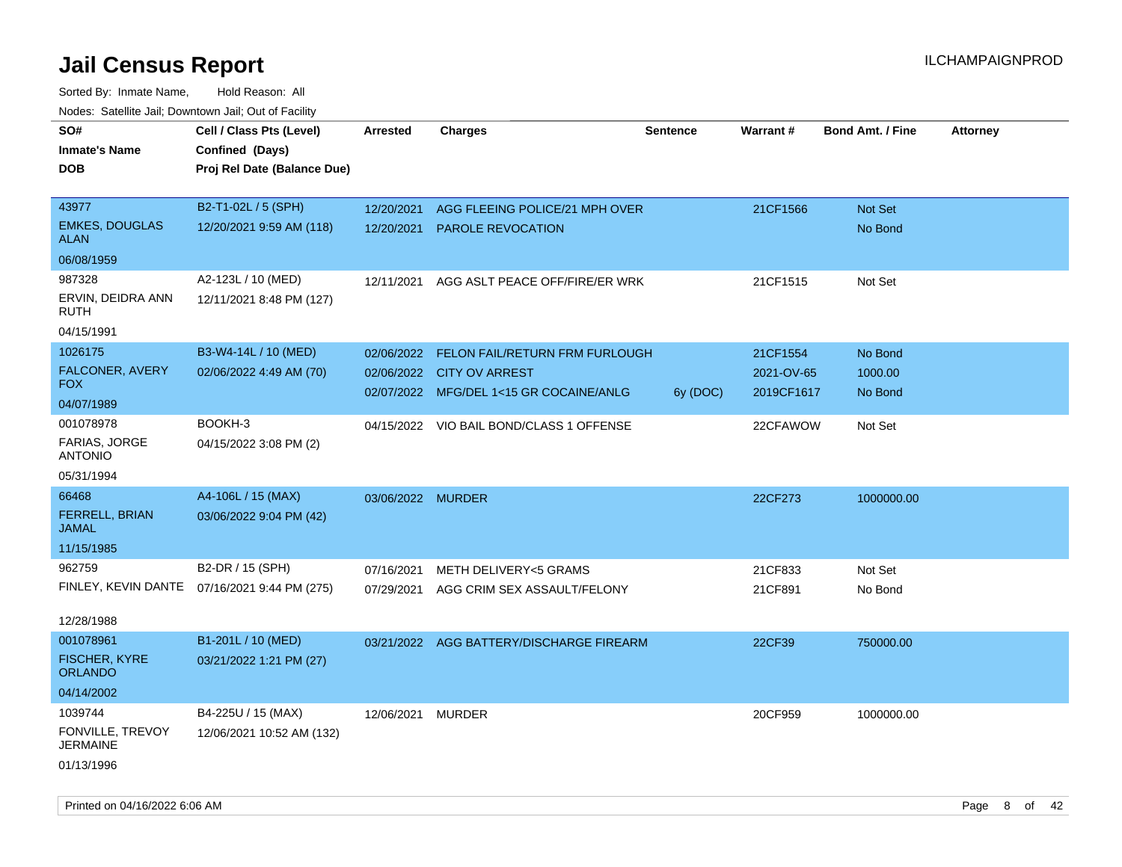| roaco. Catolino cali, Downtown cali, Out of Fability |                                              |                   |                                          |                 |            |                         |                 |
|------------------------------------------------------|----------------------------------------------|-------------------|------------------------------------------|-----------------|------------|-------------------------|-----------------|
| SO#                                                  | Cell / Class Pts (Level)                     | <b>Arrested</b>   | <b>Charges</b>                           | <b>Sentence</b> | Warrant#   | <b>Bond Amt. / Fine</b> | <b>Attorney</b> |
| Inmate's Name                                        | Confined (Days)                              |                   |                                          |                 |            |                         |                 |
| DOB                                                  | Proj Rel Date (Balance Due)                  |                   |                                          |                 |            |                         |                 |
|                                                      |                                              |                   |                                          |                 |            |                         |                 |
| 43977                                                | B2-T1-02L / 5 (SPH)                          | 12/20/2021        | AGG FLEEING POLICE/21 MPH OVER           |                 | 21CF1566   | Not Set                 |                 |
| <b>EMKES, DOUGLAS</b><br><b>ALAN</b>                 | 12/20/2021 9:59 AM (118)                     | 12/20/2021        | <b>PAROLE REVOCATION</b>                 |                 |            | No Bond                 |                 |
| 06/08/1959                                           |                                              |                   |                                          |                 |            |                         |                 |
| 987328                                               | A2-123L / 10 (MED)                           | 12/11/2021        | AGG ASLT PEACE OFF/FIRE/ER WRK           |                 | 21CF1515   | Not Set                 |                 |
| ERVIN, DEIDRA ANN<br>RUTH                            | 12/11/2021 8:48 PM (127)                     |                   |                                          |                 |            |                         |                 |
| 04/15/1991                                           |                                              |                   |                                          |                 |            |                         |                 |
| 1026175                                              | B3-W4-14L / 10 (MED)                         | 02/06/2022        | FELON FAIL/RETURN FRM FURLOUGH           |                 | 21CF1554   | No Bond                 |                 |
| <b>FALCONER, AVERY</b>                               | 02/06/2022 4:49 AM (70)                      |                   | 02/06/2022 CITY OV ARREST                |                 | 2021-OV-65 | 1000.00                 |                 |
| FOX                                                  |                                              |                   | 02/07/2022 MFG/DEL 1<15 GR COCAINE/ANLG  | 6y (DOC)        | 2019CF1617 | No Bond                 |                 |
| 04/07/1989                                           |                                              |                   |                                          |                 |            |                         |                 |
| 001078978                                            | BOOKH-3                                      |                   | 04/15/2022 VIO BAIL BOND/CLASS 1 OFFENSE |                 | 22CFAWOW   | Not Set                 |                 |
| FARIAS, JORGE<br><b>ANTONIO</b>                      | 04/15/2022 3:08 PM (2)                       |                   |                                          |                 |            |                         |                 |
| 05/31/1994                                           |                                              |                   |                                          |                 |            |                         |                 |
| 66468                                                | A4-106L / 15 (MAX)                           | 03/06/2022 MURDER |                                          |                 | 22CF273    | 1000000.00              |                 |
| <b>FERRELL, BRIAN</b><br>JAMAL                       | 03/06/2022 9:04 PM (42)                      |                   |                                          |                 |            |                         |                 |
| 11/15/1985                                           |                                              |                   |                                          |                 |            |                         |                 |
| 962759                                               | B2-DR / 15 (SPH)                             | 07/16/2021        | <b>METH DELIVERY&lt;5 GRAMS</b>          |                 | 21CF833    | Not Set                 |                 |
|                                                      | FINLEY, KEVIN DANTE 07/16/2021 9:44 PM (275) | 07/29/2021        | AGG CRIM SEX ASSAULT/FELONY              |                 | 21CF891    | No Bond                 |                 |
|                                                      |                                              |                   |                                          |                 |            |                         |                 |
| 12/28/1988                                           |                                              |                   |                                          |                 |            |                         |                 |
| 001078961                                            | B1-201L / 10 (MED)                           |                   | 03/21/2022 AGG BATTERY/DISCHARGE FIREARM |                 | 22CF39     | 750000.00               |                 |
| <b>FISCHER, KYRE</b><br><b>ORLANDO</b>               | 03/21/2022 1:21 PM (27)                      |                   |                                          |                 |            |                         |                 |
| 04/14/2002                                           |                                              |                   |                                          |                 |            |                         |                 |
| 1039744                                              | B4-225U / 15 (MAX)                           | 12/06/2021 MURDER |                                          |                 | 20CF959    | 1000000.00              |                 |
| FONVILLE, TREVOY<br>JERMAINE                         | 12/06/2021 10:52 AM (132)                    |                   |                                          |                 |            |                         |                 |
| 01/13/1996                                           |                                              |                   |                                          |                 |            |                         |                 |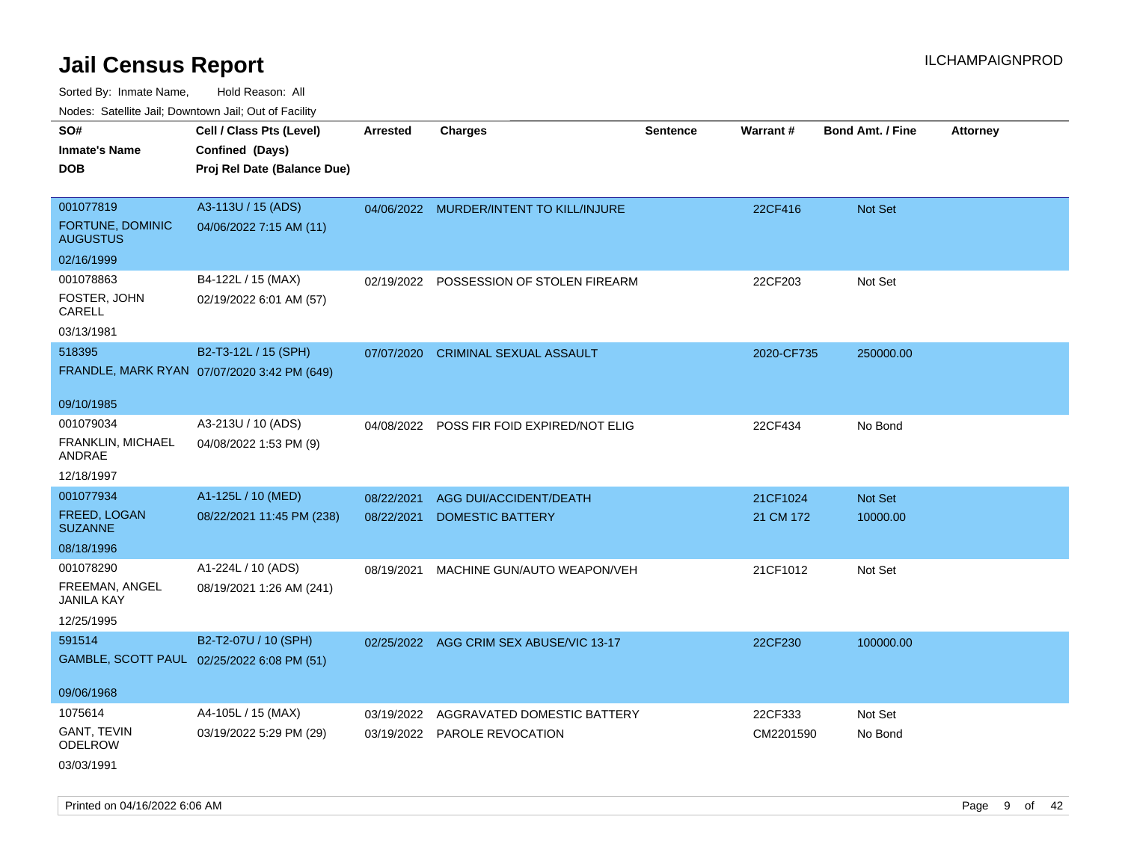Sorted By: Inmate Name, Hold Reason: All Nodes: Satellite Jail; Downtown Jail; Out of Facility

| roaco. Oatomto dan, Downtown dan, Oat or Fability |                                             |                 |                                           |                 |            |                         |                 |
|---------------------------------------------------|---------------------------------------------|-----------------|-------------------------------------------|-----------------|------------|-------------------------|-----------------|
| SO#                                               | Cell / Class Pts (Level)                    | <b>Arrested</b> | <b>Charges</b>                            | <b>Sentence</b> | Warrant#   | <b>Bond Amt. / Fine</b> | <b>Attorney</b> |
| <b>Inmate's Name</b>                              | Confined (Days)                             |                 |                                           |                 |            |                         |                 |
| <b>DOB</b>                                        | Proj Rel Date (Balance Due)                 |                 |                                           |                 |            |                         |                 |
|                                                   |                                             |                 |                                           |                 |            |                         |                 |
| 001077819                                         | A3-113U / 15 (ADS)                          |                 | 04/06/2022 MURDER/INTENT TO KILL/INJURE   |                 | 22CF416    | Not Set                 |                 |
| FORTUNE, DOMINIC<br><b>AUGUSTUS</b>               | 04/06/2022 7:15 AM (11)                     |                 |                                           |                 |            |                         |                 |
| 02/16/1999                                        |                                             |                 |                                           |                 |            |                         |                 |
| 001078863                                         | B4-122L / 15 (MAX)                          |                 | 02/19/2022 POSSESSION OF STOLEN FIREARM   |                 | 22CF203    | Not Set                 |                 |
| FOSTER, JOHN<br>CARELL                            | 02/19/2022 6:01 AM (57)                     |                 |                                           |                 |            |                         |                 |
| 03/13/1981                                        |                                             |                 |                                           |                 |            |                         |                 |
| 518395                                            | B2-T3-12L / 15 (SPH)                        | 07/07/2020      | <b>CRIMINAL SEXUAL ASSAULT</b>            |                 | 2020-CF735 | 250000.00               |                 |
|                                                   | FRANDLE, MARK RYAN 07/07/2020 3:42 PM (649) |                 |                                           |                 |            |                         |                 |
|                                                   |                                             |                 |                                           |                 |            |                         |                 |
| 09/10/1985                                        |                                             |                 |                                           |                 |            |                         |                 |
| 001079034                                         | A3-213U / 10 (ADS)                          |                 | 04/08/2022 POSS FIR FOID EXPIRED/NOT ELIG |                 | 22CF434    | No Bond                 |                 |
| FRANKLIN, MICHAEL<br>ANDRAE                       | 04/08/2022 1:53 PM (9)                      |                 |                                           |                 |            |                         |                 |
| 12/18/1997                                        |                                             |                 |                                           |                 |            |                         |                 |
| 001077934                                         | A1-125L / 10 (MED)                          | 08/22/2021      | AGG DUI/ACCIDENT/DEATH                    |                 | 21CF1024   | Not Set                 |                 |
| FREED, LOGAN<br><b>SUZANNE</b>                    | 08/22/2021 11:45 PM (238)                   | 08/22/2021      | <b>DOMESTIC BATTERY</b>                   |                 | 21 CM 172  | 10000.00                |                 |
| 08/18/1996                                        |                                             |                 |                                           |                 |            |                         |                 |
| 001078290                                         | A1-224L / 10 (ADS)                          | 08/19/2021      | MACHINE GUN/AUTO WEAPON/VEH               |                 | 21CF1012   | Not Set                 |                 |
| FREEMAN, ANGEL<br><b>JANILA KAY</b>               | 08/19/2021 1:26 AM (241)                    |                 |                                           |                 |            |                         |                 |
| 12/25/1995                                        |                                             |                 |                                           |                 |            |                         |                 |
| 591514                                            | B2-T2-07U / 10 (SPH)                        |                 | 02/25/2022 AGG CRIM SEX ABUSE/VIC 13-17   |                 | 22CF230    | 100000.00               |                 |
|                                                   | GAMBLE, SCOTT PAUL 02/25/2022 6:08 PM (51)  |                 |                                           |                 |            |                         |                 |
|                                                   |                                             |                 |                                           |                 |            |                         |                 |
| 09/06/1968                                        |                                             |                 |                                           |                 |            |                         |                 |
| 1075614                                           | A4-105L / 15 (MAX)                          | 03/19/2022      | AGGRAVATED DOMESTIC BATTERY               |                 | 22CF333    | Not Set                 |                 |
| <b>GANT, TEVIN</b><br><b>ODELROW</b>              | 03/19/2022 5:29 PM (29)                     |                 | 03/19/2022 PAROLE REVOCATION              |                 | CM2201590  | No Bond                 |                 |
| 03/03/1991                                        |                                             |                 |                                           |                 |            |                         |                 |

Printed on 04/16/2022 6:06 AM Page 9 of 42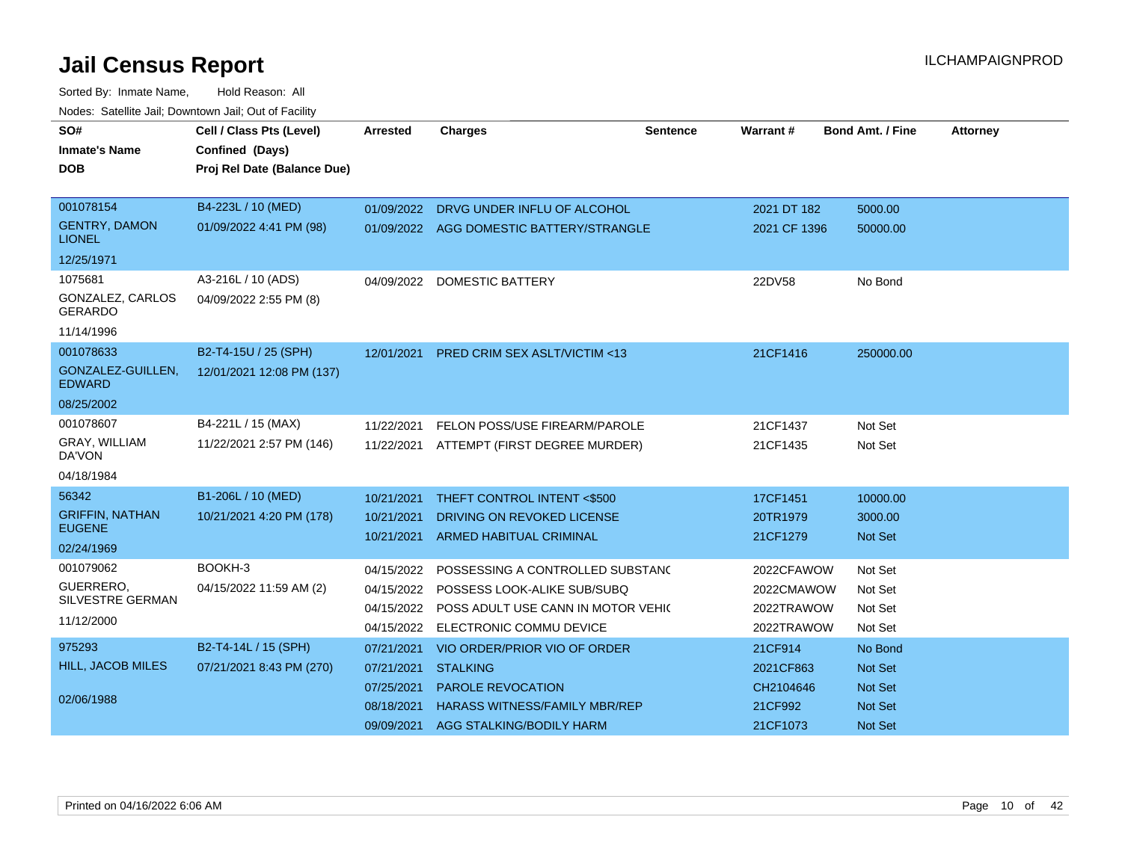| SO#                                   | Cell / Class Pts (Level)    | Arrested   | <b>Charges</b>                                | <b>Sentence</b> | <b>Warrant#</b> | <b>Bond Amt. / Fine</b> | <b>Attorney</b> |
|---------------------------------------|-----------------------------|------------|-----------------------------------------------|-----------------|-----------------|-------------------------|-----------------|
| <b>Inmate's Name</b>                  | Confined (Days)             |            |                                               |                 |                 |                         |                 |
| <b>DOB</b>                            | Proj Rel Date (Balance Due) |            |                                               |                 |                 |                         |                 |
|                                       |                             |            |                                               |                 |                 |                         |                 |
| 001078154                             | B4-223L / 10 (MED)          |            | 01/09/2022 DRVG UNDER INFLU OF ALCOHOL        |                 | 2021 DT 182     | 5000.00                 |                 |
| <b>GENTRY, DAMON</b><br><b>LIONEL</b> | 01/09/2022 4:41 PM (98)     |            | 01/09/2022 AGG DOMESTIC BATTERY/STRANGLE      |                 | 2021 CF 1396    | 50000.00                |                 |
| 12/25/1971                            |                             |            |                                               |                 |                 |                         |                 |
| 1075681                               | A3-216L / 10 (ADS)          | 04/09/2022 | <b>DOMESTIC BATTERY</b>                       |                 | 22DV58          | No Bond                 |                 |
| GONZALEZ, CARLOS<br><b>GERARDO</b>    | 04/09/2022 2:55 PM (8)      |            |                                               |                 |                 |                         |                 |
| 11/14/1996                            |                             |            |                                               |                 |                 |                         |                 |
| 001078633                             | B2-T4-15U / 25 (SPH)        | 12/01/2021 | <b>PRED CRIM SEX ASLT/VICTIM &lt;13</b>       |                 | 21CF1416        | 250000.00               |                 |
| GONZALEZ-GUILLEN,<br><b>EDWARD</b>    | 12/01/2021 12:08 PM (137)   |            |                                               |                 |                 |                         |                 |
| 08/25/2002                            |                             |            |                                               |                 |                 |                         |                 |
| 001078607                             | B4-221L / 15 (MAX)          | 11/22/2021 | FELON POSS/USE FIREARM/PAROLE                 |                 | 21CF1437        | Not Set                 |                 |
| GRAY, WILLIAM<br>DA'VON               | 11/22/2021 2:57 PM (146)    |            | 11/22/2021 ATTEMPT (FIRST DEGREE MURDER)      |                 | 21CF1435        | Not Set                 |                 |
| 04/18/1984                            |                             |            |                                               |                 |                 |                         |                 |
| 56342                                 | B1-206L / 10 (MED)          | 10/21/2021 | THEFT CONTROL INTENT <\$500                   |                 | 17CF1451        | 10000.00                |                 |
| <b>GRIFFIN, NATHAN</b>                | 10/21/2021 4:20 PM (178)    | 10/21/2021 | DRIVING ON REVOKED LICENSE                    |                 | 20TR1979        | 3000.00                 |                 |
| <b>EUGENE</b>                         |                             | 10/21/2021 | <b>ARMED HABITUAL CRIMINAL</b>                |                 | 21CF1279        | Not Set                 |                 |
| 02/24/1969                            |                             |            |                                               |                 |                 |                         |                 |
| 001079062                             | BOOKH-3                     | 04/15/2022 | POSSESSING A CONTROLLED SUBSTANC              |                 | 2022CFAWOW      | Not Set                 |                 |
| GUERRERO.<br><b>SILVESTRE GERMAN</b>  | 04/15/2022 11:59 AM (2)     | 04/15/2022 | POSSESS LOOK-ALIKE SUB/SUBQ                   |                 | 2022CMAWOW      | Not Set                 |                 |
| 11/12/2000                            |                             |            | 04/15/2022 POSS ADULT USE CANN IN MOTOR VEHIC |                 | 2022TRAWOW      | Not Set                 |                 |
|                                       |                             | 04/15/2022 | ELECTRONIC COMMU DEVICE                       |                 | 2022TRAWOW      | Not Set                 |                 |
| 975293                                | B2-T4-14L / 15 (SPH)        | 07/21/2021 | VIO ORDER/PRIOR VIO OF ORDER                  |                 | 21CF914         | No Bond                 |                 |
| <b>HILL, JACOB MILES</b>              | 07/21/2021 8:43 PM (270)    | 07/21/2021 | <b>STALKING</b>                               |                 | 2021CF863       | Not Set                 |                 |
| 02/06/1988                            |                             | 07/25/2021 | PAROLE REVOCATION                             |                 | CH2104646       | Not Set                 |                 |
|                                       |                             | 08/18/2021 | <b>HARASS WITNESS/FAMILY MBR/REP</b>          |                 | 21CF992         | Not Set                 |                 |
|                                       |                             | 09/09/2021 | AGG STALKING/BODILY HARM                      |                 | 21CF1073        | Not Set                 |                 |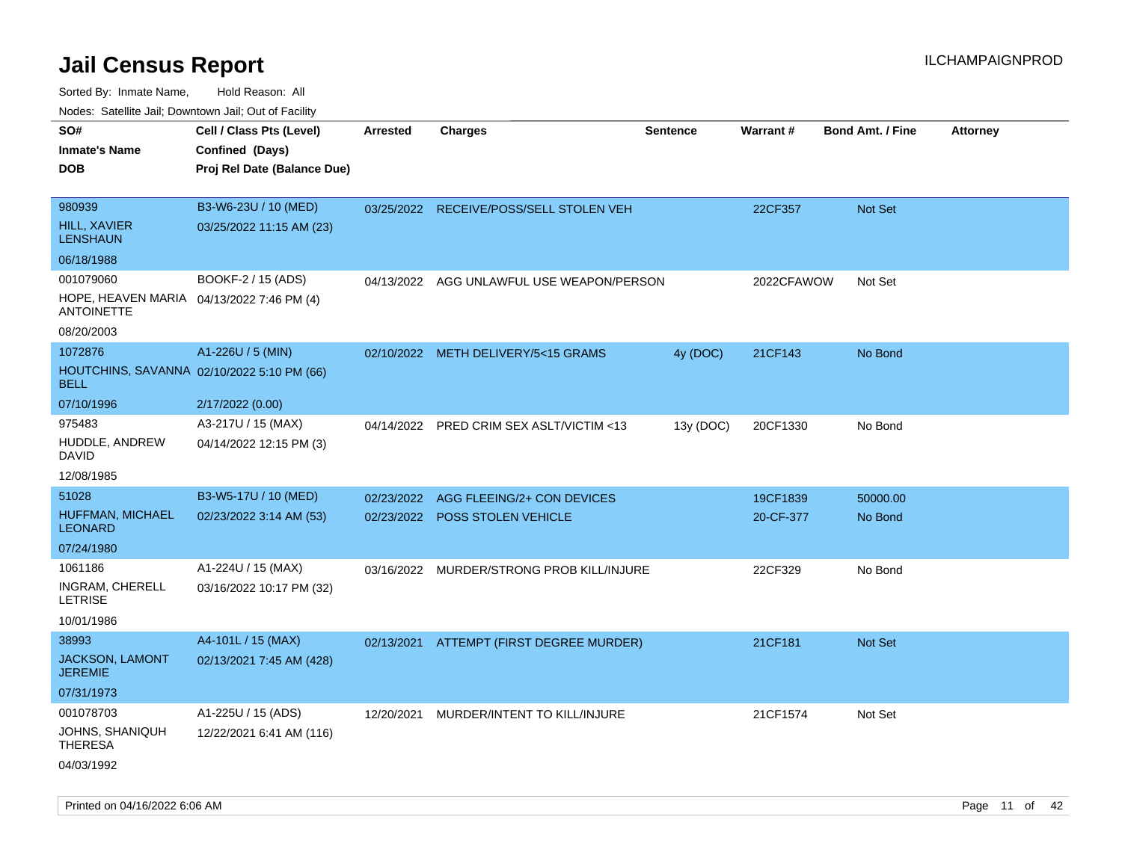| Noues. Sateme Jan, Downtown Jan, Out or Facility               |                             |                 |                                           |                 |            |                         |                 |
|----------------------------------------------------------------|-----------------------------|-----------------|-------------------------------------------|-----------------|------------|-------------------------|-----------------|
| SO#                                                            | Cell / Class Pts (Level)    | <b>Arrested</b> | <b>Charges</b>                            | <b>Sentence</b> | Warrant#   | <b>Bond Amt. / Fine</b> | <b>Attorney</b> |
| <b>Inmate's Name</b>                                           | Confined (Days)             |                 |                                           |                 |            |                         |                 |
| <b>DOB</b>                                                     | Proj Rel Date (Balance Due) |                 |                                           |                 |            |                         |                 |
|                                                                |                             |                 |                                           |                 |            |                         |                 |
| 980939                                                         | B3-W6-23U / 10 (MED)        |                 | 03/25/2022 RECEIVE/POSS/SELL STOLEN VEH   |                 | 22CF357    | Not Set                 |                 |
| <b>HILL, XAVIER</b><br><b>LENSHAUN</b>                         | 03/25/2022 11:15 AM (23)    |                 |                                           |                 |            |                         |                 |
| 06/18/1988                                                     |                             |                 |                                           |                 |            |                         |                 |
| 001079060                                                      | BOOKF-2 / 15 (ADS)          |                 | 04/13/2022 AGG UNLAWFUL USE WEAPON/PERSON |                 | 2022CFAWOW | Not Set                 |                 |
| HOPE, HEAVEN MARIA 04/13/2022 7:46 PM (4)<br><b>ANTOINETTE</b> |                             |                 |                                           |                 |            |                         |                 |
| 08/20/2003                                                     |                             |                 |                                           |                 |            |                         |                 |
| 1072876                                                        | A1-226U / 5 (MIN)           |                 | 02/10/2022 METH DELIVERY/5<15 GRAMS       | 4y (DOC)        | 21CF143    | No Bond                 |                 |
| HOUTCHINS, SAVANNA 02/10/2022 5:10 PM (66)<br><b>BELL</b>      |                             |                 |                                           |                 |            |                         |                 |
| 07/10/1996                                                     | 2/17/2022 (0.00)            |                 |                                           |                 |            |                         |                 |
| 975483                                                         | A3-217U / 15 (MAX)          |                 | 04/14/2022 PRED CRIM SEX ASLT/VICTIM <13  | 13y (DOC)       | 20CF1330   | No Bond                 |                 |
| HUDDLE, ANDREW<br>David                                        | 04/14/2022 12:15 PM (3)     |                 |                                           |                 |            |                         |                 |
| 12/08/1985                                                     |                             |                 |                                           |                 |            |                         |                 |
| 51028                                                          | B3-W5-17U / 10 (MED)        | 02/23/2022      | AGG FLEEING/2+ CON DEVICES                |                 | 19CF1839   | 50000.00                |                 |
| <b>HUFFMAN, MICHAEL</b><br><b>LEONARD</b>                      | 02/23/2022 3:14 AM (53)     | 02/23/2022      | <b>POSS STOLEN VEHICLE</b>                |                 | 20-CF-377  | No Bond                 |                 |
| 07/24/1980                                                     |                             |                 |                                           |                 |            |                         |                 |
| 1061186                                                        | A1-224U / 15 (MAX)          | 03/16/2022      | MURDER/STRONG PROB KILL/INJURE            |                 | 22CF329    | No Bond                 |                 |
| INGRAM, CHERELL<br>LETRISE                                     | 03/16/2022 10:17 PM (32)    |                 |                                           |                 |            |                         |                 |
| 10/01/1986                                                     |                             |                 |                                           |                 |            |                         |                 |
| 38993                                                          | A4-101L / 15 (MAX)          | 02/13/2021      | ATTEMPT (FIRST DEGREE MURDER)             |                 | 21CF181    | Not Set                 |                 |
| JACKSON, LAMONT<br><b>JEREMIE</b>                              | 02/13/2021 7:45 AM (428)    |                 |                                           |                 |            |                         |                 |
| 07/31/1973                                                     |                             |                 |                                           |                 |            |                         |                 |
| 001078703                                                      | A1-225U / 15 (ADS)          | 12/20/2021      | MURDER/INTENT TO KILL/INJURE              |                 | 21CF1574   | Not Set                 |                 |
| JOHNS, SHANIQUH<br><b>THERESA</b>                              | 12/22/2021 6:41 AM (116)    |                 |                                           |                 |            |                         |                 |
| 04/03/1992                                                     |                             |                 |                                           |                 |            |                         |                 |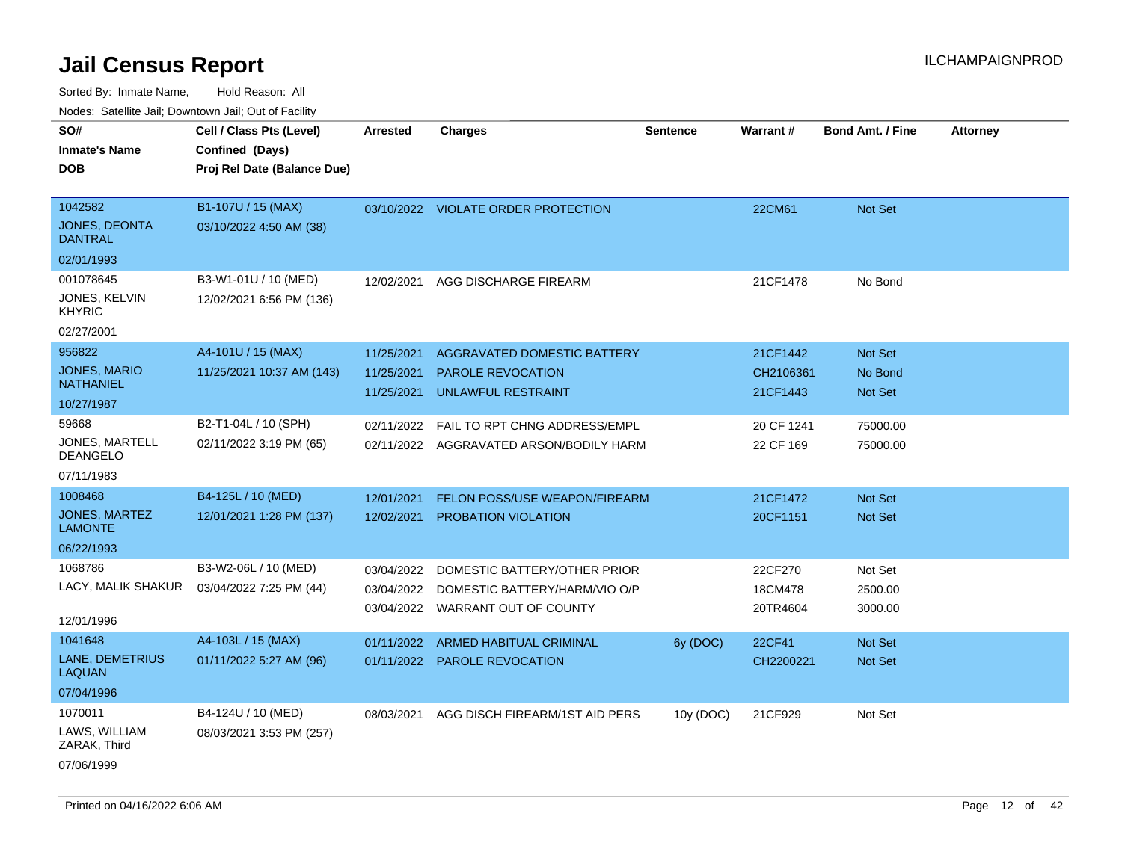| rougs. Calcinic Jan, Downtown Jan, Out of Facility |                             |                 |                                         |                 |            |                         |                 |
|----------------------------------------------------|-----------------------------|-----------------|-----------------------------------------|-----------------|------------|-------------------------|-----------------|
| SO#                                                | Cell / Class Pts (Level)    | <b>Arrested</b> | <b>Charges</b>                          | <b>Sentence</b> | Warrant#   | <b>Bond Amt. / Fine</b> | <b>Attorney</b> |
| <b>Inmate's Name</b>                               | Confined (Days)             |                 |                                         |                 |            |                         |                 |
| <b>DOB</b>                                         | Proj Rel Date (Balance Due) |                 |                                         |                 |            |                         |                 |
|                                                    |                             |                 |                                         |                 |            |                         |                 |
| 1042582                                            | B1-107U / 15 (MAX)          |                 | 03/10/2022 VIOLATE ORDER PROTECTION     |                 | 22CM61     | Not Set                 |                 |
| JONES, DEONTA<br><b>DANTRAL</b>                    | 03/10/2022 4:50 AM (38)     |                 |                                         |                 |            |                         |                 |
| 02/01/1993                                         |                             |                 |                                         |                 |            |                         |                 |
| 001078645                                          | B3-W1-01U / 10 (MED)        | 12/02/2021      | AGG DISCHARGE FIREARM                   |                 | 21CF1478   | No Bond                 |                 |
| JONES, KELVIN<br><b>KHYRIC</b>                     | 12/02/2021 6:56 PM (136)    |                 |                                         |                 |            |                         |                 |
| 02/27/2001                                         |                             |                 |                                         |                 |            |                         |                 |
| 956822                                             | A4-101U / 15 (MAX)          | 11/25/2021      | AGGRAVATED DOMESTIC BATTERY             |                 | 21CF1442   | Not Set                 |                 |
| <b>JONES, MARIO</b>                                | 11/25/2021 10:37 AM (143)   | 11/25/2021      | <b>PAROLE REVOCATION</b>                |                 | CH2106361  | No Bond                 |                 |
| <b>NATHANIEL</b>                                   |                             | 11/25/2021      | UNLAWFUL RESTRAINT                      |                 | 21CF1443   | Not Set                 |                 |
| 10/27/1987                                         |                             |                 |                                         |                 |            |                         |                 |
| 59668                                              | B2-T1-04L / 10 (SPH)        | 02/11/2022      | FAIL TO RPT CHNG ADDRESS/EMPL           |                 | 20 CF 1241 | 75000.00                |                 |
| <b>JONES, MARTELL</b><br><b>DEANGELO</b>           | 02/11/2022 3:19 PM (65)     |                 | 02/11/2022 AGGRAVATED ARSON/BODILY HARM |                 | 22 CF 169  | 75000.00                |                 |
| 07/11/1983                                         |                             |                 |                                         |                 |            |                         |                 |
| 1008468                                            | B4-125L / 10 (MED)          | 12/01/2021      | <b>FELON POSS/USE WEAPON/FIREARM</b>    |                 | 21CF1472   | Not Set                 |                 |
| JONES, MARTEZ<br><b>LAMONTE</b>                    | 12/01/2021 1:28 PM (137)    | 12/02/2021      | <b>PROBATION VIOLATION</b>              |                 | 20CF1151   | Not Set                 |                 |
| 06/22/1993                                         |                             |                 |                                         |                 |            |                         |                 |
| 1068786                                            | B3-W2-06L / 10 (MED)        | 03/04/2022      | DOMESTIC BATTERY/OTHER PRIOR            |                 | 22CF270    | Not Set                 |                 |
| LACY, MALIK SHAKUR                                 | 03/04/2022 7:25 PM (44)     | 03/04/2022      | DOMESTIC BATTERY/HARM/VIO O/P           |                 | 18CM478    | 2500.00                 |                 |
|                                                    |                             |                 | 03/04/2022 WARRANT OUT OF COUNTY        |                 | 20TR4604   | 3000.00                 |                 |
| 12/01/1996                                         |                             |                 |                                         |                 |            |                         |                 |
| 1041648                                            | A4-103L / 15 (MAX)          | 01/11/2022      | ARMED HABITUAL CRIMINAL                 | 6y (DOC)        | 22CF41     | Not Set                 |                 |
| LANE, DEMETRIUS<br><b>LAQUAN</b>                   | 01/11/2022 5:27 AM (96)     |                 | 01/11/2022 PAROLE REVOCATION            |                 | CH2200221  | Not Set                 |                 |
| 07/04/1996                                         |                             |                 |                                         |                 |            |                         |                 |
| 1070011                                            | B4-124U / 10 (MED)          | 08/03/2021      | AGG DISCH FIREARM/1ST AID PERS          | 10y (DOC)       | 21CF929    | Not Set                 |                 |
| LAWS, WILLIAM<br>ZARAK, Third                      | 08/03/2021 3:53 PM (257)    |                 |                                         |                 |            |                         |                 |
| 07/06/1999                                         |                             |                 |                                         |                 |            |                         |                 |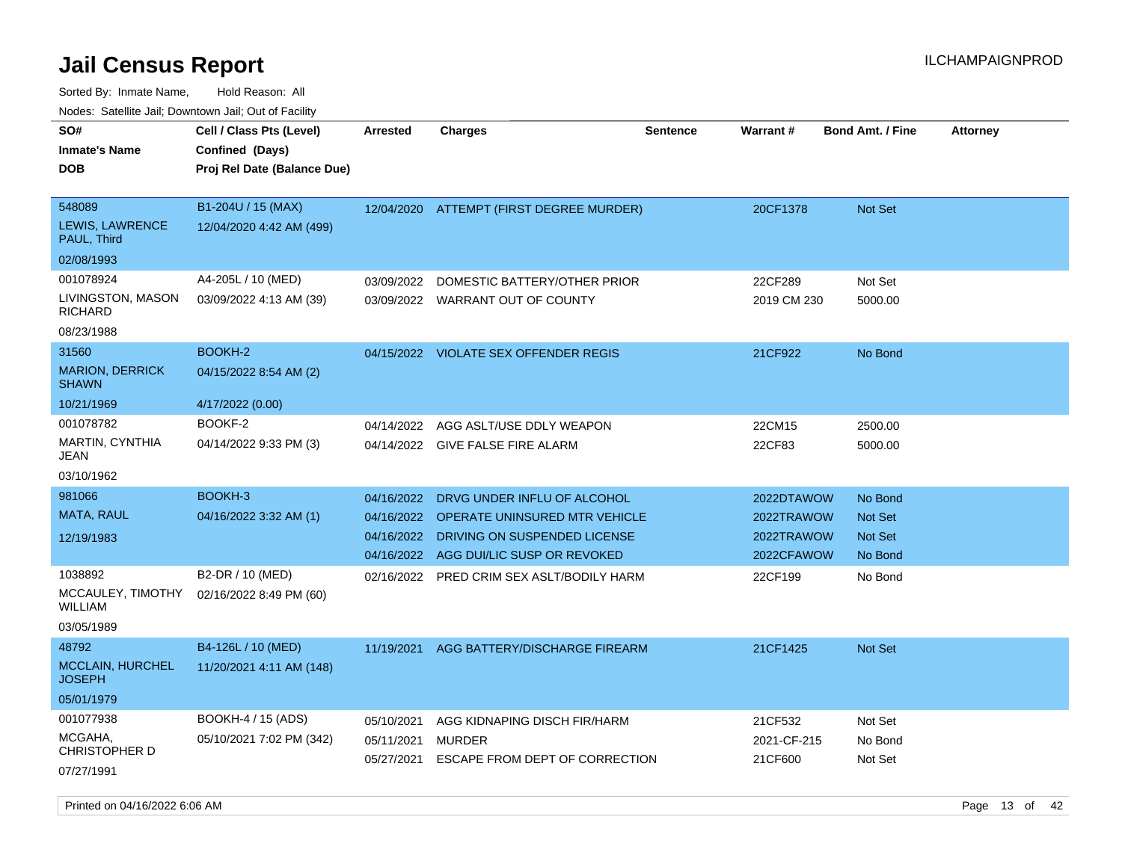Sorted By: Inmate Name, Hold Reason: All Nodes: Satellite Jail; Downtown Jail; Out of Facility

| ivoues. Salellite Jali, Downtown Jali, Out of Facility |                             |                 |                                   |                 |                 |                         |                 |
|--------------------------------------------------------|-----------------------------|-----------------|-----------------------------------|-----------------|-----------------|-------------------------|-----------------|
| SO#                                                    | Cell / Class Pts (Level)    | <b>Arrested</b> | <b>Charges</b>                    | <b>Sentence</b> | <b>Warrant#</b> | <b>Bond Amt. / Fine</b> | <b>Attorney</b> |
| <b>Inmate's Name</b>                                   | Confined (Days)             |                 |                                   |                 |                 |                         |                 |
| <b>DOB</b>                                             | Proj Rel Date (Balance Due) |                 |                                   |                 |                 |                         |                 |
|                                                        |                             |                 |                                   |                 |                 |                         |                 |
| 548089                                                 | B1-204U / 15 (MAX)          | 12/04/2020      | ATTEMPT (FIRST DEGREE MURDER)     |                 | 20CF1378        | <b>Not Set</b>          |                 |
| LEWIS, LAWRENCE<br>PAUL, Third                         | 12/04/2020 4:42 AM (499)    |                 |                                   |                 |                 |                         |                 |
| 02/08/1993                                             |                             |                 |                                   |                 |                 |                         |                 |
| 001078924                                              | A4-205L / 10 (MED)          | 03/09/2022      | DOMESTIC BATTERY/OTHER PRIOR      |                 | 22CF289         | Not Set                 |                 |
| LIVINGSTON, MASON<br>RICHARD                           | 03/09/2022 4:13 AM (39)     |                 | 03/09/2022 WARRANT OUT OF COUNTY  |                 | 2019 CM 230     | 5000.00                 |                 |
| 08/23/1988                                             |                             |                 |                                   |                 |                 |                         |                 |
| 31560                                                  | <b>BOOKH-2</b>              | 04/15/2022      | <b>VIOLATE SEX OFFENDER REGIS</b> |                 | 21CF922         | No Bond                 |                 |
| <b>MARION, DERRICK</b><br><b>SHAWN</b>                 | 04/15/2022 8:54 AM (2)      |                 |                                   |                 |                 |                         |                 |
| 10/21/1969                                             | 4/17/2022 (0.00)            |                 |                                   |                 |                 |                         |                 |
| 001078782                                              | BOOKF-2                     | 04/14/2022      | AGG ASLT/USE DDLY WEAPON          |                 | 22CM15          | 2500.00                 |                 |
| MARTIN, CYNTHIA<br>JEAN                                | 04/14/2022 9:33 PM (3)      | 04/14/2022      | GIVE FALSE FIRE ALARM             |                 | 22CF83          | 5000.00                 |                 |
| 03/10/1962                                             |                             |                 |                                   |                 |                 |                         |                 |
| 981066                                                 | BOOKH-3                     | 04/16/2022      | DRVG UNDER INFLU OF ALCOHOL       |                 | 2022DTAWOW      | No Bond                 |                 |
| MATA, RAUL                                             | 04/16/2022 3:32 AM (1)      | 04/16/2022      | OPERATE UNINSURED MTR VEHICLE     |                 | 2022TRAWOW      | <b>Not Set</b>          |                 |
| 12/19/1983                                             |                             | 04/16/2022      | DRIVING ON SUSPENDED LICENSE      |                 | 2022TRAWOW      | <b>Not Set</b>          |                 |
|                                                        |                             | 04/16/2022      | AGG DUI/LIC SUSP OR REVOKED       |                 | 2022CFAWOW      | No Bond                 |                 |
| 1038892                                                | B2-DR / 10 (MED)            | 02/16/2022      | PRED CRIM SEX ASLT/BODILY HARM    |                 | 22CF199         | No Bond                 |                 |
| MCCAULEY, TIMOTHY<br>WILLIAM                           | 02/16/2022 8:49 PM (60)     |                 |                                   |                 |                 |                         |                 |
| 03/05/1989                                             |                             |                 |                                   |                 |                 |                         |                 |
| 48792                                                  | B4-126L / 10 (MED)          | 11/19/2021      | AGG BATTERY/DISCHARGE FIREARM     |                 | 21CF1425        | <b>Not Set</b>          |                 |
| <b>MCCLAIN, HURCHEL</b><br>JOSEPH                      | 11/20/2021 4:11 AM (148)    |                 |                                   |                 |                 |                         |                 |
| 05/01/1979                                             |                             |                 |                                   |                 |                 |                         |                 |
| 001077938                                              | BOOKH-4 / 15 (ADS)          | 05/10/2021      | AGG KIDNAPING DISCH FIR/HARM      |                 | 21CF532         | Not Set                 |                 |
| MCGAHA.<br>CHRISTOPHER D                               | 05/10/2021 7:02 PM (342)    | 05/11/2021      | MURDER                            |                 | 2021-CF-215     | No Bond                 |                 |
| 07/27/1991                                             |                             | 05/27/2021      | ESCAPE FROM DEPT OF CORRECTION    |                 | 21CF600         | Not Set                 |                 |

Printed on 04/16/2022 6:06 AM Page 13 of 42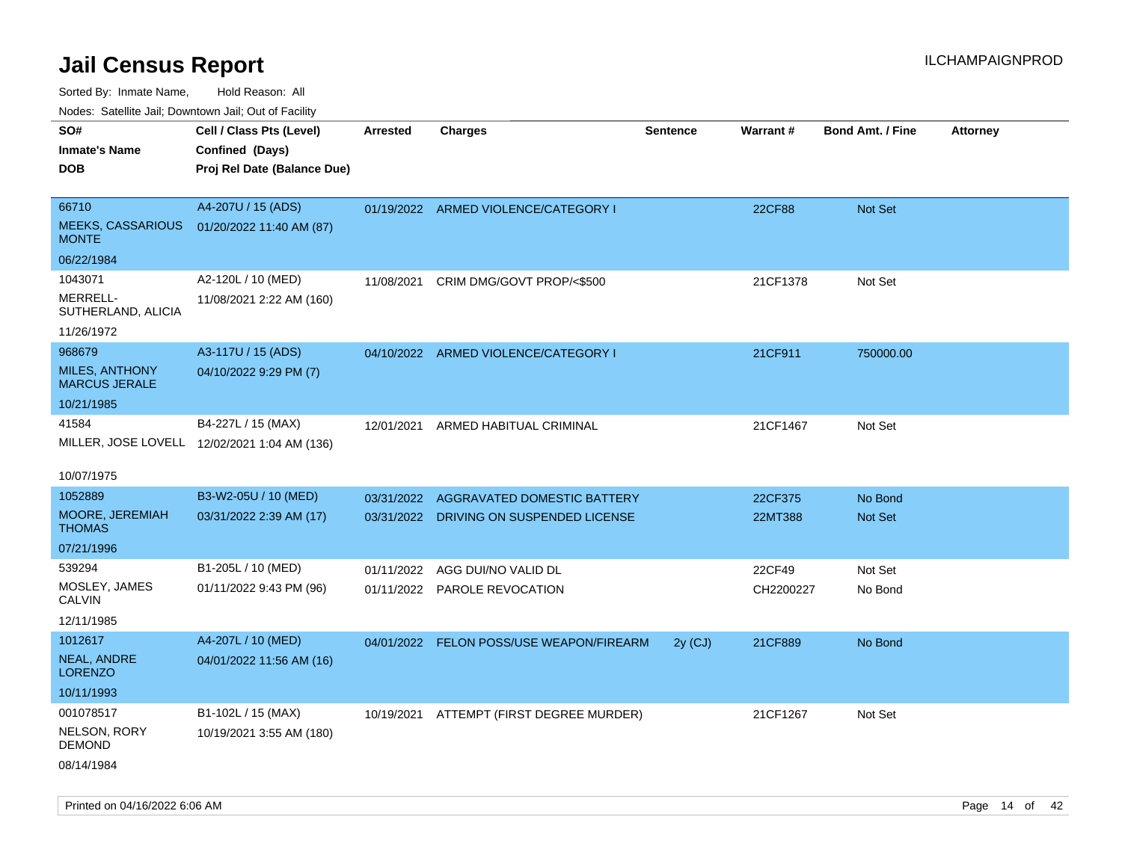Sorted By: Inmate Name, Hold Reason: All

Nodes: Satellite Jail; Downtown Jail; Out of Facility

| SO#                                           | Cell / Class Pts (Level)                     | <b>Arrested</b> | <b>Charges</b>                           | <b>Sentence</b> | Warrant#  | <b>Bond Amt. / Fine</b> | <b>Attorney</b> |
|-----------------------------------------------|----------------------------------------------|-----------------|------------------------------------------|-----------------|-----------|-------------------------|-----------------|
| <b>Inmate's Name</b>                          | Confined (Days)                              |                 |                                          |                 |           |                         |                 |
| <b>DOB</b>                                    | Proj Rel Date (Balance Due)                  |                 |                                          |                 |           |                         |                 |
|                                               |                                              |                 |                                          |                 |           |                         |                 |
| 66710                                         | A4-207U / 15 (ADS)                           |                 | 01/19/2022 ARMED VIOLENCE/CATEGORY I     |                 | 22CF88    | Not Set                 |                 |
| <b>MEEKS, CASSARIOUS</b><br><b>MONTE</b>      | 01/20/2022 11:40 AM (87)                     |                 |                                          |                 |           |                         |                 |
| 06/22/1984                                    |                                              |                 |                                          |                 |           |                         |                 |
| 1043071                                       | A2-120L / 10 (MED)                           | 11/08/2021      | CRIM DMG/GOVT PROP/<\$500                |                 | 21CF1378  | Not Set                 |                 |
| MERRELL-<br>SUTHERLAND, ALICIA                | 11/08/2021 2:22 AM (160)                     |                 |                                          |                 |           |                         |                 |
| 11/26/1972                                    |                                              |                 |                                          |                 |           |                         |                 |
| 968679                                        | A3-117U / 15 (ADS)                           |                 | 04/10/2022 ARMED VIOLENCE/CATEGORY I     |                 | 21CF911   | 750000.00               |                 |
| <b>MILES, ANTHONY</b><br><b>MARCUS JERALE</b> | 04/10/2022 9:29 PM (7)                       |                 |                                          |                 |           |                         |                 |
| 10/21/1985                                    |                                              |                 |                                          |                 |           |                         |                 |
| 41584                                         | B4-227L / 15 (MAX)                           |                 | 12/01/2021 ARMED HABITUAL CRIMINAL       |                 | 21CF1467  | Not Set                 |                 |
|                                               | MILLER, JOSE LOVELL 12/02/2021 1:04 AM (136) |                 |                                          |                 |           |                         |                 |
|                                               |                                              |                 |                                          |                 |           |                         |                 |
| 10/07/1975                                    |                                              |                 |                                          |                 |           |                         |                 |
| 1052889                                       | B3-W2-05U / 10 (MED)                         | 03/31/2022      | AGGRAVATED DOMESTIC BATTERY              |                 | 22CF375   | No Bond                 |                 |
| MOORE, JEREMIAH<br><b>THOMAS</b>              | 03/31/2022 2:39 AM (17)                      | 03/31/2022      | DRIVING ON SUSPENDED LICENSE             |                 | 22MT388   | Not Set                 |                 |
| 07/21/1996                                    |                                              |                 |                                          |                 |           |                         |                 |
| 539294                                        | B1-205L / 10 (MED)                           | 01/11/2022      | AGG DUI/NO VALID DL                      |                 | 22CF49    | Not Set                 |                 |
| MOSLEY, JAMES                                 | 01/11/2022 9:43 PM (96)                      |                 | 01/11/2022 PAROLE REVOCATION             |                 | CH2200227 | No Bond                 |                 |
| <b>CALVIN</b>                                 |                                              |                 |                                          |                 |           |                         |                 |
| 12/11/1985                                    |                                              |                 |                                          |                 |           |                         |                 |
| 1012617                                       | A4-207L / 10 (MED)                           |                 | 04/01/2022 FELON POSS/USE WEAPON/FIREARM | $2y$ (CJ)       | 21CF889   | No Bond                 |                 |
| <b>NEAL, ANDRE</b><br><b>LORENZO</b>          | 04/01/2022 11:56 AM (16)                     |                 |                                          |                 |           |                         |                 |
| 10/11/1993                                    |                                              |                 |                                          |                 |           |                         |                 |
| 001078517                                     | B1-102L / 15 (MAX)                           |                 | 10/19/2021 ATTEMPT (FIRST DEGREE MURDER) |                 | 21CF1267  | Not Set                 |                 |
| NELSON, RORY<br><b>DEMOND</b>                 | 10/19/2021 3:55 AM (180)                     |                 |                                          |                 |           |                         |                 |
| 08/14/1984                                    |                                              |                 |                                          |                 |           |                         |                 |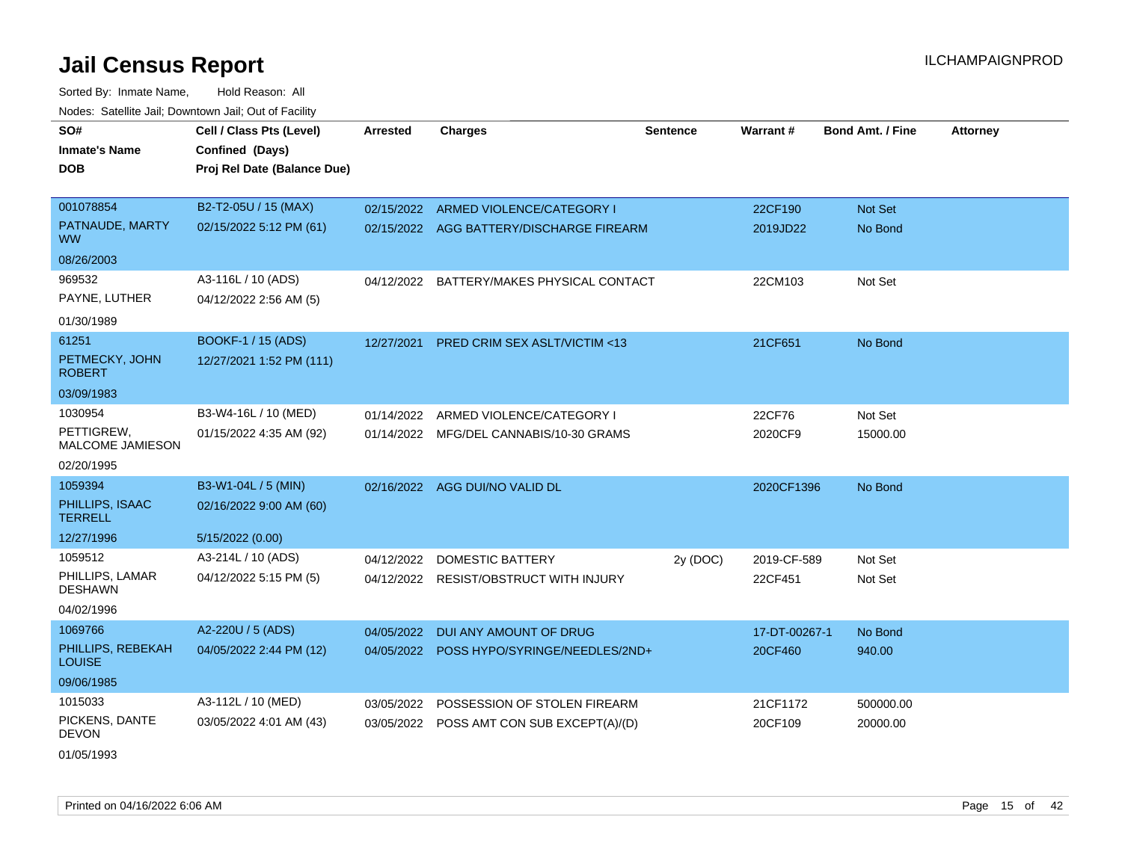Sorted By: Inmate Name, Hold Reason: All Nodes: Satellite Jail; Downtown Jail; Out of Facility

| SO#                                | Cell / Class Pts (Level)    | <b>Arrested</b> | <b>Charges</b>                            | <b>Sentence</b> | Warrant#      | <b>Bond Amt. / Fine</b> | <b>Attorney</b> |
|------------------------------------|-----------------------------|-----------------|-------------------------------------------|-----------------|---------------|-------------------------|-----------------|
| <b>Inmate's Name</b>               | Confined (Days)             |                 |                                           |                 |               |                         |                 |
| <b>DOB</b>                         | Proj Rel Date (Balance Due) |                 |                                           |                 |               |                         |                 |
|                                    |                             |                 |                                           |                 |               |                         |                 |
| 001078854                          | B2-T2-05U / 15 (MAX)        |                 | 02/15/2022 ARMED VIOLENCE/CATEGORY I      |                 | 22CF190       | Not Set                 |                 |
| PATNAUDE, MARTY<br><b>WW</b>       | 02/15/2022 5:12 PM (61)     |                 | 02/15/2022 AGG BATTERY/DISCHARGE FIREARM  |                 | 2019JD22      | No Bond                 |                 |
| 08/26/2003                         |                             |                 |                                           |                 |               |                         |                 |
| 969532                             | A3-116L / 10 (ADS)          | 04/12/2022      | BATTERY/MAKES PHYSICAL CONTACT            |                 | 22CM103       | Not Set                 |                 |
| PAYNE, LUTHER                      | 04/12/2022 2:56 AM (5)      |                 |                                           |                 |               |                         |                 |
| 01/30/1989                         |                             |                 |                                           |                 |               |                         |                 |
| 61251                              | BOOKF-1 / 15 (ADS)          | 12/27/2021      | PRED CRIM SEX ASLT/VICTIM <13             |                 | 21CF651       | No Bond                 |                 |
| PETMECKY, JOHN<br><b>ROBERT</b>    | 12/27/2021 1:52 PM (111)    |                 |                                           |                 |               |                         |                 |
| 03/09/1983                         |                             |                 |                                           |                 |               |                         |                 |
| 1030954                            | B3-W4-16L / 10 (MED)        | 01/14/2022      | ARMED VIOLENCE/CATEGORY I                 |                 | 22CF76        | Not Set                 |                 |
| PETTIGREW,<br>MALCOME JAMIESON     | 01/15/2022 4:35 AM (92)     |                 | 01/14/2022 MFG/DEL CANNABIS/10-30 GRAMS   |                 | 2020CF9       | 15000.00                |                 |
| 02/20/1995                         |                             |                 |                                           |                 |               |                         |                 |
| 1059394                            | B3-W1-04L / 5 (MIN)         |                 | 02/16/2022 AGG DUI/NO VALID DL            |                 | 2020CF1396    | No Bond                 |                 |
| PHILLIPS, ISAAC<br><b>TERRELL</b>  | 02/16/2022 9:00 AM (60)     |                 |                                           |                 |               |                         |                 |
| 12/27/1996                         | 5/15/2022 (0.00)            |                 |                                           |                 |               |                         |                 |
| 1059512                            | A3-214L / 10 (ADS)          | 04/12/2022      | <b>DOMESTIC BATTERY</b>                   | 2y (DOC)        | 2019-CF-589   | Not Set                 |                 |
| PHILLIPS, LAMAR<br><b>DESHAWN</b>  | 04/12/2022 5:15 PM (5)      |                 | 04/12/2022 RESIST/OBSTRUCT WITH INJURY    |                 | 22CF451       | Not Set                 |                 |
| 04/02/1996                         |                             |                 |                                           |                 |               |                         |                 |
| 1069766                            | A2-220U / 5 (ADS)           | 04/05/2022      | DUI ANY AMOUNT OF DRUG                    |                 | 17-DT-00267-1 | No Bond                 |                 |
| PHILLIPS, REBEKAH<br><b>LOUISE</b> | 04/05/2022 2:44 PM (12)     | 04/05/2022      | POSS HYPO/SYRINGE/NEEDLES/2ND+            |                 | 20CF460       | 940.00                  |                 |
| 09/06/1985                         |                             |                 |                                           |                 |               |                         |                 |
| 1015033                            | A3-112L / 10 (MED)          | 03/05/2022      | POSSESSION OF STOLEN FIREARM              |                 | 21CF1172      | 500000.00               |                 |
| PICKENS, DANTE<br><b>DEVON</b>     | 03/05/2022 4:01 AM (43)     |                 | 03/05/2022 POSS AMT CON SUB EXCEPT(A)/(D) |                 | 20CF109       | 20000.00                |                 |

01/05/1993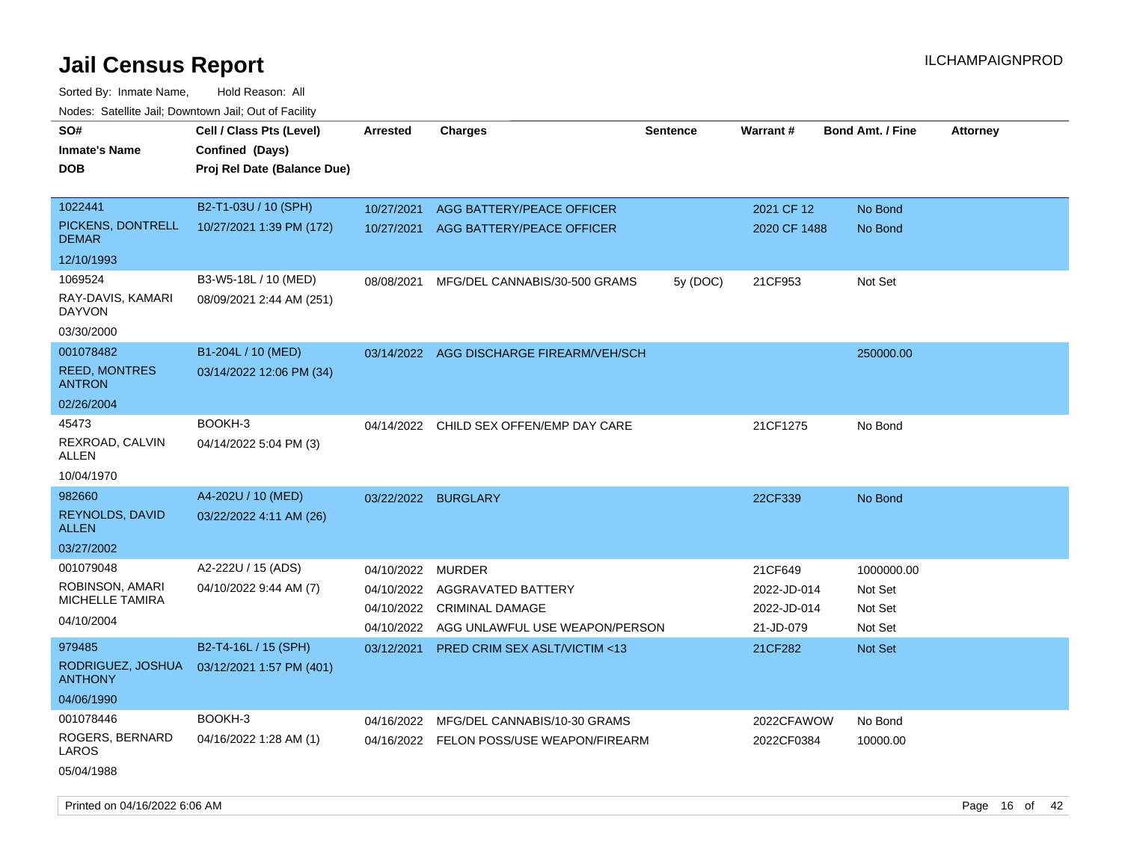| SO#<br><b>Inmate's Name</b><br><b>DOB</b>                          | Cell / Class Pts (Level)<br>Confined (Days)<br>Proj Rel Date (Balance Due) | Arrested                                             | <b>Charges</b>                                                                                  | <b>Sentence</b> | Warrant#                                           | <b>Bond Amt. / Fine</b>                     | <b>Attorney</b> |
|--------------------------------------------------------------------|----------------------------------------------------------------------------|------------------------------------------------------|-------------------------------------------------------------------------------------------------|-----------------|----------------------------------------------------|---------------------------------------------|-----------------|
| 1022441<br>PICKENS, DONTRELL<br><b>DEMAR</b>                       | B2-T1-03U / 10 (SPH)<br>10/27/2021 1:39 PM (172)                           | 10/27/2021                                           | AGG BATTERY/PEACE OFFICER<br>10/27/2021 AGG BATTERY/PEACE OFFICER                               |                 | 2021 CF 12<br>2020 CF 1488                         | No Bond<br>No Bond                          |                 |
| 12/10/1993<br>1069524<br>RAY-DAVIS, KAMARI<br>DAYVON<br>03/30/2000 | B3-W5-18L / 10 (MED)<br>08/09/2021 2:44 AM (251)                           | 08/08/2021                                           | MFG/DEL CANNABIS/30-500 GRAMS                                                                   | 5y (DOC)        | 21CF953                                            | Not Set                                     |                 |
| 001078482<br><b>REED, MONTRES</b><br><b>ANTRON</b><br>02/26/2004   | B1-204L / 10 (MED)<br>03/14/2022 12:06 PM (34)                             |                                                      | 03/14/2022 AGG DISCHARGE FIREARM/VEH/SCH                                                        |                 |                                                    | 250000.00                                   |                 |
| 45473<br>REXROAD, CALVIN<br>ALLEN<br>10/04/1970                    | BOOKH-3<br>04/14/2022 5:04 PM (3)                                          |                                                      | 04/14/2022 CHILD SEX OFFEN/EMP DAY CARE                                                         |                 | 21CF1275                                           | No Bond                                     |                 |
| 982660<br>REYNOLDS, DAVID<br><b>ALLEN</b><br>03/27/2002            | A4-202U / 10 (MED)<br>03/22/2022 4:11 AM (26)                              | 03/22/2022 BURGLARY                                  |                                                                                                 |                 | 22CF339                                            | No Bond                                     |                 |
| 001079048<br>ROBINSON, AMARI<br>MICHELLE TAMIRA<br>04/10/2004      | A2-222U / 15 (ADS)<br>04/10/2022 9:44 AM (7)                               | 04/10/2022<br>04/10/2022<br>04/10/2022<br>04/10/2022 | <b>MURDER</b><br>AGGRAVATED BATTERY<br><b>CRIMINAL DAMAGE</b><br>AGG UNLAWFUL USE WEAPON/PERSON |                 | 21CF649<br>2022-JD-014<br>2022-JD-014<br>21-JD-079 | 1000000.00<br>Not Set<br>Not Set<br>Not Set |                 |
| 979485<br>RODRIGUEZ, JOSHUA<br><b>ANTHONY</b><br>04/06/1990        | B2-T4-16L / 15 (SPH)<br>03/12/2021 1:57 PM (401)                           | 03/12/2021                                           | PRED CRIM SEX ASLT/VICTIM <13                                                                   |                 | 21CF282                                            | <b>Not Set</b>                              |                 |
| 001078446<br>ROGERS, BERNARD<br>LAROS<br>05/04/1988                | BOOKH-3<br>04/16/2022 1:28 AM (1)                                          | 04/16/2022                                           | MFG/DEL CANNABIS/10-30 GRAMS<br>04/16/2022 FELON POSS/USE WEAPON/FIREARM                        |                 | 2022CFAWOW<br>2022CF0384                           | No Bond<br>10000.00                         |                 |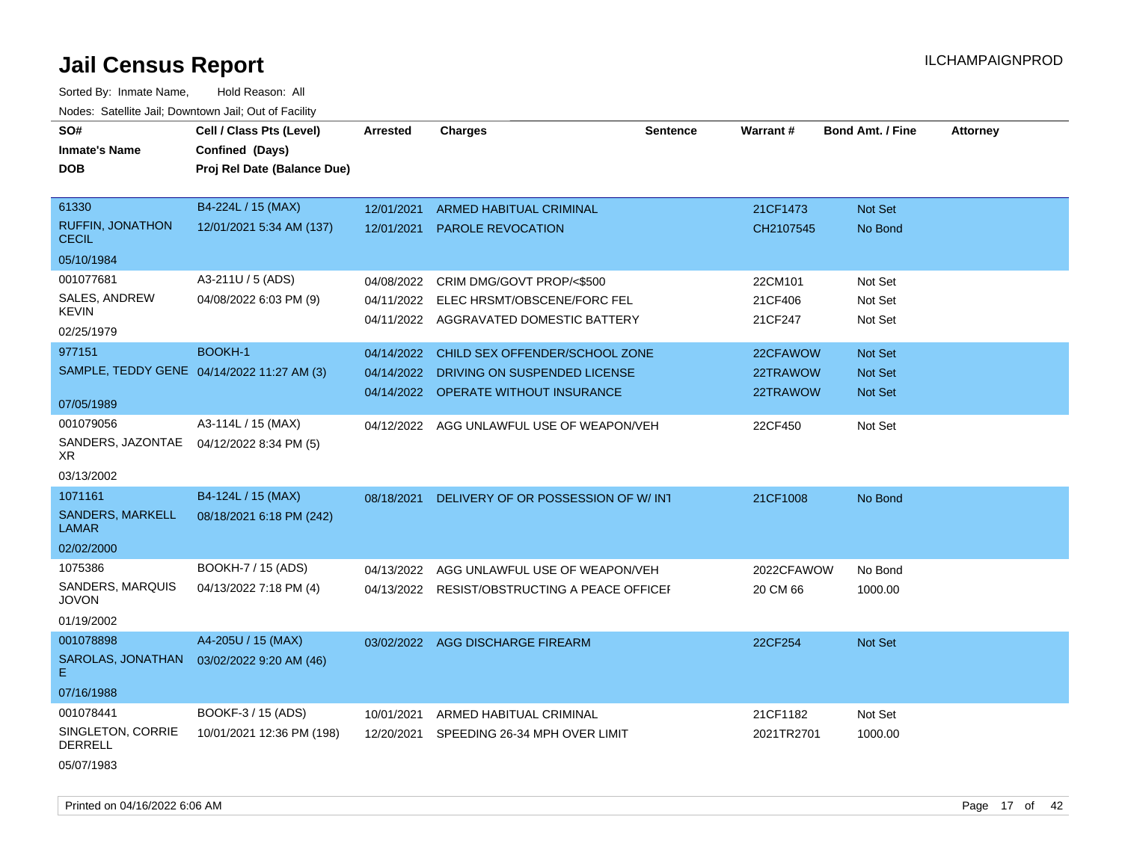Sorted By: Inmate Name, Hold Reason: All Nodes: Satellite Jail; Downtown Jail; Out of Facility

| SO#<br><b>Inmate's Name</b><br><b>DOB</b>  | Cell / Class Pts (Level)<br>Confined (Days)<br>Proj Rel Date (Balance Due) | <b>Arrested</b>          | <b>Charges</b>                                             | <b>Sentence</b> | <b>Warrant#</b>       | <b>Bond Amt. / Fine</b> | <b>Attorney</b> |
|--------------------------------------------|----------------------------------------------------------------------------|--------------------------|------------------------------------------------------------|-----------------|-----------------------|-------------------------|-----------------|
| 61330<br>RUFFIN, JONATHON                  | B4-224L / 15 (MAX)<br>12/01/2021 5:34 AM (137)                             | 12/01/2021<br>12/01/2021 | <b>ARMED HABITUAL CRIMINAL</b><br><b>PAROLE REVOCATION</b> |                 | 21CF1473<br>CH2107545 | Not Set<br>No Bond      |                 |
| <b>CECIL</b>                               |                                                                            |                          |                                                            |                 |                       |                         |                 |
| 05/10/1984                                 |                                                                            |                          |                                                            |                 |                       |                         |                 |
| 001077681                                  | A3-211U / 5 (ADS)                                                          |                          | 04/08/2022 CRIM DMG/GOVT PROP/<\$500                       |                 | 22CM101               | Not Set                 |                 |
| SALES, ANDREW<br>KEVIN                     | 04/08/2022 6:03 PM (9)                                                     | 04/11/2022               | ELEC HRSMT/OBSCENE/FORC FEL                                |                 | 21CF406               | Not Set                 |                 |
| 02/25/1979                                 |                                                                            |                          | 04/11/2022 AGGRAVATED DOMESTIC BATTERY                     |                 | 21CF247               | Not Set                 |                 |
| 977151                                     | <b>BOOKH-1</b>                                                             | 04/14/2022               | CHILD SEX OFFENDER/SCHOOL ZONE                             |                 | 22CFAWOW              | <b>Not Set</b>          |                 |
| SAMPLE, TEDDY GENE 04/14/2022 11:27 AM (3) |                                                                            | 04/14/2022               | DRIVING ON SUSPENDED LICENSE                               |                 | 22TRAWOW              | <b>Not Set</b>          |                 |
| 07/05/1989                                 |                                                                            |                          | 04/14/2022 OPERATE WITHOUT INSURANCE                       |                 | 22TRAWOW              | <b>Not Set</b>          |                 |
| 001079056                                  | A3-114L / 15 (MAX)                                                         |                          | 04/12/2022 AGG UNLAWFUL USE OF WEAPON/VEH                  |                 | 22CF450               | Not Set                 |                 |
| SANDERS, JAZONTAE<br>XR                    | 04/12/2022 8:34 PM (5)                                                     |                          |                                                            |                 |                       |                         |                 |
| 03/13/2002                                 |                                                                            |                          |                                                            |                 |                       |                         |                 |
| 1071161                                    | B4-124L / 15 (MAX)                                                         | 08/18/2021               | DELIVERY OF OR POSSESSION OF W/INT                         |                 | 21CF1008              | No Bond                 |                 |
| SANDERS, MARKELL<br><b>LAMAR</b>           | 08/18/2021 6:18 PM (242)                                                   |                          |                                                            |                 |                       |                         |                 |
| 02/02/2000                                 |                                                                            |                          |                                                            |                 |                       |                         |                 |
| 1075386                                    | BOOKH-7 / 15 (ADS)                                                         | 04/13/2022               | AGG UNLAWFUL USE OF WEAPON/VEH                             |                 | 2022CFAWOW            | No Bond                 |                 |
| SANDERS, MARQUIS<br><b>JOVON</b>           | 04/13/2022 7:18 PM (4)                                                     |                          | 04/13/2022 RESIST/OBSTRUCTING A PEACE OFFICEF              |                 | 20 CM 66              | 1000.00                 |                 |
| 01/19/2002                                 |                                                                            |                          |                                                            |                 |                       |                         |                 |
| 001078898                                  | A4-205U / 15 (MAX)                                                         |                          | 03/02/2022 AGG DISCHARGE FIREARM                           |                 | 22CF254               | Not Set                 |                 |
| SAROLAS, JONATHAN<br>E.                    | 03/02/2022 9:20 AM (46)                                                    |                          |                                                            |                 |                       |                         |                 |
| 07/16/1988                                 |                                                                            |                          |                                                            |                 |                       |                         |                 |
| 001078441                                  | BOOKF-3 / 15 (ADS)                                                         | 10/01/2021               | ARMED HABITUAL CRIMINAL                                    |                 | 21CF1182              | Not Set                 |                 |
| SINGLETON, CORRIE<br><b>DERRELL</b>        | 10/01/2021 12:36 PM (198)                                                  | 12/20/2021               | SPEEDING 26-34 MPH OVER LIMIT                              |                 | 2021TR2701            | 1000.00                 |                 |

05/07/1983

Printed on 04/16/2022 6:06 AM Page 17 of 42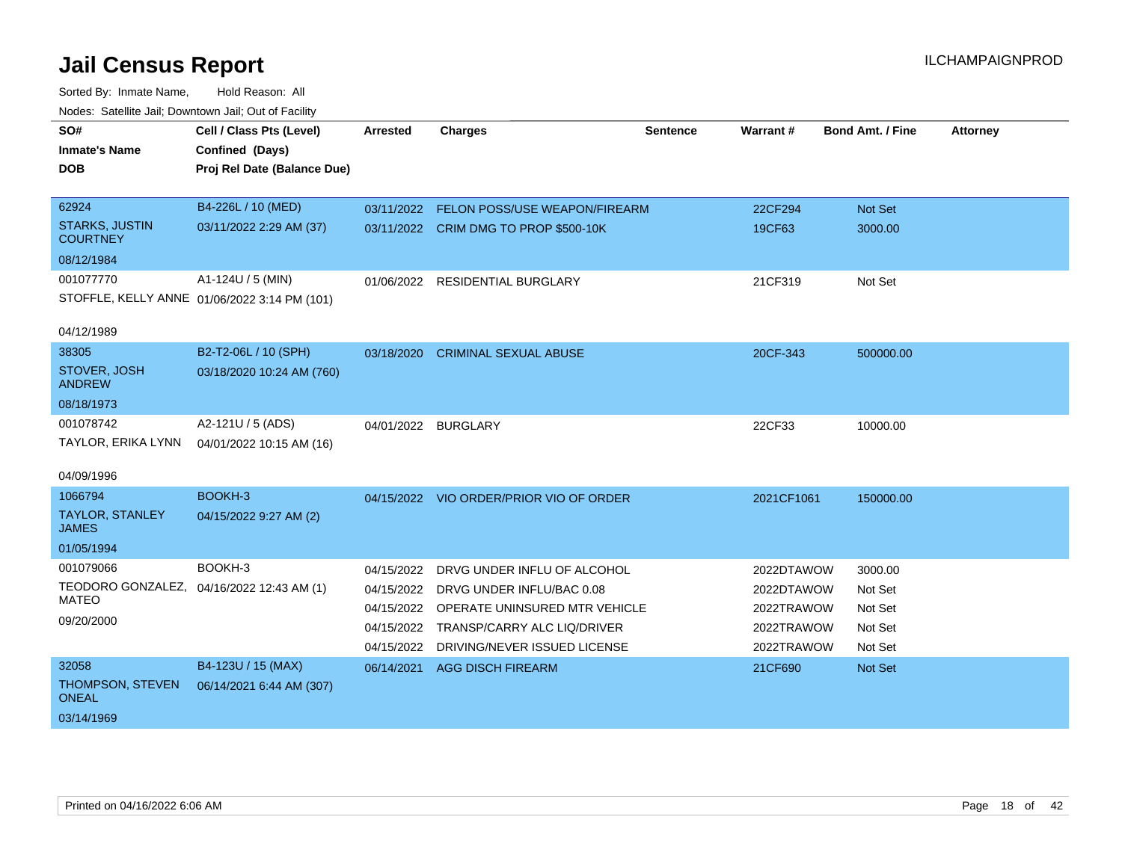| SO#                                      | Cell / Class Pts (Level)                     | <b>Arrested</b>     | <b>Charges</b>                           | <b>Sentence</b> | Warrant#   | <b>Bond Amt. / Fine</b> | <b>Attorney</b> |
|------------------------------------------|----------------------------------------------|---------------------|------------------------------------------|-----------------|------------|-------------------------|-----------------|
| <b>Inmate's Name</b>                     | Confined (Days)                              |                     |                                          |                 |            |                         |                 |
| <b>DOB</b>                               | Proj Rel Date (Balance Due)                  |                     |                                          |                 |            |                         |                 |
|                                          |                                              |                     |                                          |                 |            |                         |                 |
| 62924                                    | B4-226L / 10 (MED)                           | 03/11/2022          | <b>FELON POSS/USE WEAPON/FIREARM</b>     |                 | 22CF294    | <b>Not Set</b>          |                 |
| <b>STARKS, JUSTIN</b><br><b>COURTNEY</b> | 03/11/2022 2:29 AM (37)                      |                     | 03/11/2022 CRIM DMG TO PROP \$500-10K    |                 | 19CF63     | 3000.00                 |                 |
| 08/12/1984                               |                                              |                     |                                          |                 |            |                         |                 |
| 001077770                                | A1-124U / 5 (MIN)                            |                     | 01/06/2022 RESIDENTIAL BURGLARY          |                 | 21CF319    | Not Set                 |                 |
|                                          | STOFFLE, KELLY ANNE 01/06/2022 3:14 PM (101) |                     |                                          |                 |            |                         |                 |
|                                          |                                              |                     |                                          |                 |            |                         |                 |
| 04/12/1989                               |                                              |                     |                                          |                 |            |                         |                 |
| 38305                                    | B2-T2-06L / 10 (SPH)                         | 03/18/2020          | <b>CRIMINAL SEXUAL ABUSE</b>             |                 | 20CF-343   | 500000.00               |                 |
| STOVER, JOSH<br><b>ANDREW</b>            | 03/18/2020 10:24 AM (760)                    |                     |                                          |                 |            |                         |                 |
| 08/18/1973                               |                                              |                     |                                          |                 |            |                         |                 |
| 001078742                                | A2-121U / 5 (ADS)                            | 04/01/2022 BURGLARY |                                          |                 | 22CF33     | 10000.00                |                 |
| TAYLOR, ERIKA LYNN                       | 04/01/2022 10:15 AM (16)                     |                     |                                          |                 |            |                         |                 |
|                                          |                                              |                     |                                          |                 |            |                         |                 |
| 04/09/1996                               |                                              |                     |                                          |                 |            |                         |                 |
| 1066794                                  | BOOKH-3                                      |                     | 04/15/2022 VIO ORDER/PRIOR VIO OF ORDER  |                 | 2021CF1061 | 150000.00               |                 |
| <b>TAYLOR, STANLEY</b><br><b>JAMES</b>   | 04/15/2022 9:27 AM (2)                       |                     |                                          |                 |            |                         |                 |
| 01/05/1994                               |                                              |                     |                                          |                 |            |                         |                 |
| 001079066                                | BOOKH-3                                      | 04/15/2022          | DRVG UNDER INFLU OF ALCOHOL              |                 | 2022DTAWOW | 3000.00                 |                 |
|                                          | TEODORO GONZALEZ, 04/16/2022 12:43 AM (1)    | 04/15/2022          | DRVG UNDER INFLU/BAC 0.08                |                 | 2022DTAWOW | Not Set                 |                 |
| <b>MATEO</b>                             |                                              |                     | 04/15/2022 OPERATE UNINSURED MTR VEHICLE |                 | 2022TRAWOW | Not Set                 |                 |
| 09/20/2000                               |                                              |                     | 04/15/2022 TRANSP/CARRY ALC LIQ/DRIVER   |                 | 2022TRAWOW | Not Set                 |                 |
|                                          |                                              | 04/15/2022          | DRIVING/NEVER ISSUED LICENSE             |                 | 2022TRAWOW | Not Set                 |                 |
| 32058                                    | B4-123U / 15 (MAX)                           |                     | 06/14/2021 AGG DISCH FIREARM             |                 | 21CF690    | Not Set                 |                 |
| THOMPSON, STEVEN<br><b>ONEAL</b>         | 06/14/2021 6:44 AM (307)                     |                     |                                          |                 |            |                         |                 |
| 03/14/1969                               |                                              |                     |                                          |                 |            |                         |                 |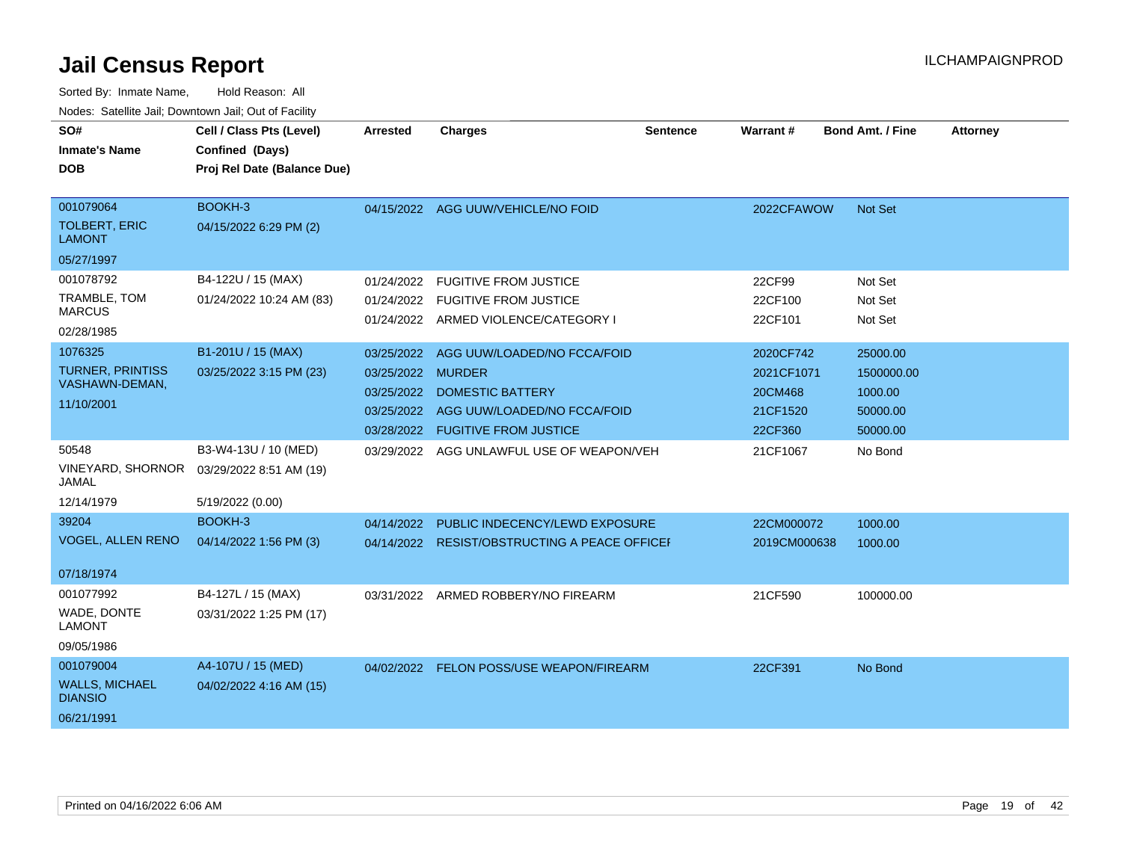| SO#                                     | Cell / Class Pts (Level)                       | Arrested          | <b>Charges</b>                                | <b>Sentence</b> | Warrant#     | <b>Bond Amt. / Fine</b> | <b>Attorney</b> |
|-----------------------------------------|------------------------------------------------|-------------------|-----------------------------------------------|-----------------|--------------|-------------------------|-----------------|
| <b>Inmate's Name</b><br><b>DOB</b>      | Confined (Days)<br>Proj Rel Date (Balance Due) |                   |                                               |                 |              |                         |                 |
|                                         |                                                |                   |                                               |                 |              |                         |                 |
| 001079064                               | BOOKH-3                                        |                   | 04/15/2022 AGG UUW/VEHICLE/NO FOID            |                 | 2022CFAWOW   | Not Set                 |                 |
| <b>TOLBERT, ERIC</b><br><b>LAMONT</b>   | 04/15/2022 6:29 PM (2)                         |                   |                                               |                 |              |                         |                 |
| 05/27/1997                              |                                                |                   |                                               |                 |              |                         |                 |
| 001078792                               | B4-122U / 15 (MAX)                             | 01/24/2022        | <b>FUGITIVE FROM JUSTICE</b>                  |                 | 22CF99       | Not Set                 |                 |
| TRAMBLE, TOM                            | 01/24/2022 10:24 AM (83)                       |                   | 01/24/2022 FUGITIVE FROM JUSTICE              |                 | 22CF100      | Not Set                 |                 |
| <b>MARCUS</b>                           |                                                |                   | 01/24/2022 ARMED VIOLENCE/CATEGORY I          |                 | 22CF101      | Not Set                 |                 |
| 02/28/1985                              |                                                |                   |                                               |                 |              |                         |                 |
| 1076325<br><b>TURNER, PRINTISS</b>      | B1-201U / 15 (MAX)                             | 03/25/2022        | AGG UUW/LOADED/NO FCCA/FOID                   |                 | 2020CF742    | 25000.00                |                 |
| VASHAWN-DEMAN,                          | 03/25/2022 3:15 PM (23)                        | 03/25/2022 MURDER |                                               |                 | 2021CF1071   | 1500000.00              |                 |
| 11/10/2001                              |                                                | 03/25/2022        | <b>DOMESTIC BATTERY</b>                       |                 | 20CM468      | 1000.00                 |                 |
|                                         |                                                | 03/25/2022        | AGG UUW/LOADED/NO FCCA/FOID                   |                 | 21CF1520     | 50000.00                |                 |
|                                         |                                                |                   | 03/28/2022 FUGITIVE FROM JUSTICE              |                 | 22CF360      | 50000.00                |                 |
| 50548<br><b>VINEYARD, SHORNOR</b>       | B3-W4-13U / 10 (MED)                           |                   | 03/29/2022 AGG UNLAWFUL USE OF WEAPON/VEH     |                 | 21CF1067     | No Bond                 |                 |
| <b>JAMAL</b>                            | 03/29/2022 8:51 AM (19)                        |                   |                                               |                 |              |                         |                 |
| 12/14/1979                              | 5/19/2022 (0.00)                               |                   |                                               |                 |              |                         |                 |
| 39204                                   | BOOKH-3                                        | 04/14/2022        | PUBLIC INDECENCY/LEWD EXPOSURE                |                 | 22CM000072   | 1000.00                 |                 |
| <b>VOGEL, ALLEN RENO</b>                | 04/14/2022 1:56 PM (3)                         |                   | 04/14/2022 RESIST/OBSTRUCTING A PEACE OFFICEF |                 | 2019CM000638 | 1000.00                 |                 |
|                                         |                                                |                   |                                               |                 |              |                         |                 |
| 07/18/1974                              |                                                |                   |                                               |                 |              |                         |                 |
| 001077992                               | B4-127L / 15 (MAX)                             | 03/31/2022        | ARMED ROBBERY/NO FIREARM                      |                 | 21CF590      | 100000.00               |                 |
| WADE, DONTE<br><b>LAMONT</b>            | 03/31/2022 1:25 PM (17)                        |                   |                                               |                 |              |                         |                 |
| 09/05/1986                              |                                                |                   |                                               |                 |              |                         |                 |
| 001079004                               | A4-107U / 15 (MED)                             |                   | 04/02/2022 FELON POSS/USE WEAPON/FIREARM      |                 | 22CF391      | No Bond                 |                 |
| <b>WALLS, MICHAEL</b><br><b>DIANSIO</b> | 04/02/2022 4:16 AM (15)                        |                   |                                               |                 |              |                         |                 |
| 06/21/1991                              |                                                |                   |                                               |                 |              |                         |                 |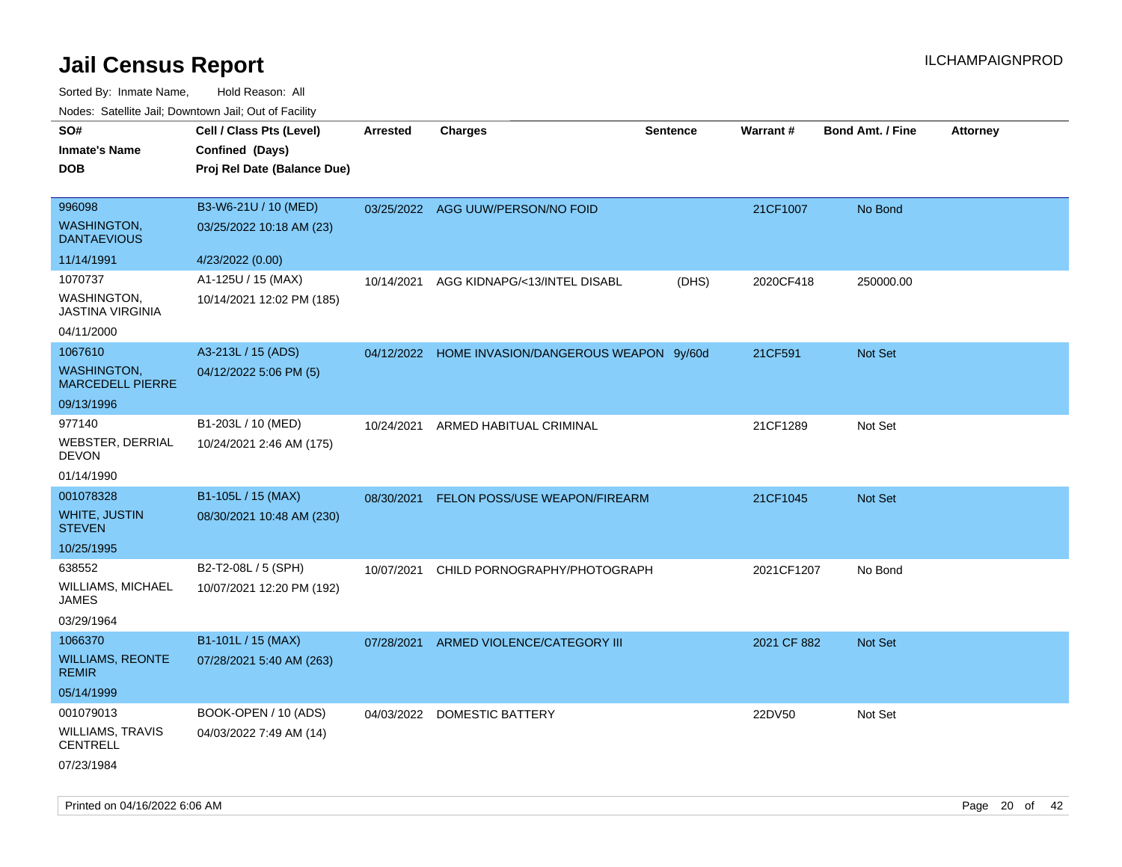| rouco. Calcinic Jan, Downtown Jan, Out of Facility |                             |                 |                                                  |                 |             |                         |                 |
|----------------------------------------------------|-----------------------------|-----------------|--------------------------------------------------|-----------------|-------------|-------------------------|-----------------|
| SO#                                                | Cell / Class Pts (Level)    | <b>Arrested</b> | <b>Charges</b>                                   | <b>Sentence</b> | Warrant#    | <b>Bond Amt. / Fine</b> | <b>Attorney</b> |
| Inmate's Name                                      | Confined (Days)             |                 |                                                  |                 |             |                         |                 |
| DOB                                                | Proj Rel Date (Balance Due) |                 |                                                  |                 |             |                         |                 |
|                                                    |                             |                 |                                                  |                 |             |                         |                 |
| 996098                                             | B3-W6-21U / 10 (MED)        |                 | 03/25/2022 AGG UUW/PERSON/NO FOID                |                 | 21CF1007    | No Bond                 |                 |
| <b>WASHINGTON,</b><br><b>DANTAEVIOUS</b>           | 03/25/2022 10:18 AM (23)    |                 |                                                  |                 |             |                         |                 |
| 11/14/1991                                         | 4/23/2022 (0.00)            |                 |                                                  |                 |             |                         |                 |
| 1070737                                            | A1-125U / 15 (MAX)          | 10/14/2021      | AGG KIDNAPG/<13/INTEL DISABL                     | (DHS)           | 2020CF418   | 250000.00               |                 |
| WASHINGTON,<br>JASTINA VIRGINIA                    | 10/14/2021 12:02 PM (185)   |                 |                                                  |                 |             |                         |                 |
| 04/11/2000                                         |                             |                 |                                                  |                 |             |                         |                 |
| 1067610                                            | A3-213L / 15 (ADS)          |                 | 04/12/2022 HOME INVASION/DANGEROUS WEAPON 9y/60d |                 | 21CF591     | <b>Not Set</b>          |                 |
| WASHINGTON,<br><b>MARCEDELL PIERRE</b>             | 04/12/2022 5:06 PM (5)      |                 |                                                  |                 |             |                         |                 |
| 09/13/1996                                         |                             |                 |                                                  |                 |             |                         |                 |
| 977140                                             | B1-203L / 10 (MED)          | 10/24/2021      | ARMED HABITUAL CRIMINAL                          |                 | 21CF1289    | Not Set                 |                 |
| WEBSTER, DERRIAL<br>DEVON                          | 10/24/2021 2:46 AM (175)    |                 |                                                  |                 |             |                         |                 |
| 01/14/1990                                         |                             |                 |                                                  |                 |             |                         |                 |
| 001078328                                          | B1-105L / 15 (MAX)          | 08/30/2021      | FELON POSS/USE WEAPON/FIREARM                    |                 | 21CF1045    | <b>Not Set</b>          |                 |
| WHITE, JUSTIN<br>STEVEN                            | 08/30/2021 10:48 AM (230)   |                 |                                                  |                 |             |                         |                 |
| 10/25/1995                                         |                             |                 |                                                  |                 |             |                         |                 |
| 638552                                             | B2-T2-08L / 5 (SPH)         | 10/07/2021      | CHILD PORNOGRAPHY/PHOTOGRAPH                     |                 | 2021CF1207  | No Bond                 |                 |
| WILLIAMS, MICHAEL<br>JAMES                         | 10/07/2021 12:20 PM (192)   |                 |                                                  |                 |             |                         |                 |
| 03/29/1964                                         |                             |                 |                                                  |                 |             |                         |                 |
| 1066370                                            | B1-101L / 15 (MAX)          | 07/28/2021      | ARMED VIOLENCE/CATEGORY III                      |                 | 2021 CF 882 | <b>Not Set</b>          |                 |
| <b>WILLIAMS, REONTE</b><br><b>REMIR</b>            | 07/28/2021 5:40 AM (263)    |                 |                                                  |                 |             |                         |                 |
| 05/14/1999                                         |                             |                 |                                                  |                 |             |                         |                 |
| 001079013                                          | BOOK-OPEN / 10 (ADS)        |                 | 04/03/2022 DOMESTIC BATTERY                      |                 | 22DV50      | Not Set                 |                 |
| WILLIAMS, TRAVIS<br>CENTRELL                       | 04/03/2022 7:49 AM (14)     |                 |                                                  |                 |             |                         |                 |
| 07/23/1984                                         |                             |                 |                                                  |                 |             |                         |                 |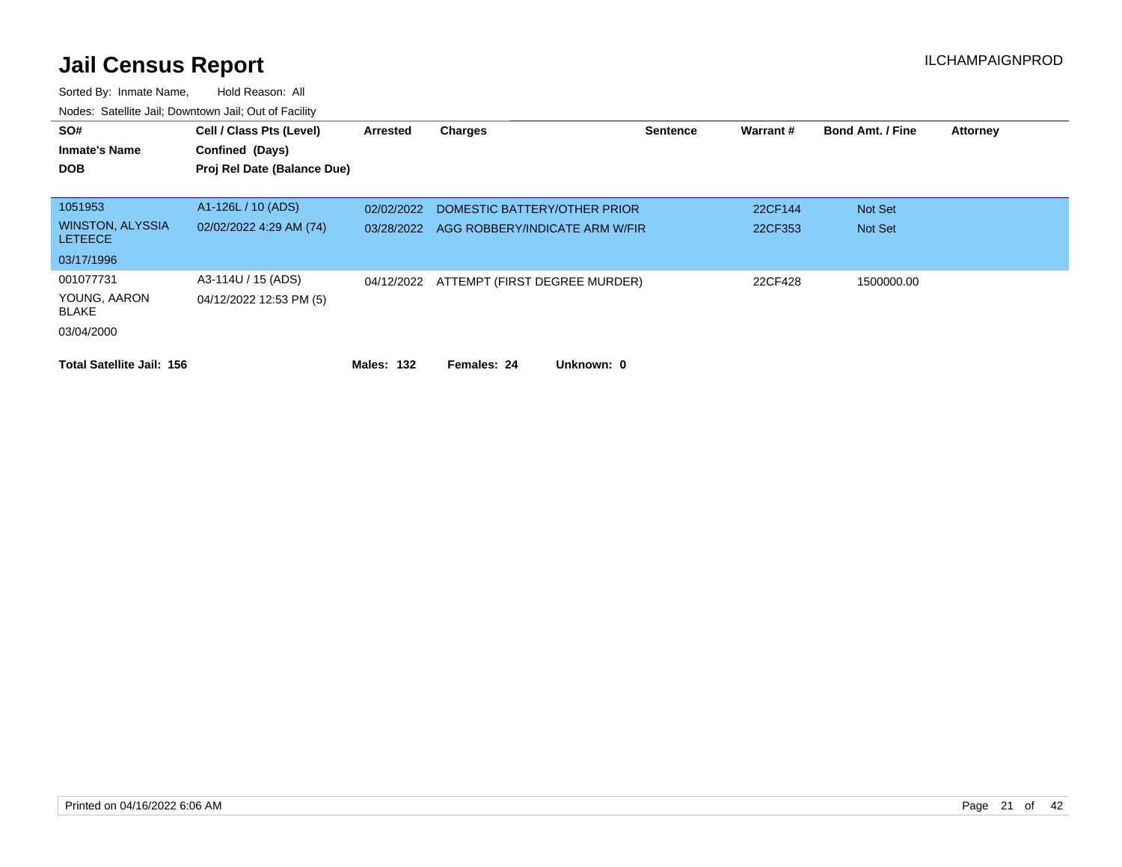| SO#<br><b>Inmate's Name</b><br><b>DOB</b> | Cell / Class Pts (Level)<br>Confined (Days)<br>Proj Rel Date (Balance Due) | Arrested   | <b>Charges</b>                           | <b>Sentence</b> | Warrant# | <b>Bond Amt. / Fine</b> | <b>Attorney</b> |
|-------------------------------------------|----------------------------------------------------------------------------|------------|------------------------------------------|-----------------|----------|-------------------------|-----------------|
| 1051953                                   | A1-126L / 10 (ADS)                                                         | 02/02/2022 | DOMESTIC BATTERY/OTHER PRIOR             |                 | 22CF144  | Not Set                 |                 |
| <b>WINSTON, ALYSSIA</b><br><b>LETEECE</b> | 02/02/2022 4:29 AM (74)                                                    | 03/28/2022 | AGG ROBBERY/INDICATE ARM W/FIR           |                 | 22CF353  | Not Set                 |                 |
| 03/17/1996                                |                                                                            |            |                                          |                 |          |                         |                 |
| 001077731                                 | A3-114U / 15 (ADS)                                                         |            | 04/12/2022 ATTEMPT (FIRST DEGREE MURDER) |                 | 22CF428  | 1500000.00              |                 |
| YOUNG, AARON<br>BLAKE                     | 04/12/2022 12:53 PM (5)                                                    |            |                                          |                 |          |                         |                 |
| 03/04/2000                                |                                                                            |            |                                          |                 |          |                         |                 |
| <b>Total Satellite Jail: 156</b>          |                                                                            | Males: 132 | Females: 24<br>Unknown: 0                |                 |          |                         |                 |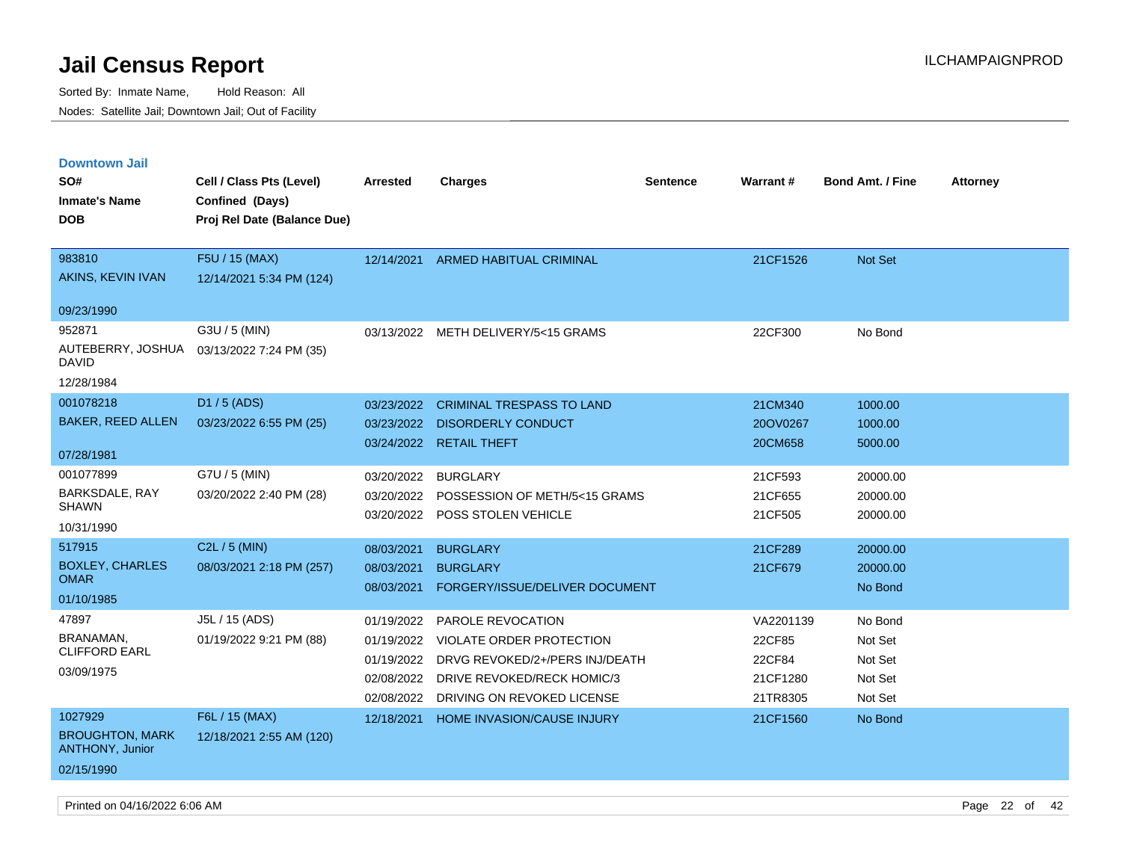| <b>Downtown Jail</b>                               |                             |            |                                       |          |                 |                         |                 |
|----------------------------------------------------|-----------------------------|------------|---------------------------------------|----------|-----------------|-------------------------|-----------------|
| SO#                                                | Cell / Class Pts (Level)    | Arrested   | <b>Charges</b>                        | Sentence | <b>Warrant#</b> | <b>Bond Amt. / Fine</b> | <b>Attorney</b> |
| <b>Inmate's Name</b>                               | Confined (Days)             |            |                                       |          |                 |                         |                 |
| <b>DOB</b>                                         | Proj Rel Date (Balance Due) |            |                                       |          |                 |                         |                 |
|                                                    |                             |            |                                       |          |                 |                         |                 |
| 983810                                             | F5U / 15 (MAX)              | 12/14/2021 | <b>ARMED HABITUAL CRIMINAL</b>        |          | 21CF1526        | Not Set                 |                 |
| AKINS, KEVIN IVAN                                  | 12/14/2021 5:34 PM (124)    |            |                                       |          |                 |                         |                 |
| 09/23/1990                                         |                             |            |                                       |          |                 |                         |                 |
| 952871                                             | G3U / 5 (MIN)               |            | 03/13/2022 METH DELIVERY/5<15 GRAMS   |          | 22CF300         | No Bond                 |                 |
| AUTEBERRY, JOSHUA 03/13/2022 7:24 PM (35)<br>DAVID |                             |            |                                       |          |                 |                         |                 |
| 12/28/1984                                         |                             |            |                                       |          |                 |                         |                 |
| 001078218                                          | D1 / 5 (ADS)                | 03/23/2022 | <b>CRIMINAL TRESPASS TO LAND</b>      |          | 21CM340         | 1000.00                 |                 |
| <b>BAKER, REED ALLEN</b>                           | 03/23/2022 6:55 PM (25)     | 03/23/2022 | <b>DISORDERLY CONDUCT</b>             |          | 20OV0267        | 1000.00                 |                 |
|                                                    |                             | 03/24/2022 | <b>RETAIL THEFT</b>                   |          | 20CM658         | 5000.00                 |                 |
| 07/28/1981                                         |                             |            |                                       |          |                 |                         |                 |
| 001077899                                          | G7U / 5 (MIN)               | 03/20/2022 | <b>BURGLARY</b>                       |          | 21CF593         | 20000.00                |                 |
| BARKSDALE, RAY<br><b>SHAWN</b>                     | 03/20/2022 2:40 PM (28)     | 03/20/2022 | POSSESSION OF METH/5<15 GRAMS         |          | 21CF655         | 20000.00                |                 |
| 10/31/1990                                         |                             | 03/20/2022 | POSS STOLEN VEHICLE                   |          | 21CF505         | 20000.00                |                 |
| 517915                                             | C2L / 5 (MIN)               |            |                                       |          |                 |                         |                 |
| <b>BOXLEY, CHARLES</b>                             |                             | 08/03/2021 | <b>BURGLARY</b>                       |          | 21CF289         | 20000.00                |                 |
| <b>OMAR</b>                                        | 08/03/2021 2:18 PM (257)    | 08/03/2021 | <b>BURGLARY</b>                       |          | 21CF679         | 20000.00                |                 |
| 01/10/1985                                         |                             | 08/03/2021 | FORGERY/ISSUE/DELIVER DOCUMENT        |          |                 | No Bond                 |                 |
| 47897                                              | J5L / 15 (ADS)              | 01/19/2022 | PAROLE REVOCATION                     |          | VA2201139       | No Bond                 |                 |
| BRANAMAN,                                          | 01/19/2022 9:21 PM (88)     | 01/19/2022 | VIOLATE ORDER PROTECTION              |          | 22CF85          | Not Set                 |                 |
| <b>CLIFFORD EARL</b>                               |                             | 01/19/2022 | DRVG REVOKED/2+/PERS INJ/DEATH        |          | 22CF84          | Not Set                 |                 |
| 03/09/1975                                         |                             |            | 02/08/2022 DRIVE REVOKED/RECK HOMIC/3 |          | 21CF1280        | Not Set                 |                 |
|                                                    |                             | 02/08/2022 | DRIVING ON REVOKED LICENSE            |          | 21TR8305        | Not Set                 |                 |
| 1027929                                            | F6L / 15 (MAX)              | 12/18/2021 | <b>HOME INVASION/CAUSE INJURY</b>     |          | 21CF1560        | No Bond                 |                 |
| <b>BROUGHTON, MARK</b><br><b>ANTHONY, Junior</b>   | 12/18/2021 2:55 AM (120)    |            |                                       |          |                 |                         |                 |
| 02/15/1990                                         |                             |            |                                       |          |                 |                         |                 |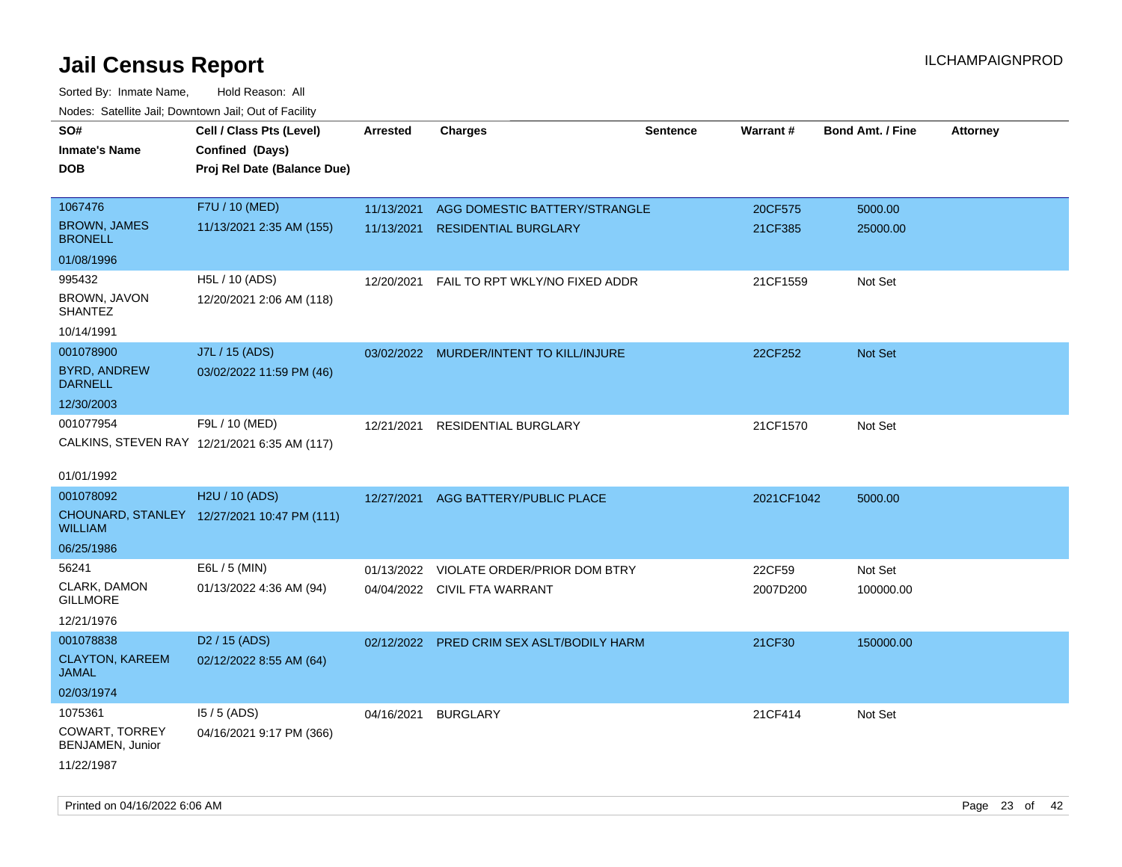| roaco. Catolino dall, Downtown dall, Out of Fability |                                              |                 |                                           |                 |                 |                         |                 |
|------------------------------------------------------|----------------------------------------------|-----------------|-------------------------------------------|-----------------|-----------------|-------------------------|-----------------|
| SO#                                                  | Cell / Class Pts (Level)                     | <b>Arrested</b> | <b>Charges</b>                            | <b>Sentence</b> | <b>Warrant#</b> | <b>Bond Amt. / Fine</b> | <b>Attorney</b> |
| <b>Inmate's Name</b>                                 | Confined (Days)                              |                 |                                           |                 |                 |                         |                 |
| <b>DOB</b>                                           | Proj Rel Date (Balance Due)                  |                 |                                           |                 |                 |                         |                 |
|                                                      |                                              |                 |                                           |                 |                 |                         |                 |
| 1067476                                              | F7U / 10 (MED)                               | 11/13/2021      | AGG DOMESTIC BATTERY/STRANGLE             |                 | 20CF575         | 5000.00                 |                 |
| <b>BROWN, JAMES</b><br><b>BRONELL</b>                | 11/13/2021 2:35 AM (155)                     | 11/13/2021      | <b>RESIDENTIAL BURGLARY</b>               |                 | 21CF385         | 25000.00                |                 |
| 01/08/1996                                           |                                              |                 |                                           |                 |                 |                         |                 |
| 995432                                               | H5L / 10 (ADS)                               | 12/20/2021      | FAIL TO RPT WKLY/NO FIXED ADDR            |                 | 21CF1559        | Not Set                 |                 |
| BROWN, JAVON<br><b>SHANTEZ</b>                       | 12/20/2021 2:06 AM (118)                     |                 |                                           |                 |                 |                         |                 |
| 10/14/1991                                           |                                              |                 |                                           |                 |                 |                         |                 |
| 001078900                                            | J7L / 15 (ADS)                               |                 | 03/02/2022 MURDER/INTENT TO KILL/INJURE   |                 | 22CF252         | Not Set                 |                 |
| <b>BYRD, ANDREW</b><br><b>DARNELL</b>                | 03/02/2022 11:59 PM (46)                     |                 |                                           |                 |                 |                         |                 |
| 12/30/2003                                           |                                              |                 |                                           |                 |                 |                         |                 |
| 001077954                                            | F9L / 10 (MED)                               | 12/21/2021      | RESIDENTIAL BURGLARY                      |                 | 21CF1570        | Not Set                 |                 |
|                                                      | CALKINS, STEVEN RAY 12/21/2021 6:35 AM (117) |                 |                                           |                 |                 |                         |                 |
|                                                      |                                              |                 |                                           |                 |                 |                         |                 |
| 01/01/1992                                           |                                              |                 |                                           |                 |                 |                         |                 |
| 001078092                                            | H2U / 10 (ADS)                               | 12/27/2021      | AGG BATTERY/PUBLIC PLACE                  |                 | 2021CF1042      | 5000.00                 |                 |
| WILLIAM                                              | CHOUNARD, STANLEY 12/27/2021 10:47 PM (111)  |                 |                                           |                 |                 |                         |                 |
| 06/25/1986                                           |                                              |                 |                                           |                 |                 |                         |                 |
| 56241                                                | E6L / 5 (MIN)                                | 01/13/2022      | VIOLATE ORDER/PRIOR DOM BTRY              |                 | 22CF59          | Not Set                 |                 |
| CLARK, DAMON<br><b>GILLMORE</b>                      | 01/13/2022 4:36 AM (94)                      |                 | 04/04/2022 CIVIL FTA WARRANT              |                 | 2007D200        | 100000.00               |                 |
| 12/21/1976                                           |                                              |                 |                                           |                 |                 |                         |                 |
| 001078838                                            | D <sub>2</sub> / 15 (ADS)                    |                 | 02/12/2022 PRED CRIM SEX ASLT/BODILY HARM |                 | 21CF30          | 150000.00               |                 |
| <b>CLAYTON, KAREEM</b><br>JAMAL                      | 02/12/2022 8:55 AM (64)                      |                 |                                           |                 |                 |                         |                 |
| 02/03/1974                                           |                                              |                 |                                           |                 |                 |                         |                 |
| 1075361                                              | $15/5$ (ADS)                                 | 04/16/2021      | <b>BURGLARY</b>                           |                 | 21CF414         | Not Set                 |                 |
| <b>COWART, TORREY</b><br>BENJAMEN, Junior            | 04/16/2021 9:17 PM (366)                     |                 |                                           |                 |                 |                         |                 |
| 11/22/1987                                           |                                              |                 |                                           |                 |                 |                         |                 |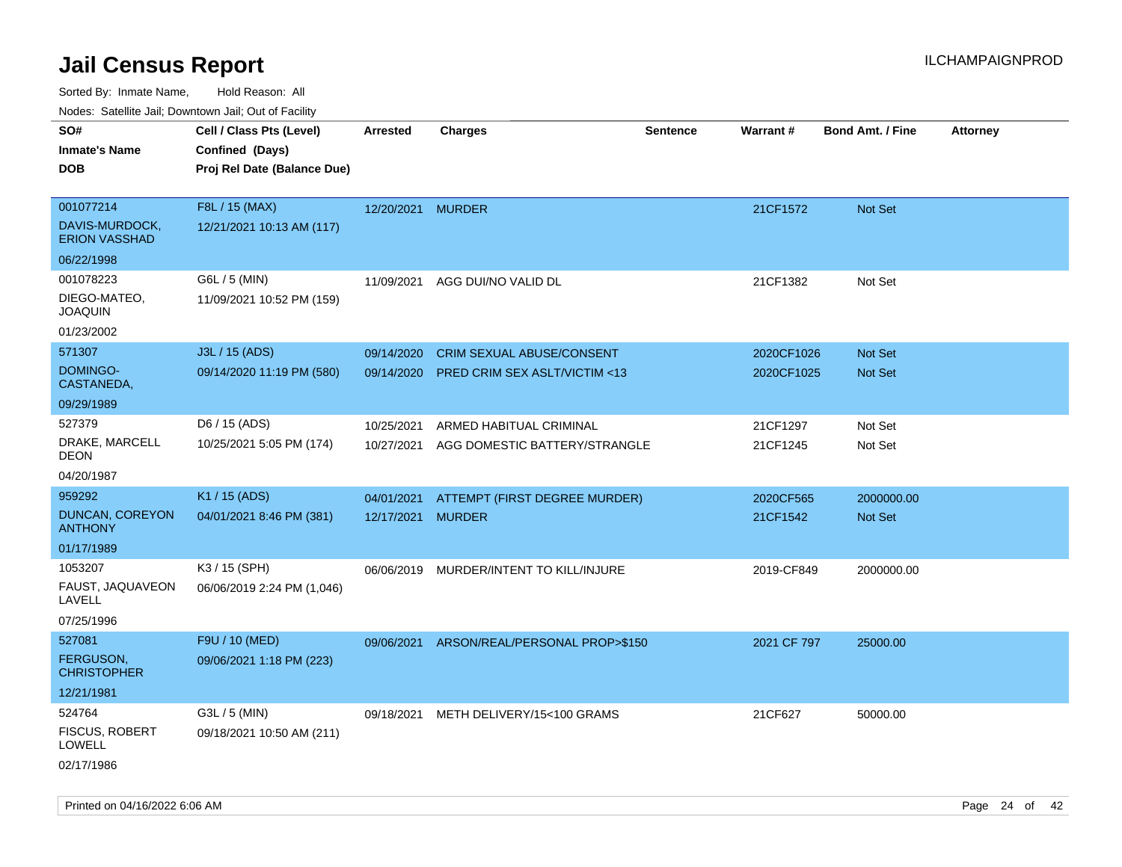| roaco. Odichile Jan, Downtown Jan, Out of Facility |                             |                   |                                         |                 |             |                         |                 |
|----------------------------------------------------|-----------------------------|-------------------|-----------------------------------------|-----------------|-------------|-------------------------|-----------------|
| SO#                                                | Cell / Class Pts (Level)    | <b>Arrested</b>   | <b>Charges</b>                          | <b>Sentence</b> | Warrant#    | <b>Bond Amt. / Fine</b> | <b>Attorney</b> |
| <b>Inmate's Name</b>                               | Confined (Days)             |                   |                                         |                 |             |                         |                 |
| <b>DOB</b>                                         | Proj Rel Date (Balance Due) |                   |                                         |                 |             |                         |                 |
| 001077214                                          | F8L / 15 (MAX)              | 12/20/2021 MURDER |                                         |                 | 21CF1572    | Not Set                 |                 |
| DAVIS-MURDOCK,<br><b>ERION VASSHAD</b>             | 12/21/2021 10:13 AM (117)   |                   |                                         |                 |             |                         |                 |
| 06/22/1998                                         |                             |                   |                                         |                 |             |                         |                 |
| 001078223                                          | G6L / 5 (MIN)               | 11/09/2021        | AGG DUI/NO VALID DL                     |                 | 21CF1382    | Not Set                 |                 |
| DIEGO-MATEO,<br><b>JOAQUIN</b>                     | 11/09/2021 10:52 PM (159)   |                   |                                         |                 |             |                         |                 |
| 01/23/2002                                         |                             |                   |                                         |                 |             |                         |                 |
| 571307                                             | J3L / 15 (ADS)              | 09/14/2020        | CRIM SEXUAL ABUSE/CONSENT               |                 | 2020CF1026  | Not Set                 |                 |
| DOMINGO-<br>CASTANEDA,                             | 09/14/2020 11:19 PM (580)   | 09/14/2020        | <b>PRED CRIM SEX ASLT/VICTIM &lt;13</b> |                 | 2020CF1025  | Not Set                 |                 |
| 09/29/1989                                         |                             |                   |                                         |                 |             |                         |                 |
| 527379                                             | D6 / 15 (ADS)               | 10/25/2021        | ARMED HABITUAL CRIMINAL                 |                 | 21CF1297    | Not Set                 |                 |
| DRAKE, MARCELL<br><b>DEON</b>                      | 10/25/2021 5:05 PM (174)    | 10/27/2021        | AGG DOMESTIC BATTERY/STRANGLE           |                 | 21CF1245    | Not Set                 |                 |
| 04/20/1987                                         |                             |                   |                                         |                 |             |                         |                 |
| 959292                                             | K1 / 15 (ADS)               | 04/01/2021        | ATTEMPT (FIRST DEGREE MURDER)           |                 | 2020CF565   | 2000000.00              |                 |
| DUNCAN, COREYON<br><b>ANTHONY</b>                  | 04/01/2021 8:46 PM (381)    | 12/17/2021 MURDER |                                         |                 | 21CF1542    | <b>Not Set</b>          |                 |
| 01/17/1989                                         |                             |                   |                                         |                 |             |                         |                 |
| 1053207                                            | K3 / 15 (SPH)               | 06/06/2019        | MURDER/INTENT TO KILL/INJURE            |                 | 2019-CF849  | 2000000.00              |                 |
| FAUST, JAQUAVEON<br>LAVELL                         | 06/06/2019 2:24 PM (1,046)  |                   |                                         |                 |             |                         |                 |
| 07/25/1996                                         |                             |                   |                                         |                 |             |                         |                 |
| 527081                                             | F9U / 10 (MED)              | 09/06/2021        | ARSON/REAL/PERSONAL PROP>\$150          |                 | 2021 CF 797 | 25000.00                |                 |
| <b>FERGUSON,</b><br><b>CHRISTOPHER</b>             | 09/06/2021 1:18 PM (223)    |                   |                                         |                 |             |                         |                 |
| 12/21/1981                                         |                             |                   |                                         |                 |             |                         |                 |
| 524764                                             | G3L / 5 (MIN)               | 09/18/2021        | METH DELIVERY/15<100 GRAMS              |                 | 21CF627     | 50000.00                |                 |
| FISCUS, ROBERT<br>LOWELL                           | 09/18/2021 10:50 AM (211)   |                   |                                         |                 |             |                         |                 |
| 02/17/1986                                         |                             |                   |                                         |                 |             |                         |                 |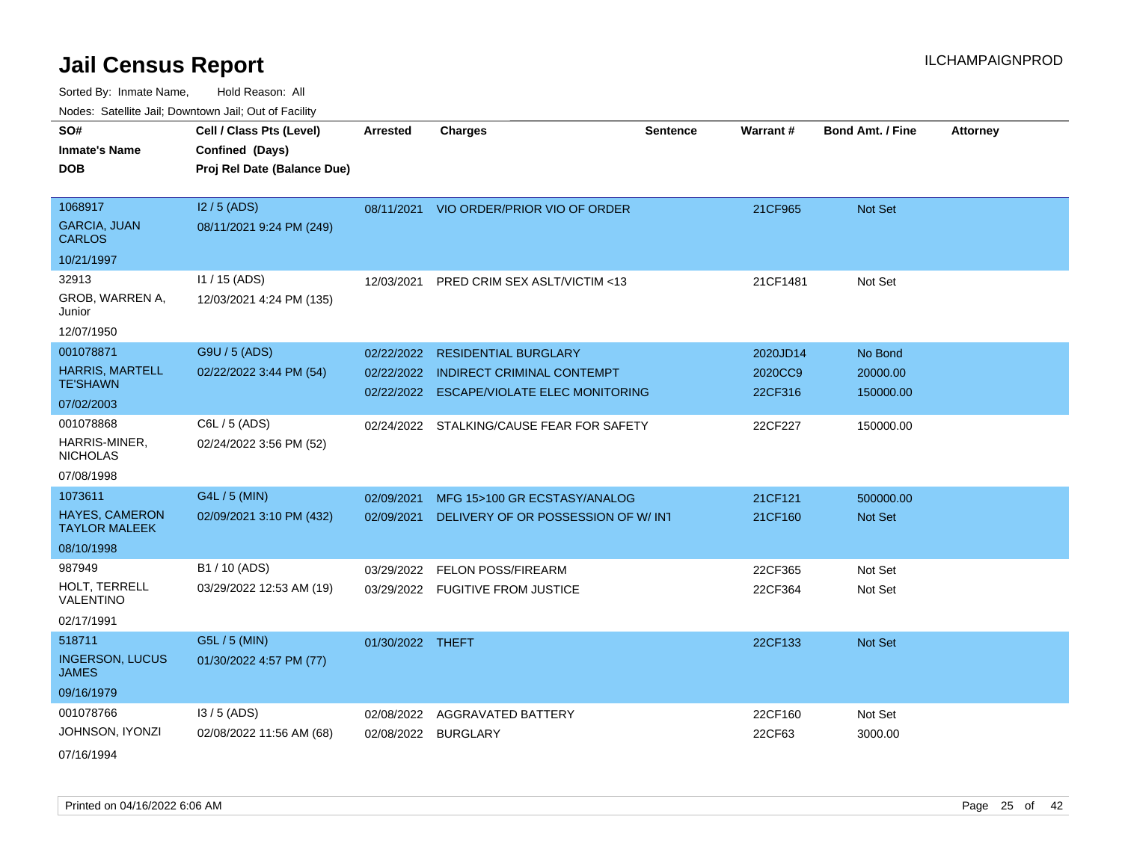Sorted By: Inmate Name, Hold Reason: All Nodes: Satellite Jail; Downtown Jail; Out of Facility

|                                               | rouco. Calcinic Jan, Downtown Jan, Out of Facility                         |                  |                                         |                 |          |                         |                 |
|-----------------------------------------------|----------------------------------------------------------------------------|------------------|-----------------------------------------|-----------------|----------|-------------------------|-----------------|
| SO#<br>Inmate's Name<br>DOB                   | Cell / Class Pts (Level)<br>Confined (Days)<br>Proj Rel Date (Balance Due) | <b>Arrested</b>  | <b>Charges</b>                          | <b>Sentence</b> | Warrant# | <b>Bond Amt. / Fine</b> | <b>Attorney</b> |
|                                               |                                                                            |                  |                                         |                 |          |                         |                 |
| 1068917                                       | $12/5$ (ADS)                                                               |                  | 08/11/2021 VIO ORDER/PRIOR VIO OF ORDER |                 | 21CF965  | Not Set                 |                 |
| <b>GARCIA, JUAN</b><br>CARLOS                 | 08/11/2021 9:24 PM (249)                                                   |                  |                                         |                 |          |                         |                 |
| 10/21/1997                                    |                                                                            |                  |                                         |                 |          |                         |                 |
| 32913                                         | $11 / 15$ (ADS)                                                            | 12/03/2021       | PRED CRIM SEX ASLT/VICTIM <13           |                 | 21CF1481 | Not Set                 |                 |
| GROB, WARREN A,<br>Junior                     | 12/03/2021 4:24 PM (135)                                                   |                  |                                         |                 |          |                         |                 |
| 12/07/1950                                    |                                                                            |                  |                                         |                 |          |                         |                 |
| 001078871                                     | G9U / 5 (ADS)                                                              | 02/22/2022       | <b>RESIDENTIAL BURGLARY</b>             |                 | 2020JD14 | No Bond                 |                 |
| <b>HARRIS, MARTELL</b>                        | 02/22/2022 3:44 PM (54)                                                    | 02/22/2022       | <b>INDIRECT CRIMINAL CONTEMPT</b>       |                 | 2020CC9  | 20000.00                |                 |
| TE'SHAWN                                      |                                                                            | 02/22/2022       | <b>ESCAPE/VIOLATE ELEC MONITORING</b>   |                 | 22CF316  | 150000.00               |                 |
| 07/02/2003                                    |                                                                            |                  |                                         |                 |          |                         |                 |
| 001078868                                     | C6L / 5 (ADS)                                                              | 02/24/2022       | STALKING/CAUSE FEAR FOR SAFETY          |                 | 22CF227  | 150000.00               |                 |
| HARRIS-MINER,<br><b>NICHOLAS</b>              | 02/24/2022 3:56 PM (52)                                                    |                  |                                         |                 |          |                         |                 |
| 07/08/1998                                    |                                                                            |                  |                                         |                 |          |                         |                 |
| 1073611                                       | G4L / 5 (MIN)                                                              | 02/09/2021       | MFG 15>100 GR ECSTASY/ANALOG            |                 | 21CF121  | 500000.00               |                 |
| <b>HAYES, CAMERON</b><br><b>TAYLOR MALEEK</b> | 02/09/2021 3:10 PM (432)                                                   | 02/09/2021       | DELIVERY OF OR POSSESSION OF W/INT      |                 | 21CF160  | <b>Not Set</b>          |                 |
| 08/10/1998                                    |                                                                            |                  |                                         |                 |          |                         |                 |
| 987949                                        | B1 / 10 (ADS)                                                              | 03/29/2022       | <b>FELON POSS/FIREARM</b>               |                 | 22CF365  | Not Set                 |                 |
| HOLT, TERRELL<br>VALENTINO                    | 03/29/2022 12:53 AM (19)                                                   |                  | 03/29/2022 FUGITIVE FROM JUSTICE        |                 | 22CF364  | Not Set                 |                 |
| 02/17/1991                                    |                                                                            |                  |                                         |                 |          |                         |                 |
| 518711                                        | G5L / 5 (MIN)                                                              | 01/30/2022 THEFT |                                         |                 | 22CF133  | <b>Not Set</b>          |                 |
| <b>INGERSON, LUCUS</b><br>JAMES               | 01/30/2022 4:57 PM (77)                                                    |                  |                                         |                 |          |                         |                 |
| 09/16/1979                                    |                                                                            |                  |                                         |                 |          |                         |                 |
| 001078766                                     | $13/5$ (ADS)                                                               | 02/08/2022       | AGGRAVATED BATTERY                      |                 | 22CF160  | Not Set                 |                 |
| JOHNSON, IYONZI                               | 02/08/2022 11:56 AM (68)                                                   |                  | 02/08/2022 BURGLARY                     |                 | 22CF63   | 3000.00                 |                 |
|                                               |                                                                            |                  |                                         |                 |          |                         |                 |

07/16/1994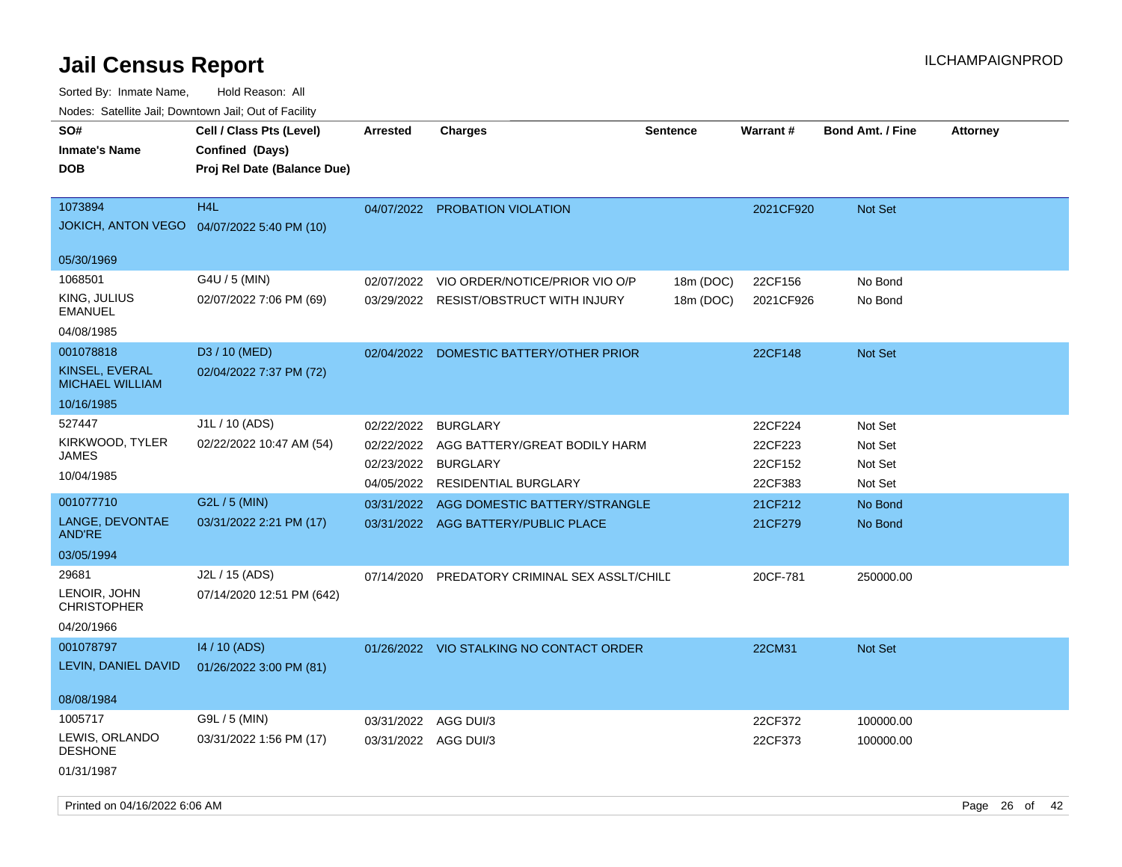| roaco. Oatomto dan, Downtown dan, Oat or Fability      |                                                                            |                      |                                          |                 |           |                         |                 |
|--------------------------------------------------------|----------------------------------------------------------------------------|----------------------|------------------------------------------|-----------------|-----------|-------------------------|-----------------|
| SO#<br><b>Inmate's Name</b><br>DOB                     | Cell / Class Pts (Level)<br>Confined (Days)<br>Proj Rel Date (Balance Due) | <b>Arrested</b>      | <b>Charges</b>                           | <b>Sentence</b> | Warrant#  | <b>Bond Amt. / Fine</b> | <b>Attorney</b> |
|                                                        |                                                                            |                      |                                          |                 |           |                         |                 |
| 1073894<br>JOKICH, ANTON VEGO  04/07/2022 5:40 PM (10) | H <sub>4</sub> L                                                           | 04/07/2022           | PROBATION VIOLATION                      |                 | 2021CF920 | Not Set                 |                 |
| 05/30/1969                                             |                                                                            |                      |                                          |                 |           |                         |                 |
| 1068501                                                | G4U / 5 (MIN)                                                              | 02/07/2022           | VIO ORDER/NOTICE/PRIOR VIO O/P           | 18m (DOC)       | 22CF156   | No Bond                 |                 |
| KING, JULIUS<br>EMANUEL                                | 02/07/2022 7:06 PM (69)                                                    | 03/29/2022           | <b>RESIST/OBSTRUCT WITH INJURY</b>       | 18m (DOC)       | 2021CF926 | No Bond                 |                 |
| 04/08/1985                                             |                                                                            |                      |                                          |                 |           |                         |                 |
| 001078818                                              | D3 / 10 (MED)                                                              | 02/04/2022           | DOMESTIC BATTERY/OTHER PRIOR             |                 | 22CF148   | Not Set                 |                 |
| KINSEL, EVERAL<br><b>MICHAEL WILLIAM</b>               | 02/04/2022 7:37 PM (72)                                                    |                      |                                          |                 |           |                         |                 |
| 10/16/1985                                             |                                                                            |                      |                                          |                 |           |                         |                 |
| 527447                                                 | J1L / 10 (ADS)                                                             | 02/22/2022           | <b>BURGLARY</b>                          |                 | 22CF224   | Not Set                 |                 |
| KIRKWOOD, TYLER                                        | 02/22/2022 10:47 AM (54)                                                   | 02/22/2022           | AGG BATTERY/GREAT BODILY HARM            |                 | 22CF223   | Not Set                 |                 |
| JAMES                                                  |                                                                            | 02/23/2022           | <b>BURGLARY</b>                          |                 | 22CF152   | Not Set                 |                 |
| 10/04/1985                                             |                                                                            | 04/05/2022           | <b>RESIDENTIAL BURGLARY</b>              |                 | 22CF383   | Not Set                 |                 |
| 001077710                                              | G2L / 5 (MIN)                                                              | 03/31/2022           | AGG DOMESTIC BATTERY/STRANGLE            |                 | 21CF212   | No Bond                 |                 |
| LANGE, DEVONTAE<br>AND'RE                              | 03/31/2022 2:21 PM (17)                                                    |                      | 03/31/2022 AGG BATTERY/PUBLIC PLACE      |                 | 21CF279   | No Bond                 |                 |
| 03/05/1994                                             |                                                                            |                      |                                          |                 |           |                         |                 |
| 29681<br>LENOIR, JOHN<br><b>CHRISTOPHER</b>            | J2L / 15 (ADS)<br>07/14/2020 12:51 PM (642)                                | 07/14/2020           | PREDATORY CRIMINAL SEX ASSLT/CHILD       |                 | 20CF-781  | 250000.00               |                 |
| 04/20/1966                                             |                                                                            |                      |                                          |                 |           |                         |                 |
| 001078797                                              | 14 / 10 (ADS)                                                              |                      | 01/26/2022 VIO STALKING NO CONTACT ORDER |                 | 22CM31    | Not Set                 |                 |
| LEVIN, DANIEL DAVID                                    | 01/26/2022 3:00 PM (81)                                                    |                      |                                          |                 |           |                         |                 |
| 08/08/1984                                             |                                                                            |                      |                                          |                 |           |                         |                 |
| 1005717                                                | G9L / 5 (MIN)                                                              | 03/31/2022           | AGG DUI/3                                |                 | 22CF372   | 100000.00               |                 |
| LEWIS, ORLANDO<br><b>DESHONE</b>                       | 03/31/2022 1:56 PM (17)                                                    | 03/31/2022 AGG DUI/3 |                                          |                 | 22CF373   | 100000.00               |                 |
| 01/31/1987                                             |                                                                            |                      |                                          |                 |           |                         |                 |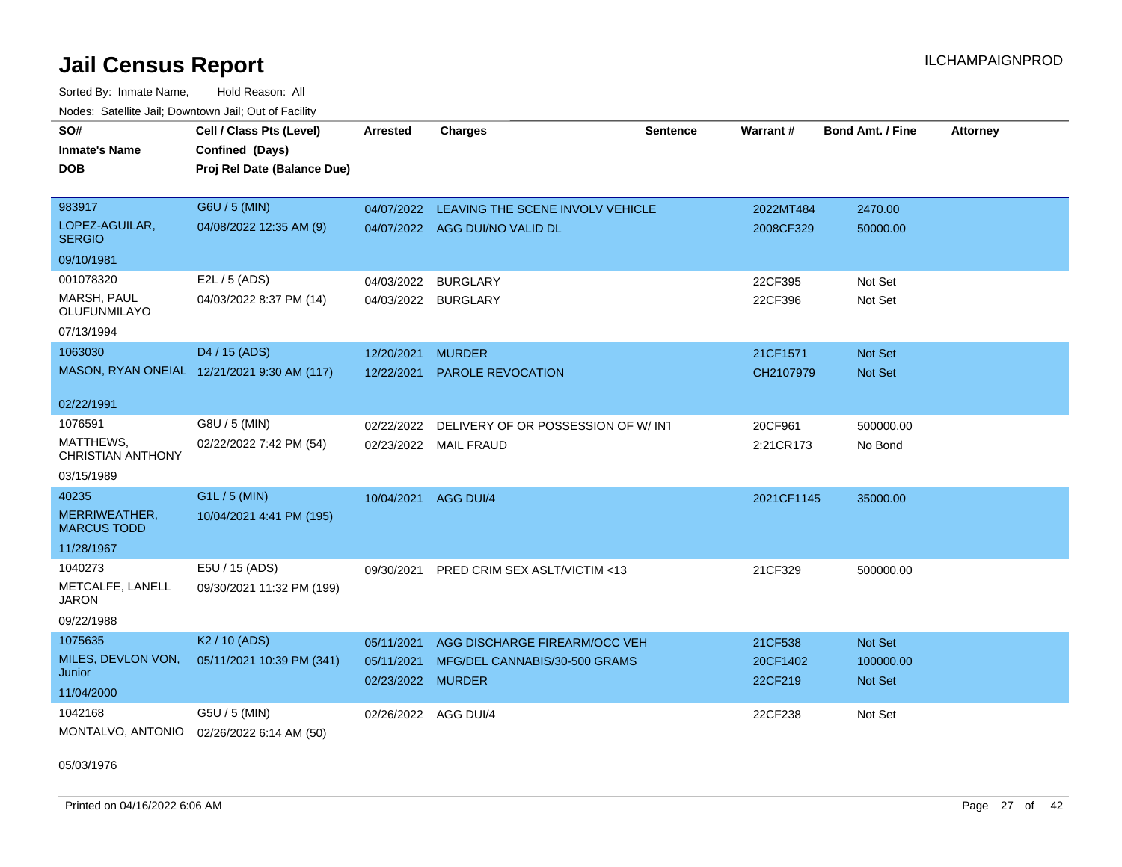Sorted By: Inmate Name, Hold Reason: All Nodes: Satellite Jail; Downtown Jail; Out of Facility

| SO#<br><b>Inmate's Name</b><br><b>DOB</b>                      | Cell / Class Pts (Level)<br>Confined (Days)<br>Proj Rel Date (Balance Due) | <b>Arrested</b>                               | <b>Charges</b>                                                     | <b>Sentence</b> | Warrant#                       | <b>Bond Amt. / Fine</b>                | <b>Attorney</b> |
|----------------------------------------------------------------|----------------------------------------------------------------------------|-----------------------------------------------|--------------------------------------------------------------------|-----------------|--------------------------------|----------------------------------------|-----------------|
| 983917<br>LOPEZ-AGUILAR,<br><b>SERGIO</b><br>09/10/1981        | G6U / 5 (MIN)<br>04/08/2022 12:35 AM (9)                                   | 04/07/2022                                    | LEAVING THE SCENE INVOLV VEHICLE<br>04/07/2022 AGG DUI/NO VALID DL |                 | 2022MT484<br>2008CF329         | 2470.00<br>50000.00                    |                 |
| 001078320<br><b>MARSH, PAUL</b><br>OLUFUNMILAYO<br>07/13/1994  | E2L / 5 (ADS)<br>04/03/2022 8:37 PM (14)                                   | 04/03/2022 BURGLARY<br>04/03/2022 BURGLARY    |                                                                    |                 | 22CF395<br>22CF396             | Not Set<br>Not Set                     |                 |
| 1063030<br>02/22/1991                                          | D4 / 15 (ADS)<br>MASON, RYAN ONEIAL 12/21/2021 9:30 AM (117)               | 12/20/2021<br>12/22/2021                      | <b>MURDER</b><br><b>PAROLE REVOCATION</b>                          |                 | 21CF1571<br>CH2107979          | <b>Not Set</b><br><b>Not Set</b>       |                 |
| 1076591<br>MATTHEWS,<br><b>CHRISTIAN ANTHONY</b><br>03/15/1989 | G8U / 5 (MIN)<br>02/22/2022 7:42 PM (54)                                   | 02/22/2022                                    | DELIVERY OF OR POSSESSION OF W/ INT<br>02/23/2022 MAIL FRAUD       |                 | 20CF961<br>2:21CR173           | 500000.00<br>No Bond                   |                 |
| 40235<br>MERRIWEATHER,<br><b>MARCUS TODD</b><br>11/28/1967     | $G1L / 5$ (MIN)<br>10/04/2021 4:41 PM (195)                                | 10/04/2021                                    | AGG DUI/4                                                          |                 | 2021CF1145                     | 35000.00                               |                 |
| 1040273<br>METCALFE, LANELL<br><b>JARON</b><br>09/22/1988      | E5U / 15 (ADS)<br>09/30/2021 11:32 PM (199)                                | 09/30/2021                                    | PRED CRIM SEX ASLT/VICTIM <13                                      |                 | 21CF329                        | 500000.00                              |                 |
| 1075635<br>MILES, DEVLON VON,<br>Junior<br>11/04/2000          | K <sub>2</sub> / 10 (ADS)<br>05/11/2021 10:39 PM (341)                     | 05/11/2021<br>05/11/2021<br>02/23/2022 MURDER | AGG DISCHARGE FIREARM/OCC VEH<br>MFG/DEL CANNABIS/30-500 GRAMS     |                 | 21CF538<br>20CF1402<br>22CF219 | Not Set<br>100000.00<br><b>Not Set</b> |                 |
| 1042168<br>MONTALVO, ANTONIO                                   | G5U / 5 (MIN)<br>02/26/2022 6:14 AM (50)                                   | 02/26/2022 AGG DUI/4                          |                                                                    |                 | 22CF238                        | Not Set                                |                 |

05/03/1976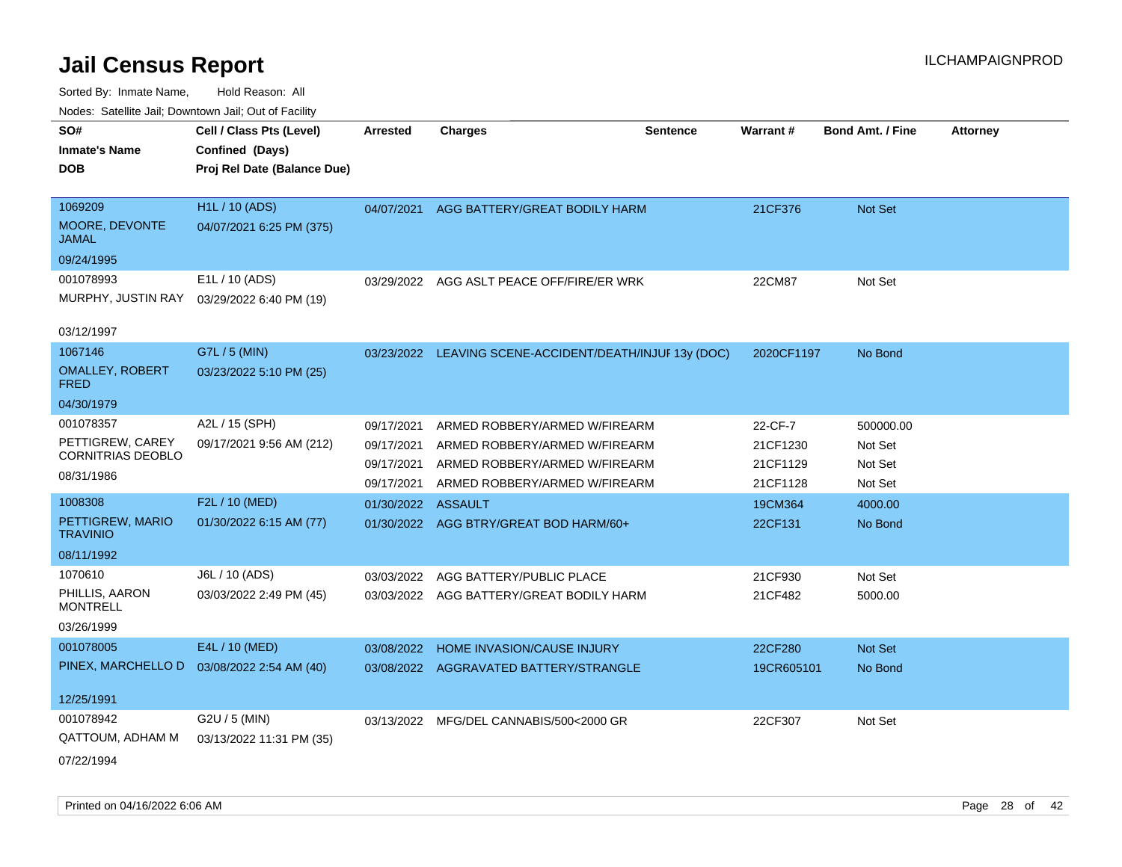| SO#                                   | Cell / Class Pts (Level)    | <b>Arrested</b> | <b>Charges</b><br><b>Sentence</b>                       | Warrant#   | <b>Bond Amt. / Fine</b> | <b>Attorney</b> |
|---------------------------------------|-----------------------------|-----------------|---------------------------------------------------------|------------|-------------------------|-----------------|
| <b>Inmate's Name</b>                  | Confined (Days)             |                 |                                                         |            |                         |                 |
| <b>DOB</b>                            | Proj Rel Date (Balance Due) |                 |                                                         |            |                         |                 |
|                                       |                             |                 |                                                         |            |                         |                 |
| 1069209                               | <b>H1L / 10 (ADS)</b>       | 04/07/2021      | AGG BATTERY/GREAT BODILY HARM                           | 21CF376    | Not Set                 |                 |
| MOORE, DEVONTE<br>JAMAL               | 04/07/2021 6:25 PM (375)    |                 |                                                         |            |                         |                 |
| 09/24/1995                            |                             |                 |                                                         |            |                         |                 |
| 001078993                             | E1L / 10 (ADS)              | 03/29/2022      | AGG ASLT PEACE OFF/FIRE/ER WRK                          | 22CM87     | Not Set                 |                 |
| MURPHY, JUSTIN RAY                    | 03/29/2022 6:40 PM (19)     |                 |                                                         |            |                         |                 |
| 03/12/1997                            |                             |                 |                                                         |            |                         |                 |
| 1067146                               | G7L / 5 (MIN)               |                 | 03/23/2022 LEAVING SCENE-ACCIDENT/DEATH/INJUF 13y (DOC) | 2020CF1197 | No Bond                 |                 |
| <b>OMALLEY, ROBERT</b><br><b>FRED</b> | 03/23/2022 5:10 PM (25)     |                 |                                                         |            |                         |                 |
| 04/30/1979                            |                             |                 |                                                         |            |                         |                 |
| 001078357                             | A2L / 15 (SPH)              | 09/17/2021      | ARMED ROBBERY/ARMED W/FIREARM                           | 22-CF-7    | 500000.00               |                 |
| PETTIGREW, CAREY                      | 09/17/2021 9:56 AM (212)    | 09/17/2021      | ARMED ROBBERY/ARMED W/FIREARM                           | 21CF1230   | Not Set                 |                 |
| <b>CORNITRIAS DEOBLO</b>              |                             | 09/17/2021      | ARMED ROBBERY/ARMED W/FIREARM                           | 21CF1129   | Not Set                 |                 |
| 08/31/1986                            |                             | 09/17/2021      | ARMED ROBBERY/ARMED W/FIREARM                           | 21CF1128   | Not Set                 |                 |
| 1008308                               | F2L / 10 (MED)              | 01/30/2022      | ASSAULT                                                 | 19CM364    | 4000.00                 |                 |
| PETTIGREW, MARIO<br><b>TRAVINIO</b>   | 01/30/2022 6:15 AM (77)     |                 | 01/30/2022 AGG BTRY/GREAT BOD HARM/60+                  | 22CF131    | No Bond                 |                 |
| 08/11/1992                            |                             |                 |                                                         |            |                         |                 |
| 1070610                               | J6L / 10 (ADS)              | 03/03/2022      | AGG BATTERY/PUBLIC PLACE                                | 21CF930    | Not Set                 |                 |
| PHILLIS, AARON<br><b>MONTRELL</b>     | 03/03/2022 2:49 PM (45)     |                 | 03/03/2022 AGG BATTERY/GREAT BODILY HARM                | 21CF482    | 5000.00                 |                 |
| 03/26/1999                            |                             |                 |                                                         |            |                         |                 |
| 001078005                             | E4L / 10 (MED)              | 03/08/2022      | HOME INVASION/CAUSE INJURY                              | 22CF280    | <b>Not Set</b>          |                 |
| PINEX, MARCHELLO D                    | 03/08/2022 2:54 AM (40)     | 03/08/2022      | AGGRAVATED BATTERY/STRANGLE                             | 19CR605101 | No Bond                 |                 |
|                                       |                             |                 |                                                         |            |                         |                 |
| 12/25/1991                            |                             |                 |                                                         |            |                         |                 |
| 001078942                             | G2U / 5 (MIN)               | 03/13/2022      | MFG/DEL CANNABIS/500<2000 GR                            | 22CF307    | Not Set                 |                 |
| QATTOUM, ADHAM M                      | 03/13/2022 11:31 PM (35)    |                 |                                                         |            |                         |                 |
| 07/22/1994                            |                             |                 |                                                         |            |                         |                 |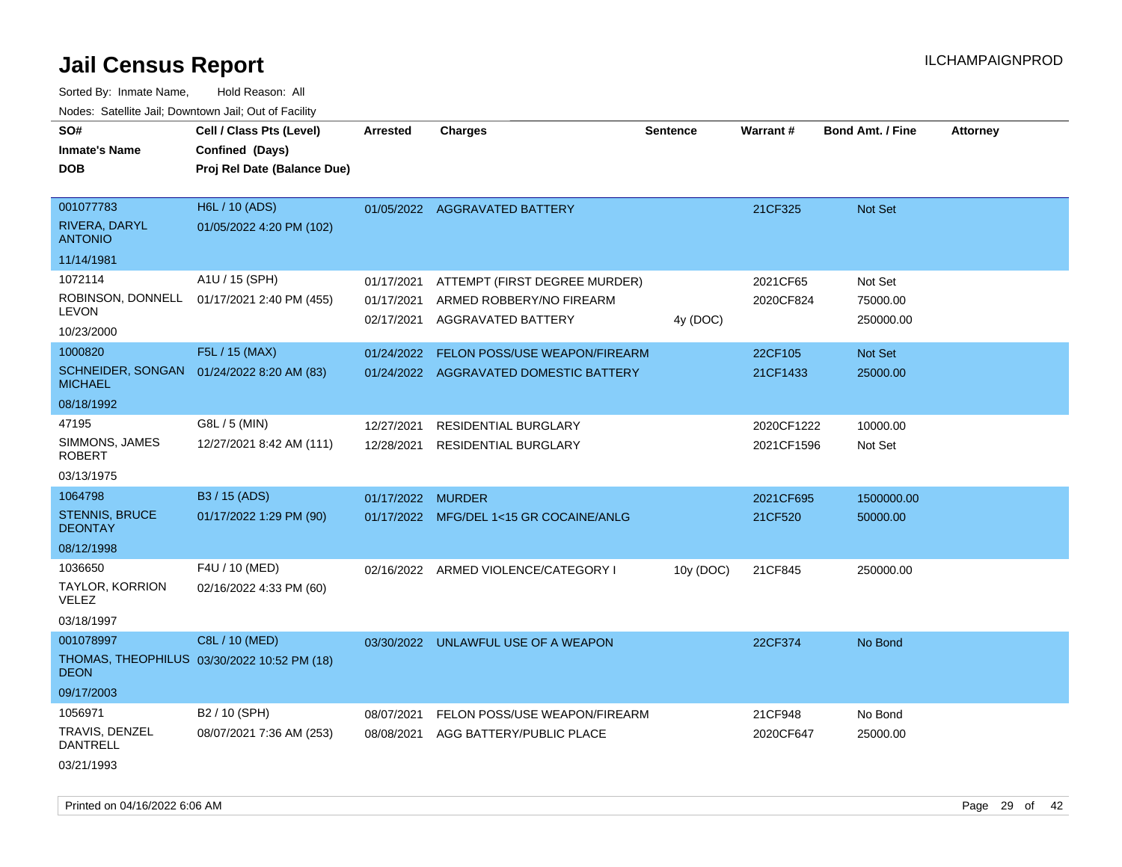Sorted By: Inmate Name, Hold Reason: All Nodes: Satellite Jail; Downtown Jail; Out of Facility

| rougs. Calcinic Jan, Downtown Jan, Out of Facility |                                             |            |                                         |                 |            |                         |                 |
|----------------------------------------------------|---------------------------------------------|------------|-----------------------------------------|-----------------|------------|-------------------------|-----------------|
| SO#                                                | Cell / Class Pts (Level)                    | Arrested   | <b>Charges</b>                          | <b>Sentence</b> | Warrant#   | <b>Bond Amt. / Fine</b> | <b>Attorney</b> |
| <b>Inmate's Name</b>                               | Confined (Days)                             |            |                                         |                 |            |                         |                 |
| <b>DOB</b>                                         | Proj Rel Date (Balance Due)                 |            |                                         |                 |            |                         |                 |
|                                                    |                                             |            |                                         |                 |            |                         |                 |
| 001077783                                          | H6L / 10 (ADS)                              |            | 01/05/2022 AGGRAVATED BATTERY           |                 | 21CF325    | Not Set                 |                 |
| RIVERA, DARYL<br><b>ANTONIO</b>                    | 01/05/2022 4:20 PM (102)                    |            |                                         |                 |            |                         |                 |
| 11/14/1981                                         |                                             |            |                                         |                 |            |                         |                 |
| 1072114                                            | A1U / 15 (SPH)                              | 01/17/2021 | ATTEMPT (FIRST DEGREE MURDER)           |                 | 2021CF65   | Not Set                 |                 |
| ROBINSON, DONNELL<br><b>LEVON</b>                  | 01/17/2021 2:40 PM (455)                    | 01/17/2021 | ARMED ROBBERY/NO FIREARM                |                 | 2020CF824  | 75000.00                |                 |
| 10/23/2000                                         |                                             | 02/17/2021 | AGGRAVATED BATTERY                      | 4y (DOC)        |            | 250000.00               |                 |
| 1000820                                            | F5L / 15 (MAX)                              | 01/24/2022 | FELON POSS/USE WEAPON/FIREARM           |                 | 22CF105    | Not Set                 |                 |
| <b>MICHAEL</b>                                     | SCHNEIDER, SONGAN 01/24/2022 8:20 AM (83)   |            | 01/24/2022 AGGRAVATED DOMESTIC BATTERY  |                 | 21CF1433   | 25000.00                |                 |
| 08/18/1992                                         |                                             |            |                                         |                 |            |                         |                 |
| 47195                                              | G8L / 5 (MIN)                               | 12/27/2021 | <b>RESIDENTIAL BURGLARY</b>             |                 | 2020CF1222 | 10000.00                |                 |
| SIMMONS, JAMES<br><b>ROBERT</b>                    | 12/27/2021 8:42 AM (111)                    | 12/28/2021 | <b>RESIDENTIAL BURGLARY</b>             |                 | 2021CF1596 | Not Set                 |                 |
| 03/13/1975                                         |                                             |            |                                         |                 |            |                         |                 |
| 1064798                                            | B3 / 15 (ADS)                               | 01/17/2022 | <b>MURDER</b>                           |                 | 2021CF695  | 1500000.00              |                 |
| <b>STENNIS, BRUCE</b><br><b>DEONTAY</b>            | 01/17/2022 1:29 PM (90)                     |            | 01/17/2022 MFG/DEL 1<15 GR COCAINE/ANLG |                 | 21CF520    | 50000.00                |                 |
| 08/12/1998                                         |                                             |            |                                         |                 |            |                         |                 |
| 1036650                                            | F4U / 10 (MED)                              |            | 02/16/2022 ARMED VIOLENCE/CATEGORY I    | 10y (DOC)       | 21CF845    | 250000.00               |                 |
| TAYLOR, KORRION<br><b>VELEZ</b>                    | 02/16/2022 4:33 PM (60)                     |            |                                         |                 |            |                         |                 |
| 03/18/1997                                         |                                             |            |                                         |                 |            |                         |                 |
| 001078997                                          | C8L / 10 (MED)                              |            | 03/30/2022 UNLAWFUL USE OF A WEAPON     |                 | 22CF374    | No Bond                 |                 |
| <b>DEON</b>                                        | THOMAS, THEOPHILUS 03/30/2022 10:52 PM (18) |            |                                         |                 |            |                         |                 |
| 09/17/2003                                         |                                             |            |                                         |                 |            |                         |                 |
| 1056971                                            | B2 / 10 (SPH)                               | 08/07/2021 | FELON POSS/USE WEAPON/FIREARM           |                 | 21CF948    | No Bond                 |                 |
| TRAVIS, DENZEL<br><b>DANTRELL</b>                  | 08/07/2021 7:36 AM (253)                    | 08/08/2021 | AGG BATTERY/PUBLIC PLACE                |                 | 2020CF647  | 25000.00                |                 |
| 03/21/1993                                         |                                             |            |                                         |                 |            |                         |                 |

Printed on 04/16/2022 6:06 AM Page 29 of 42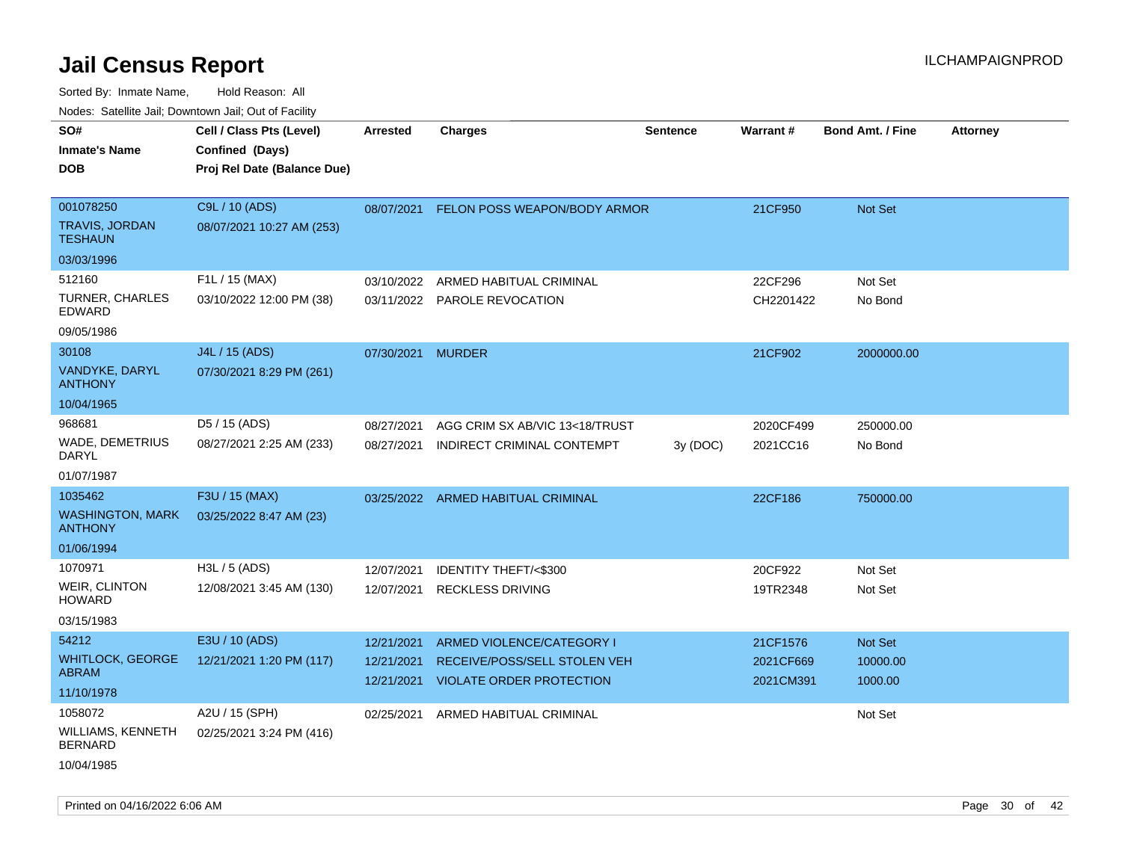| Nudes. Satellite Jali, Downtown Jali, Out of Facility |                             |                          |                                                                 |                 |                        |                         |                 |
|-------------------------------------------------------|-----------------------------|--------------------------|-----------------------------------------------------------------|-----------------|------------------------|-------------------------|-----------------|
| SO#                                                   | Cell / Class Pts (Level)    | Arrested                 | <b>Charges</b>                                                  | <b>Sentence</b> | <b>Warrant#</b>        | <b>Bond Amt. / Fine</b> | <b>Attorney</b> |
| <b>Inmate's Name</b>                                  | Confined (Days)             |                          |                                                                 |                 |                        |                         |                 |
| <b>DOB</b>                                            | Proj Rel Date (Balance Due) |                          |                                                                 |                 |                        |                         |                 |
|                                                       |                             |                          |                                                                 |                 |                        |                         |                 |
| 001078250                                             | C9L / 10 (ADS)              | 08/07/2021               | FELON POSS WEAPON/BODY ARMOR                                    |                 | 21CF950                | Not Set                 |                 |
| TRAVIS, JORDAN<br><b>TESHAUN</b>                      | 08/07/2021 10:27 AM (253)   |                          |                                                                 |                 |                        |                         |                 |
| 03/03/1996                                            |                             |                          |                                                                 |                 |                        |                         |                 |
| 512160                                                | F1L / 15 (MAX)              | 03/10/2022               | ARMED HABITUAL CRIMINAL                                         |                 | 22CF296                | Not Set                 |                 |
| TURNER, CHARLES<br>EDWARD                             | 03/10/2022 12:00 PM (38)    |                          | 03/11/2022 PAROLE REVOCATION                                    |                 | CH2201422              | No Bond                 |                 |
| 09/05/1986                                            |                             |                          |                                                                 |                 |                        |                         |                 |
| 30108                                                 | J4L / 15 (ADS)              | 07/30/2021 MURDER        |                                                                 |                 | 21CF902                | 2000000.00              |                 |
| VANDYKE, DARYL<br>ANTHONY                             | 07/30/2021 8:29 PM (261)    |                          |                                                                 |                 |                        |                         |                 |
| 10/04/1965                                            |                             |                          |                                                                 |                 |                        |                         |                 |
| 968681                                                | D5 / 15 (ADS)               | 08/27/2021               | AGG CRIM SX AB/VIC 13<18/TRUST                                  |                 | 2020CF499              | 250000.00               |                 |
| WADE, DEMETRIUS<br>DARYL                              | 08/27/2021 2:25 AM (233)    | 08/27/2021               | INDIRECT CRIMINAL CONTEMPT                                      | 3y (DOC)        | 2021CC16               | No Bond                 |                 |
| 01/07/1987                                            |                             |                          |                                                                 |                 |                        |                         |                 |
| 1035462                                               | F3U / 15 (MAX)              |                          | 03/25/2022 ARMED HABITUAL CRIMINAL                              |                 | 22CF186                | 750000.00               |                 |
| <b>WASHINGTON, MARK</b><br><b>ANTHONY</b>             | 03/25/2022 8:47 AM (23)     |                          |                                                                 |                 |                        |                         |                 |
| 01/06/1994                                            |                             |                          |                                                                 |                 |                        |                         |                 |
| 1070971                                               | H3L / 5 (ADS)               | 12/07/2021               | IDENTITY THEFT/<\$300                                           |                 | 20CF922                | Not Set                 |                 |
| WEIR, CLINTON<br>HOWARD                               | 12/08/2021 3:45 AM (130)    | 12/07/2021               | <b>RECKLESS DRIVING</b>                                         |                 | 19TR2348               | Not Set                 |                 |
| 03/15/1983                                            |                             |                          |                                                                 |                 |                        |                         |                 |
| 54212                                                 | E3U / 10 (ADS)              | 12/21/2021               | ARMED VIOLENCE/CATEGORY I                                       |                 | 21CF1576               | <b>Not Set</b>          |                 |
| WHITLOCK, GEORGE<br>ABRAM                             | 12/21/2021 1:20 PM (117)    | 12/21/2021<br>12/21/2021 | RECEIVE/POSS/SELL STOLEN VEH<br><b>VIOLATE ORDER PROTECTION</b> |                 | 2021CF669<br>2021CM391 | 10000.00<br>1000.00     |                 |
| 11/10/1978                                            |                             |                          |                                                                 |                 |                        |                         |                 |
| 1058072                                               | A2U / 15 (SPH)              | 02/25/2021               | ARMED HABITUAL CRIMINAL                                         |                 |                        | Not Set                 |                 |
| WILLIAMS, KENNETH<br><b>BERNARD</b>                   | 02/25/2021 3:24 PM (416)    |                          |                                                                 |                 |                        |                         |                 |
| 10/04/1985                                            |                             |                          |                                                                 |                 |                        |                         |                 |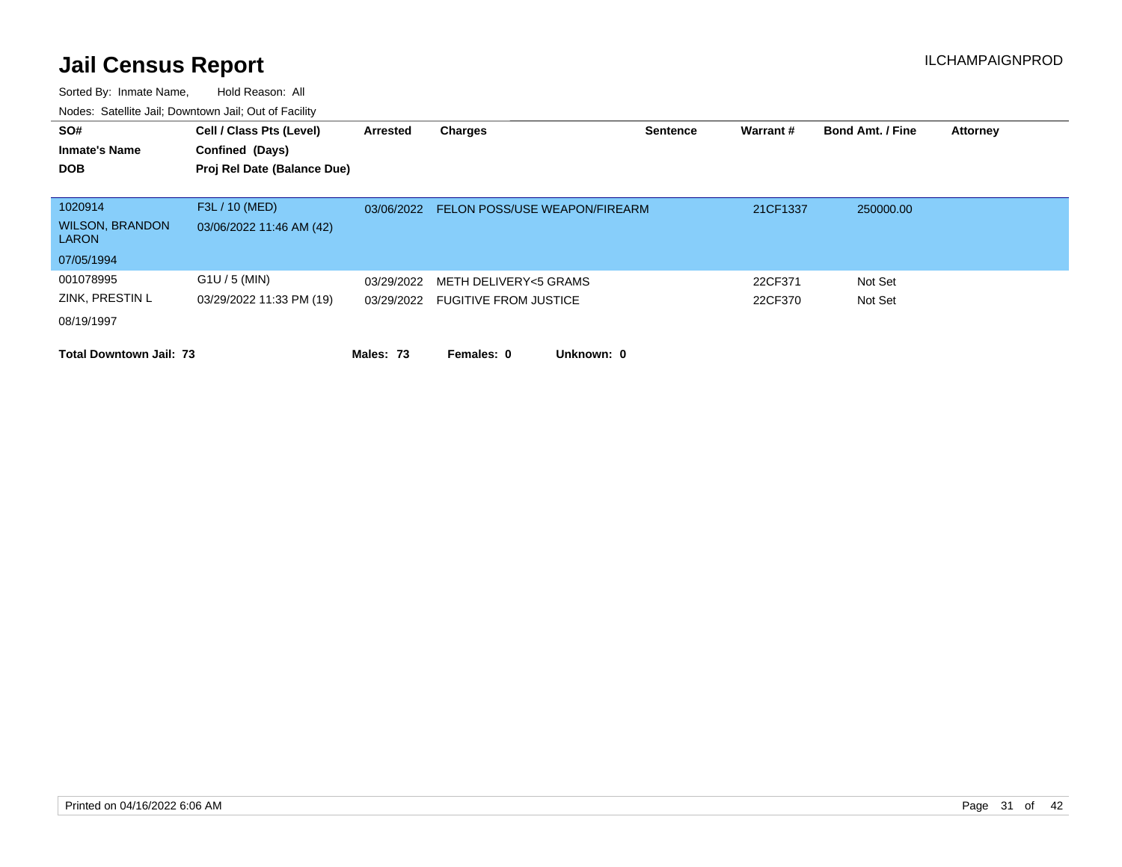| SO#<br><b>Inmate's Name</b><br><b>DOB</b>                       | Cell / Class Pts (Level)<br>Confined (Days)<br>Proj Rel Date (Balance Due) | Arrested   | <b>Charges</b>                                            | <b>Sentence</b> | Warrant#           | <b>Bond Amt. / Fine</b> | <b>Attorney</b> |
|-----------------------------------------------------------------|----------------------------------------------------------------------------|------------|-----------------------------------------------------------|-----------------|--------------------|-------------------------|-----------------|
| 1020914<br><b>WILSON, BRANDON</b><br><b>LARON</b><br>07/05/1994 | F3L / 10 (MED)<br>03/06/2022 11:46 AM (42)                                 | 03/06/2022 | <b>FELON POSS/USE WEAPON/FIREARM</b>                      |                 | 21CF1337           | 250000.00               |                 |
| 001078995<br>ZINK, PRESTIN L<br>08/19/1997                      | $G1U / 5$ (MIN)<br>03/29/2022 11:33 PM (19)                                | 03/29/2022 | METH DELIVERY<5 GRAMS<br>03/29/2022 FUGITIVE FROM JUSTICE |                 | 22CF371<br>22CF370 | Not Set<br>Not Set      |                 |
| <b>Total Downtown Jail: 73</b>                                  |                                                                            | Males: 73  | Females: 0<br>Unknown: 0                                  |                 |                    |                         |                 |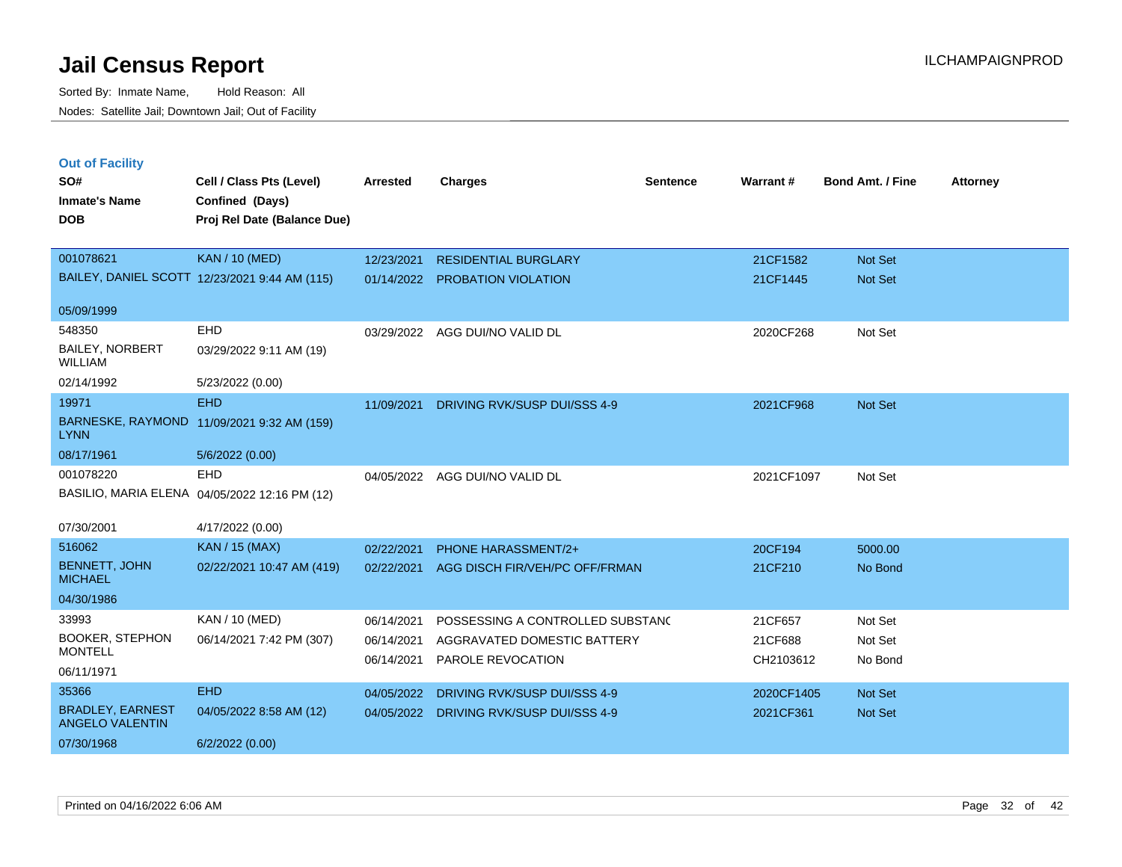**Out of Facility**

| SO#<br><b>Inmate's Name</b><br><b>DOB</b> | Cell / Class Pts (Level)<br>Confined (Days)<br>Proj Rel Date (Balance Due) | Arrested   |
|-------------------------------------------|----------------------------------------------------------------------------|------------|
| 001078621                                 | <b>KAN</b> / 10 (MED)                                                      | 12/23/2021 |
|                                           | BAILEY, DANIEL SCOTT 12/23/2021 9:44 AM (115)                              | 01/14/2022 |

| SO#                                               | Cell / Class Pts (Level)                      | <b>Arrested</b>          | <b>Charges</b>                                   | <b>Sentence</b> | Warrant#             | <b>Bond Amt. / Fine</b> | <b>Attorney</b> |
|---------------------------------------------------|-----------------------------------------------|--------------------------|--------------------------------------------------|-----------------|----------------------|-------------------------|-----------------|
| <b>Inmate's Name</b>                              | Confined (Days)                               |                          |                                                  |                 |                      |                         |                 |
| <b>DOB</b>                                        | Proj Rel Date (Balance Due)                   |                          |                                                  |                 |                      |                         |                 |
|                                                   |                                               |                          |                                                  |                 |                      |                         |                 |
| 001078621                                         | <b>KAN / 10 (MED)</b>                         | 12/23/2021               | <b>RESIDENTIAL BURGLARY</b>                      |                 | 21CF1582             | Not Set                 |                 |
|                                                   | BAILEY, DANIEL SCOTT 12/23/2021 9:44 AM (115) | 01/14/2022               | PROBATION VIOLATION                              |                 | 21CF1445             | Not Set                 |                 |
| 05/09/1999                                        |                                               |                          |                                                  |                 |                      |                         |                 |
| 548350                                            | EHD                                           | 03/29/2022               | AGG DUI/NO VALID DL                              |                 | 2020CF268            | Not Set                 |                 |
| <b>BAILEY, NORBERT</b><br><b>WILLIAM</b>          | 03/29/2022 9:11 AM (19)                       |                          |                                                  |                 |                      |                         |                 |
| 02/14/1992                                        | 5/23/2022 (0.00)                              |                          |                                                  |                 |                      |                         |                 |
| 19971                                             | <b>EHD</b>                                    | 11/09/2021               | DRIVING RVK/SUSP DUI/SSS 4-9                     |                 | 2021CF968            | Not Set                 |                 |
| <b>LYNN</b>                                       | BARNESKE, RAYMOND 11/09/2021 9:32 AM (159)    |                          |                                                  |                 |                      |                         |                 |
| 08/17/1961                                        | 5/6/2022 (0.00)                               |                          |                                                  |                 |                      |                         |                 |
| 001078220                                         | <b>EHD</b>                                    | 04/05/2022               | AGG DUI/NO VALID DL                              |                 | 2021CF1097           | Not Set                 |                 |
|                                                   | BASILIO, MARIA ELENA 04/05/2022 12:16 PM (12) |                          |                                                  |                 |                      |                         |                 |
| 07/30/2001                                        | 4/17/2022 (0.00)                              |                          |                                                  |                 |                      |                         |                 |
| 516062                                            | <b>KAN / 15 (MAX)</b>                         | 02/22/2021               | <b>PHONE HARASSMENT/2+</b>                       |                 | 20CF194              | 5000.00                 |                 |
| <b>BENNETT, JOHN</b><br><b>MICHAEL</b>            | 02/22/2021 10:47 AM (419)                     | 02/22/2021               | AGG DISCH FIR/VEH/PC OFF/FRMAN                   |                 | 21CF210              | No Bond                 |                 |
| 04/30/1986                                        |                                               |                          |                                                  |                 |                      |                         |                 |
| 33993                                             | KAN / 10 (MED)                                | 06/14/2021               | POSSESSING A CONTROLLED SUBSTAND                 |                 | 21CF657              | Not Set                 |                 |
| <b>BOOKER, STEPHON</b><br><b>MONTELL</b>          | 06/14/2021 7:42 PM (307)                      | 06/14/2021<br>06/14/2021 | AGGRAVATED DOMESTIC BATTERY<br>PAROLE REVOCATION |                 | 21CF688<br>CH2103612 | Not Set<br>No Bond      |                 |
| 06/11/1971                                        |                                               |                          |                                                  |                 |                      |                         |                 |
| 35366                                             | <b>EHD</b>                                    | 04/05/2022               | DRIVING RVK/SUSP DUI/SSS 4-9                     |                 | 2020CF1405           | Not Set                 |                 |
| <b>BRADLEY, EARNEST</b><br><b>ANGELO VALENTIN</b> | 04/05/2022 8:58 AM (12)                       |                          | 04/05/2022 DRIVING RVK/SUSP DUI/SSS 4-9          |                 | 2021CF361            | <b>Not Set</b>          |                 |
| 07/30/1968                                        | 6/2/2022(0.00)                                |                          |                                                  |                 |                      |                         |                 |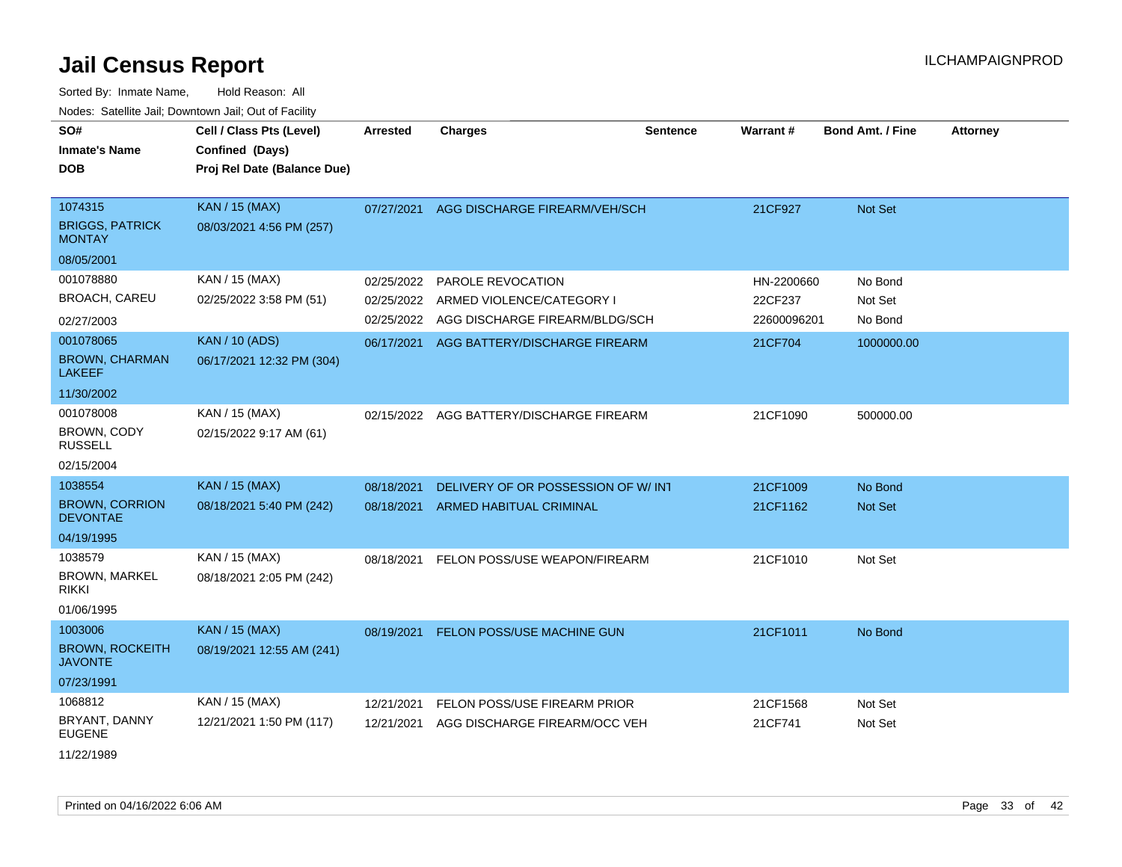| SO#<br><b>Inmate's Name</b><br><b>DOB</b>          | Cell / Class Pts (Level)<br>Confined (Days)<br>Proj Rel Date (Balance Due) | Arrested   | Charges                                  | <b>Sentence</b> | <b>Warrant#</b> | <b>Bond Amt. / Fine</b> | <b>Attorney</b> |
|----------------------------------------------------|----------------------------------------------------------------------------|------------|------------------------------------------|-----------------|-----------------|-------------------------|-----------------|
| 1074315<br><b>BRIGGS, PATRICK</b><br><b>MONTAY</b> | <b>KAN / 15 (MAX)</b><br>08/03/2021 4:56 PM (257)                          | 07/27/2021 | AGG DISCHARGE FIREARM/VEH/SCH            |                 | 21CF927         | Not Set                 |                 |
| 08/05/2001                                         |                                                                            |            |                                          |                 |                 |                         |                 |
| 001078880                                          | KAN / 15 (MAX)                                                             | 02/25/2022 | PAROLE REVOCATION                        |                 | HN-2200660      | No Bond                 |                 |
| <b>BROACH, CAREU</b>                               | 02/25/2022 3:58 PM (51)                                                    | 02/25/2022 | ARMED VIOLENCE/CATEGORY I                |                 | 22CF237         | Not Set                 |                 |
| 02/27/2003                                         |                                                                            | 02/25/2022 | AGG DISCHARGE FIREARM/BLDG/SCH           |                 | 22600096201     | No Bond                 |                 |
| 001078065                                          | <b>KAN / 10 (ADS)</b>                                                      |            | 06/17/2021 AGG BATTERY/DISCHARGE FIREARM |                 | 21CF704         | 1000000.00              |                 |
| <b>BROWN, CHARMAN</b><br><b>LAKEEF</b>             | 06/17/2021 12:32 PM (304)                                                  |            |                                          |                 |                 |                         |                 |
| 11/30/2002                                         |                                                                            |            |                                          |                 |                 |                         |                 |
| 001078008                                          | KAN / 15 (MAX)                                                             | 02/15/2022 | AGG BATTERY/DISCHARGE FIREARM            |                 | 21CF1090        | 500000.00               |                 |
| BROWN, CODY<br><b>RUSSELL</b>                      | 02/15/2022 9:17 AM (61)                                                    |            |                                          |                 |                 |                         |                 |
| 02/15/2004                                         |                                                                            |            |                                          |                 |                 |                         |                 |
| 1038554                                            | <b>KAN / 15 (MAX)</b>                                                      | 08/18/2021 | DELIVERY OF OR POSSESSION OF W/INT       |                 | 21CF1009        | No Bond                 |                 |
| <b>BROWN, CORRION</b><br><b>DEVONTAE</b>           | 08/18/2021 5:40 PM (242)                                                   | 08/18/2021 | ARMED HABITUAL CRIMINAL                  |                 | 21CF1162        | Not Set                 |                 |
| 04/19/1995                                         |                                                                            |            |                                          |                 |                 |                         |                 |
| 1038579                                            | KAN / 15 (MAX)                                                             | 08/18/2021 | FELON POSS/USE WEAPON/FIREARM            |                 | 21CF1010        | Not Set                 |                 |
| <b>BROWN, MARKEL</b><br><b>RIKKI</b>               | 08/18/2021 2:05 PM (242)                                                   |            |                                          |                 |                 |                         |                 |
| 01/06/1995                                         |                                                                            |            |                                          |                 |                 |                         |                 |
| 1003006                                            | <b>KAN / 15 (MAX)</b>                                                      |            | 08/19/2021 FELON POSS/USE MACHINE GUN    |                 | 21CF1011        | No Bond                 |                 |
| <b>BROWN, ROCKEITH</b><br><b>JAVONTE</b>           | 08/19/2021 12:55 AM (241)                                                  |            |                                          |                 |                 |                         |                 |
| 07/23/1991                                         |                                                                            |            |                                          |                 |                 |                         |                 |
| 1068812                                            | KAN / 15 (MAX)                                                             | 12/21/2021 | FELON POSS/USE FIREARM PRIOR             |                 | 21CF1568        | Not Set                 |                 |
| BRYANT, DANNY<br><b>EUGENE</b>                     | 12/21/2021 1:50 PM (117)                                                   | 12/21/2021 | AGG DISCHARGE FIREARM/OCC VEH            |                 | 21CF741         | Not Set                 |                 |
| 11/22/1989                                         |                                                                            |            |                                          |                 |                 |                         |                 |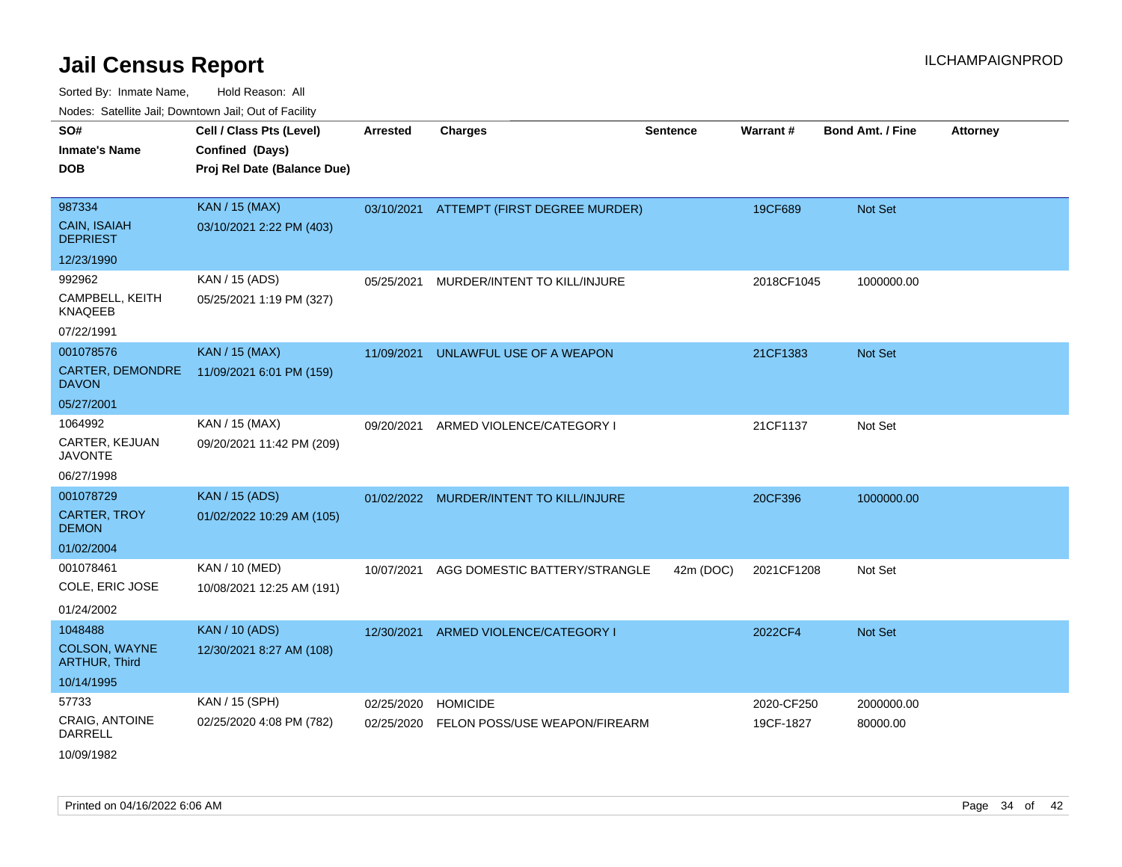| voues. Saleline Jail, Downtown Jail, Out of Facility |                             |                 |                               |                 |            |                         |                 |
|------------------------------------------------------|-----------------------------|-----------------|-------------------------------|-----------------|------------|-------------------------|-----------------|
| SO#                                                  | Cell / Class Pts (Level)    | <b>Arrested</b> | <b>Charges</b>                | <b>Sentence</b> | Warrant#   | <b>Bond Amt. / Fine</b> | <b>Attorney</b> |
| <b>Inmate's Name</b>                                 | Confined (Days)             |                 |                               |                 |            |                         |                 |
| <b>DOB</b>                                           | Proj Rel Date (Balance Due) |                 |                               |                 |            |                         |                 |
|                                                      |                             |                 |                               |                 |            |                         |                 |
| 987334                                               | <b>KAN / 15 (MAX)</b>       | 03/10/2021      | ATTEMPT (FIRST DEGREE MURDER) |                 | 19CF689    | Not Set                 |                 |
| <b>CAIN, ISAIAH</b><br><b>DEPRIEST</b>               | 03/10/2021 2:22 PM (403)    |                 |                               |                 |            |                         |                 |
| 12/23/1990                                           |                             |                 |                               |                 |            |                         |                 |
| 992962                                               | KAN / 15 (ADS)              | 05/25/2021      | MURDER/INTENT TO KILL/INJURE  |                 | 2018CF1045 | 1000000.00              |                 |
| CAMPBELL, KEITH<br><b>KNAQEEB</b>                    | 05/25/2021 1:19 PM (327)    |                 |                               |                 |            |                         |                 |
| 07/22/1991                                           |                             |                 |                               |                 |            |                         |                 |
| 001078576                                            | <b>KAN / 15 (MAX)</b>       | 11/09/2021      | UNLAWFUL USE OF A WEAPON      |                 | 21CF1383   | Not Set                 |                 |
| CARTER, DEMONDRE<br><b>DAVON</b>                     | 11/09/2021 6:01 PM (159)    |                 |                               |                 |            |                         |                 |
| 05/27/2001                                           |                             |                 |                               |                 |            |                         |                 |
| 1064992                                              | KAN / 15 (MAX)              | 09/20/2021      | ARMED VIOLENCE/CATEGORY I     |                 | 21CF1137   | Not Set                 |                 |
| CARTER, KEJUAN<br><b>JAVONTE</b>                     | 09/20/2021 11:42 PM (209)   |                 |                               |                 |            |                         |                 |
| 06/27/1998                                           |                             |                 |                               |                 |            |                         |                 |
| 001078729                                            | <b>KAN / 15 (ADS)</b>       | 01/02/2022      | MURDER/INTENT TO KILL/INJURE  |                 | 20CF396    | 1000000.00              |                 |
| <b>CARTER, TROY</b><br><b>DEMON</b>                  | 01/02/2022 10:29 AM (105)   |                 |                               |                 |            |                         |                 |
| 01/02/2004                                           |                             |                 |                               |                 |            |                         |                 |
| 001078461                                            | KAN / 10 (MED)              | 10/07/2021      | AGG DOMESTIC BATTERY/STRANGLE | 42m (DOC)       | 2021CF1208 | Not Set                 |                 |
| COLE, ERIC JOSE                                      | 10/08/2021 12:25 AM (191)   |                 |                               |                 |            |                         |                 |
| 01/24/2002                                           |                             |                 |                               |                 |            |                         |                 |
| 1048488                                              | <b>KAN / 10 (ADS)</b>       | 12/30/2021      | ARMED VIOLENCE/CATEGORY I     |                 | 2022CF4    | <b>Not Set</b>          |                 |
| <b>COLSON, WAYNE</b><br><b>ARTHUR, Third</b>         | 12/30/2021 8:27 AM (108)    |                 |                               |                 |            |                         |                 |
| 10/14/1995                                           |                             |                 |                               |                 |            |                         |                 |
| 57733                                                | KAN / 15 (SPH)              | 02/25/2020      | <b>HOMICIDE</b>               |                 | 2020-CF250 | 2000000.00              |                 |
| CRAIG, ANTOINE<br>DARRELL                            | 02/25/2020 4:08 PM (782)    | 02/25/2020      | FELON POSS/USE WEAPON/FIREARM |                 | 19CF-1827  | 80000.00                |                 |
| 10/09/1982                                           |                             |                 |                               |                 |            |                         |                 |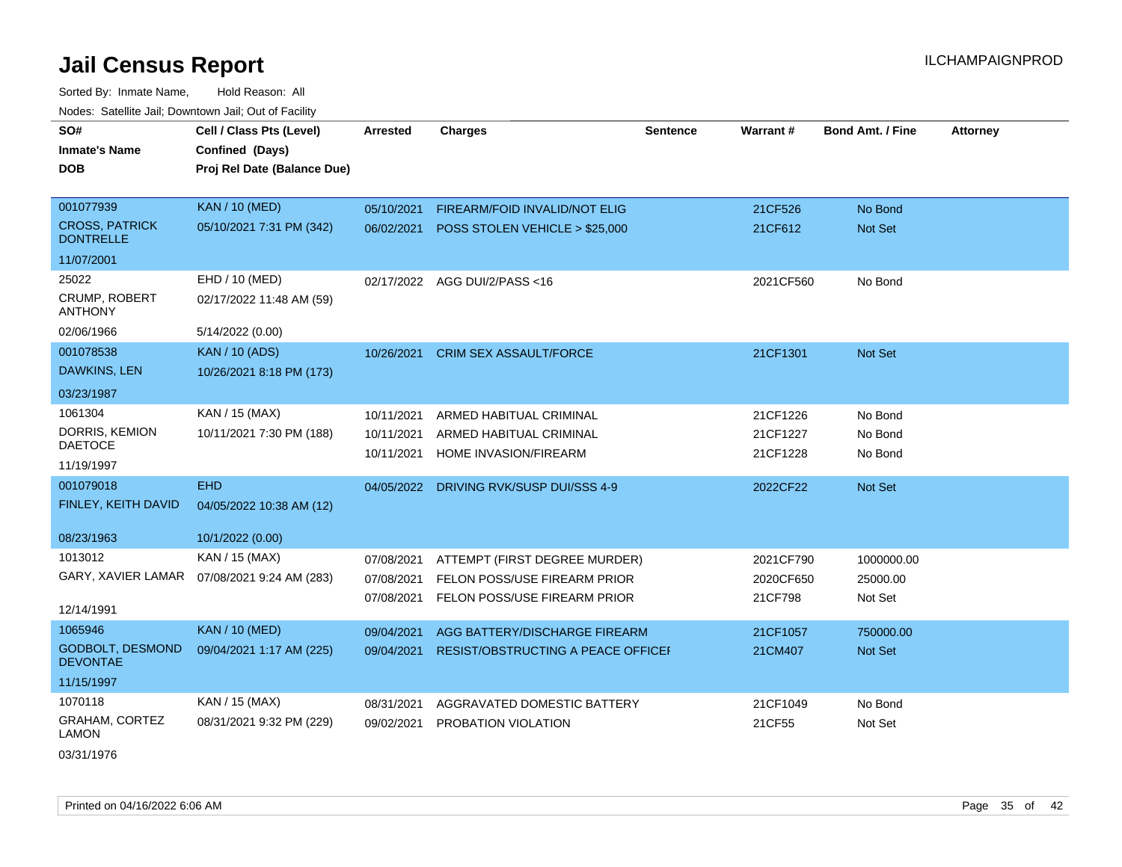Sorted By: Inmate Name, Hold Reason: All Nodes: Satellite Jail; Downtown Jail; Out of Facility

| SO#<br><b>Inmate's Name</b><br><b>DOB</b>                           | Cell / Class Pts (Level)<br>Confined (Days)<br>Proj Rel Date (Balance Due) | <b>Arrested</b>                        | <b>Charges</b>                                                                                | <b>Sentence</b> | Warrant#                          | <b>Bond Amt. / Fine</b>           | <b>Attorney</b> |
|---------------------------------------------------------------------|----------------------------------------------------------------------------|----------------------------------------|-----------------------------------------------------------------------------------------------|-----------------|-----------------------------------|-----------------------------------|-----------------|
| 001077939<br><b>CROSS, PATRICK</b><br><b>DONTRELLE</b>              | <b>KAN / 10 (MED)</b><br>05/10/2021 7:31 PM (342)                          | 05/10/2021<br>06/02/2021               | FIREARM/FOID INVALID/NOT ELIG<br>POSS STOLEN VEHICLE > \$25,000                               |                 | 21CF526<br>21CF612                | No Bond<br><b>Not Set</b>         |                 |
| 11/07/2001                                                          |                                                                            |                                        |                                                                                               |                 |                                   |                                   |                 |
| 25022<br>CRUMP, ROBERT<br><b>ANTHONY</b>                            | EHD / 10 (MED)<br>02/17/2022 11:48 AM (59)                                 |                                        | 02/17/2022 AGG DUI/2/PASS<16                                                                  |                 | 2021CF560                         | No Bond                           |                 |
| 02/06/1966                                                          | 5/14/2022 (0.00)                                                           |                                        |                                                                                               |                 |                                   |                                   |                 |
| 001078538<br>DAWKINS, LEN                                           | <b>KAN / 10 (ADS)</b><br>10/26/2021 8:18 PM (173)                          | 10/26/2021                             | <b>CRIM SEX ASSAULT/FORCE</b>                                                                 |                 | 21CF1301                          | <b>Not Set</b>                    |                 |
| 03/23/1987                                                          |                                                                            |                                        |                                                                                               |                 |                                   |                                   |                 |
| 1061304<br>DORRIS, KEMION<br><b>DAETOCE</b><br>11/19/1997           | KAN / 15 (MAX)<br>10/11/2021 7:30 PM (188)                                 | 10/11/2021<br>10/11/2021<br>10/11/2021 | ARMED HABITUAL CRIMINAL<br>ARMED HABITUAL CRIMINAL<br>HOME INVASION/FIREARM                   |                 | 21CF1226<br>21CF1227<br>21CF1228  | No Bond<br>No Bond<br>No Bond     |                 |
| 001079018<br>FINLEY, KEITH DAVID<br>08/23/1963                      | <b>EHD</b><br>04/05/2022 10:38 AM (12)<br>10/1/2022 (0.00)                 | 04/05/2022                             | DRIVING RVK/SUSP DUI/SSS 4-9                                                                  |                 | 2022CF22                          | <b>Not Set</b>                    |                 |
| 1013012<br>GARY, XAVIER LAMAR<br>12/14/1991                         | KAN / 15 (MAX)<br>07/08/2021 9:24 AM (283)                                 | 07/08/2021<br>07/08/2021<br>07/08/2021 | ATTEMPT (FIRST DEGREE MURDER)<br>FELON POSS/USE FIREARM PRIOR<br>FELON POSS/USE FIREARM PRIOR |                 | 2021CF790<br>2020CF650<br>21CF798 | 1000000.00<br>25000.00<br>Not Set |                 |
| 1065946<br><b>GODBOLT, DESMOND</b><br><b>DEVONTAE</b><br>11/15/1997 | <b>KAN / 10 (MED)</b><br>09/04/2021 1:17 AM (225)                          | 09/04/2021<br>09/04/2021               | AGG BATTERY/DISCHARGE FIREARM<br>RESIST/OBSTRUCTING A PEACE OFFICEI                           |                 | 21CF1057<br>21CM407               | 750000.00<br><b>Not Set</b>       |                 |
| 1070118<br>GRAHAM, CORTEZ<br><b>LAMON</b>                           | KAN / 15 (MAX)<br>08/31/2021 9:32 PM (229)                                 | 08/31/2021<br>09/02/2021               | AGGRAVATED DOMESTIC BATTERY<br>PROBATION VIOLATION                                            |                 | 21CF1049<br>21CF55                | No Bond<br>Not Set                |                 |

03/31/1976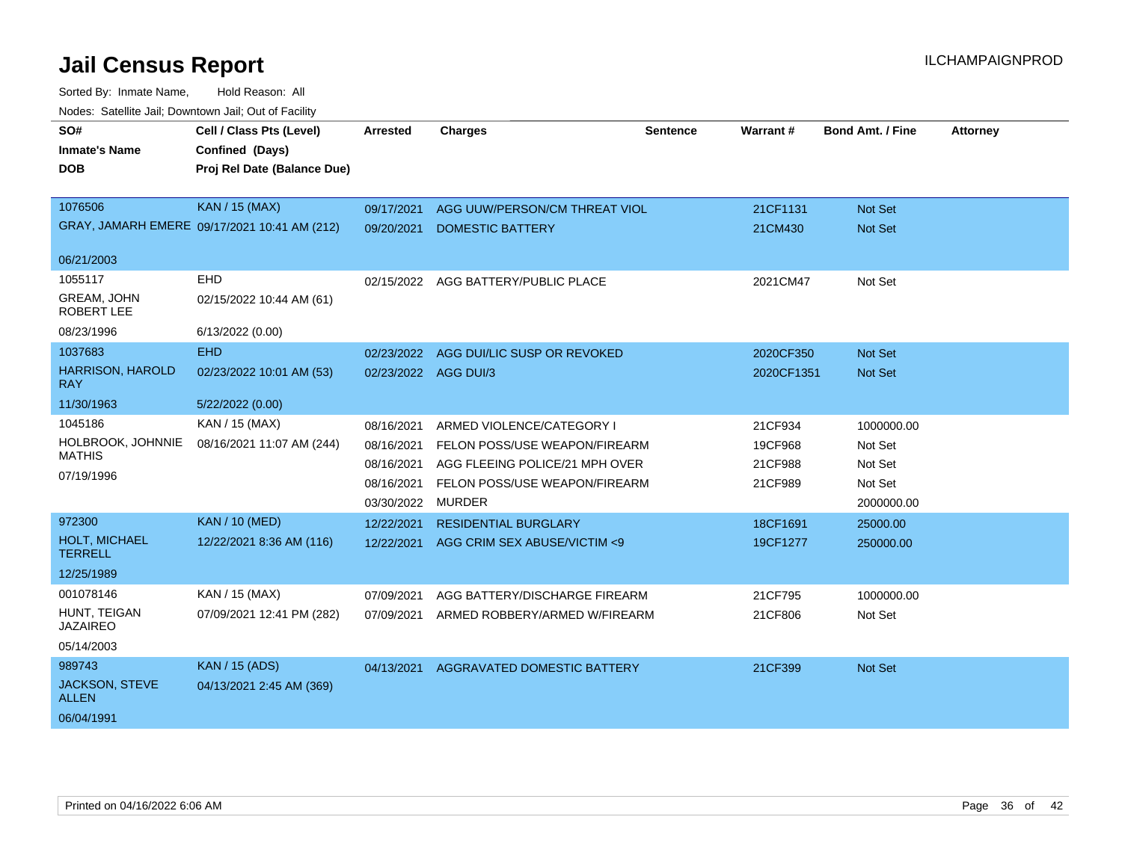| SO#<br><b>Inmate's Name</b>             | Cell / Class Pts (Level)<br>Confined (Days)  | <b>Arrested</b>      | <b>Charges</b>                 | <b>Sentence</b> | Warrant#   | <b>Bond Amt. / Fine</b> | <b>Attorney</b> |
|-----------------------------------------|----------------------------------------------|----------------------|--------------------------------|-----------------|------------|-------------------------|-----------------|
| <b>DOB</b>                              | Proj Rel Date (Balance Due)                  |                      |                                |                 |            |                         |                 |
| 1076506                                 | KAN / 15 (MAX)                               | 09/17/2021           | AGG UUW/PERSON/CM THREAT VIOL  |                 | 21CF1131   | <b>Not Set</b>          |                 |
|                                         | GRAY, JAMARH EMERE 09/17/2021 10:41 AM (212) | 09/20/2021           | <b>DOMESTIC BATTERY</b>        |                 | 21CM430    | Not Set                 |                 |
| 06/21/2003                              |                                              |                      |                                |                 |            |                         |                 |
| 1055117                                 | <b>EHD</b>                                   | 02/15/2022           | AGG BATTERY/PUBLIC PLACE       |                 | 2021CM47   | Not Set                 |                 |
| <b>GREAM, JOHN</b><br><b>ROBERT LEE</b> | 02/15/2022 10:44 AM (61)                     |                      |                                |                 |            |                         |                 |
| 08/23/1996                              | 6/13/2022 (0.00)                             |                      |                                |                 |            |                         |                 |
| 1037683                                 | EHD                                          | 02/23/2022           | AGG DUI/LIC SUSP OR REVOKED    |                 | 2020CF350  | <b>Not Set</b>          |                 |
| <b>HARRISON, HAROLD</b><br>RAY          | 02/23/2022 10:01 AM (53)                     | 02/23/2022 AGG DUI/3 |                                |                 | 2020CF1351 | <b>Not Set</b>          |                 |
| 11/30/1963                              | 5/22/2022 (0.00)                             |                      |                                |                 |            |                         |                 |
| 1045186                                 | KAN / 15 (MAX)                               | 08/16/2021           | ARMED VIOLENCE/CATEGORY I      |                 | 21CF934    | 1000000.00              |                 |
| HOLBROOK, JOHNNIE                       | 08/16/2021 11:07 AM (244)                    | 08/16/2021           | FELON POSS/USE WEAPON/FIREARM  |                 | 19CF968    | Not Set                 |                 |
| <b>MATHIS</b>                           |                                              | 08/16/2021           | AGG FLEEING POLICE/21 MPH OVER |                 | 21CF988    | Not Set                 |                 |
| 07/19/1996                              |                                              | 08/16/2021           | FELON POSS/USE WEAPON/FIREARM  |                 | 21CF989    | Not Set                 |                 |
|                                         |                                              | 03/30/2022           | <b>MURDER</b>                  |                 |            | 2000000.00              |                 |
| 972300                                  | <b>KAN / 10 (MED)</b>                        | 12/22/2021           | <b>RESIDENTIAL BURGLARY</b>    |                 | 18CF1691   | 25000.00                |                 |
| HOLT, MICHAEL<br><b>TERRELL</b>         | 12/22/2021 8:36 AM (116)                     | 12/22/2021           | AGG CRIM SEX ABUSE/VICTIM <9   |                 | 19CF1277   | 250000.00               |                 |
| 12/25/1989                              |                                              |                      |                                |                 |            |                         |                 |
| 001078146                               | KAN / 15 (MAX)                               | 07/09/2021           | AGG BATTERY/DISCHARGE FIREARM  |                 | 21CF795    | 1000000.00              |                 |
| HUNT, TEIGAN<br><b>JAZAIREO</b>         | 07/09/2021 12:41 PM (282)                    | 07/09/2021           | ARMED ROBBERY/ARMED W/FIREARM  |                 | 21CF806    | Not Set                 |                 |
| 05/14/2003                              |                                              |                      |                                |                 |            |                         |                 |
| 989743                                  | <b>KAN / 15 (ADS)</b>                        | 04/13/2021           | AGGRAVATED DOMESTIC BATTERY    |                 | 21CF399    | <b>Not Set</b>          |                 |
| <b>JACKSON, STEVE</b><br><b>ALLEN</b>   | 04/13/2021 2:45 AM (369)                     |                      |                                |                 |            |                         |                 |
| 06/04/1991                              |                                              |                      |                                |                 |            |                         |                 |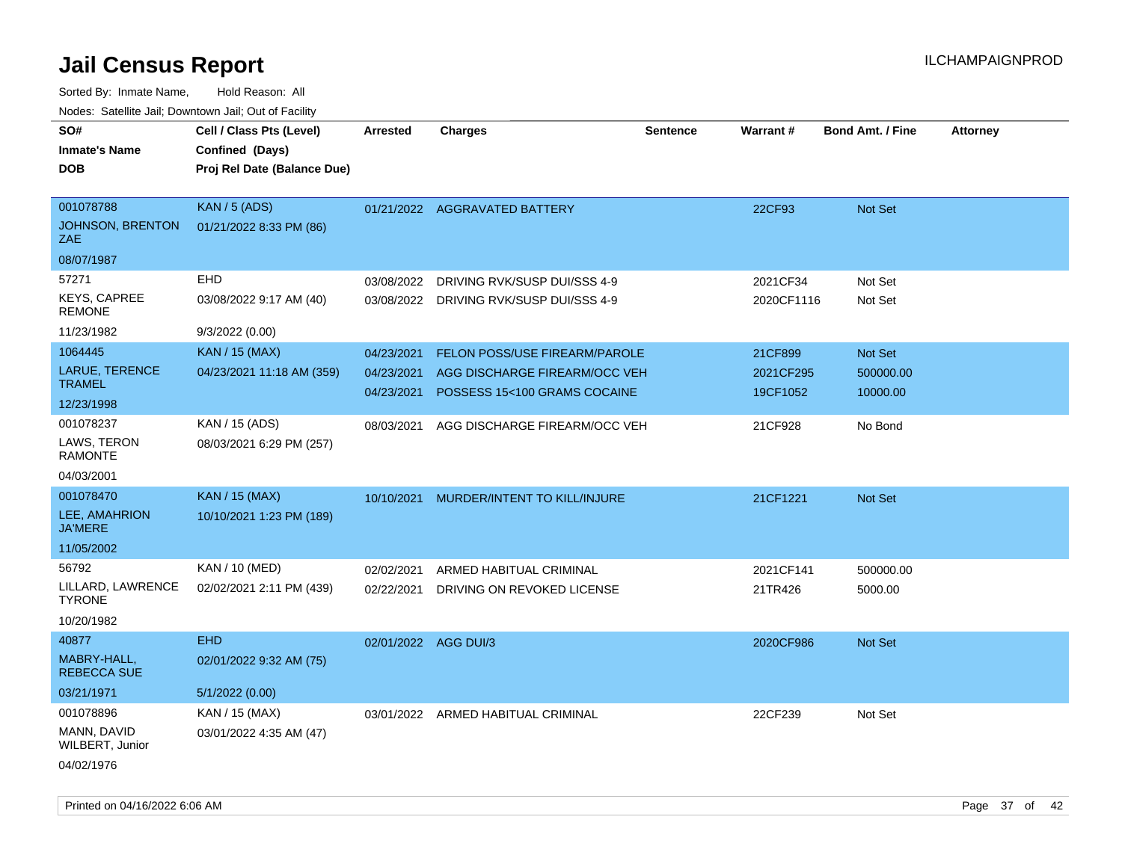| SO#                                  | Cell / Class Pts (Level)                       | <b>Arrested</b>      | <b>Charges</b>                       | <b>Sentence</b> | Warrant#   | <b>Bond Amt. / Fine</b> | <b>Attorney</b> |
|--------------------------------------|------------------------------------------------|----------------------|--------------------------------------|-----------------|------------|-------------------------|-----------------|
| <b>Inmate's Name</b><br><b>DOB</b>   | Confined (Days)<br>Proj Rel Date (Balance Due) |                      |                                      |                 |            |                         |                 |
|                                      |                                                |                      |                                      |                 |            |                         |                 |
| 001078788                            | <b>KAN / 5 (ADS)</b>                           |                      | 01/21/2022 AGGRAVATED BATTERY        |                 | 22CF93     | Not Set                 |                 |
| <b>JOHNSON, BRENTON</b><br>ZAE       | 01/21/2022 8:33 PM (86)                        |                      |                                      |                 |            |                         |                 |
| 08/07/1987                           |                                                |                      |                                      |                 |            |                         |                 |
| 57271                                | EHD                                            | 03/08/2022           | DRIVING RVK/SUSP DUI/SSS 4-9         |                 | 2021CF34   | Not Set                 |                 |
| <b>KEYS, CAPREE</b><br><b>REMONE</b> | 03/08/2022 9:17 AM (40)                        | 03/08/2022           | DRIVING RVK/SUSP DUI/SSS 4-9         |                 | 2020CF1116 | Not Set                 |                 |
| 11/23/1982                           | 9/3/2022 (0.00)                                |                      |                                      |                 |            |                         |                 |
| 1064445                              | <b>KAN / 15 (MAX)</b>                          | 04/23/2021           | <b>FELON POSS/USE FIREARM/PAROLE</b> |                 | 21CF899    | Not Set                 |                 |
| <b>LARUE, TERENCE</b>                | 04/23/2021 11:18 AM (359)                      | 04/23/2021           | AGG DISCHARGE FIREARM/OCC VEH        |                 | 2021CF295  | 500000.00               |                 |
| <b>TRAMEL</b>                        |                                                | 04/23/2021           | POSSESS 15<100 GRAMS COCAINE         |                 | 19CF1052   | 10000.00                |                 |
| 12/23/1998                           |                                                |                      |                                      |                 |            |                         |                 |
| 001078237                            | KAN / 15 (ADS)                                 | 08/03/2021           | AGG DISCHARGE FIREARM/OCC VEH        |                 | 21CF928    | No Bond                 |                 |
| LAWS, TERON<br><b>RAMONTE</b>        | 08/03/2021 6:29 PM (257)                       |                      |                                      |                 |            |                         |                 |
| 04/03/2001                           |                                                |                      |                                      |                 |            |                         |                 |
| 001078470                            | KAN / 15 (MAX)                                 | 10/10/2021           | MURDER/INTENT TO KILL/INJURE         |                 | 21CF1221   | <b>Not Set</b>          |                 |
| LEE, AMAHRION<br><b>JA'MERE</b>      | 10/10/2021 1:23 PM (189)                       |                      |                                      |                 |            |                         |                 |
| 11/05/2002                           |                                                |                      |                                      |                 |            |                         |                 |
| 56792                                | KAN / 10 (MED)                                 | 02/02/2021           | ARMED HABITUAL CRIMINAL              |                 | 2021CF141  | 500000.00               |                 |
| LILLARD, LAWRENCE<br><b>TYRONE</b>   | 02/02/2021 2:11 PM (439)                       | 02/22/2021           | DRIVING ON REVOKED LICENSE           |                 | 21TR426    | 5000.00                 |                 |
| 10/20/1982                           |                                                |                      |                                      |                 |            |                         |                 |
| 40877                                | <b>EHD</b>                                     | 02/01/2022 AGG DUI/3 |                                      |                 | 2020CF986  | Not Set                 |                 |
| MABRY-HALL,<br><b>REBECCA SUE</b>    | 02/01/2022 9:32 AM (75)                        |                      |                                      |                 |            |                         |                 |
| 03/21/1971                           | 5/1/2022(0.00)                                 |                      |                                      |                 |            |                         |                 |
| 001078896                            | KAN / 15 (MAX)                                 |                      | 03/01/2022 ARMED HABITUAL CRIMINAL   |                 | 22CF239    | Not Set                 |                 |
| MANN, DAVID<br>WILBERT, Junior       | 03/01/2022 4:35 AM (47)                        |                      |                                      |                 |            |                         |                 |
| 04/02/1976                           |                                                |                      |                                      |                 |            |                         |                 |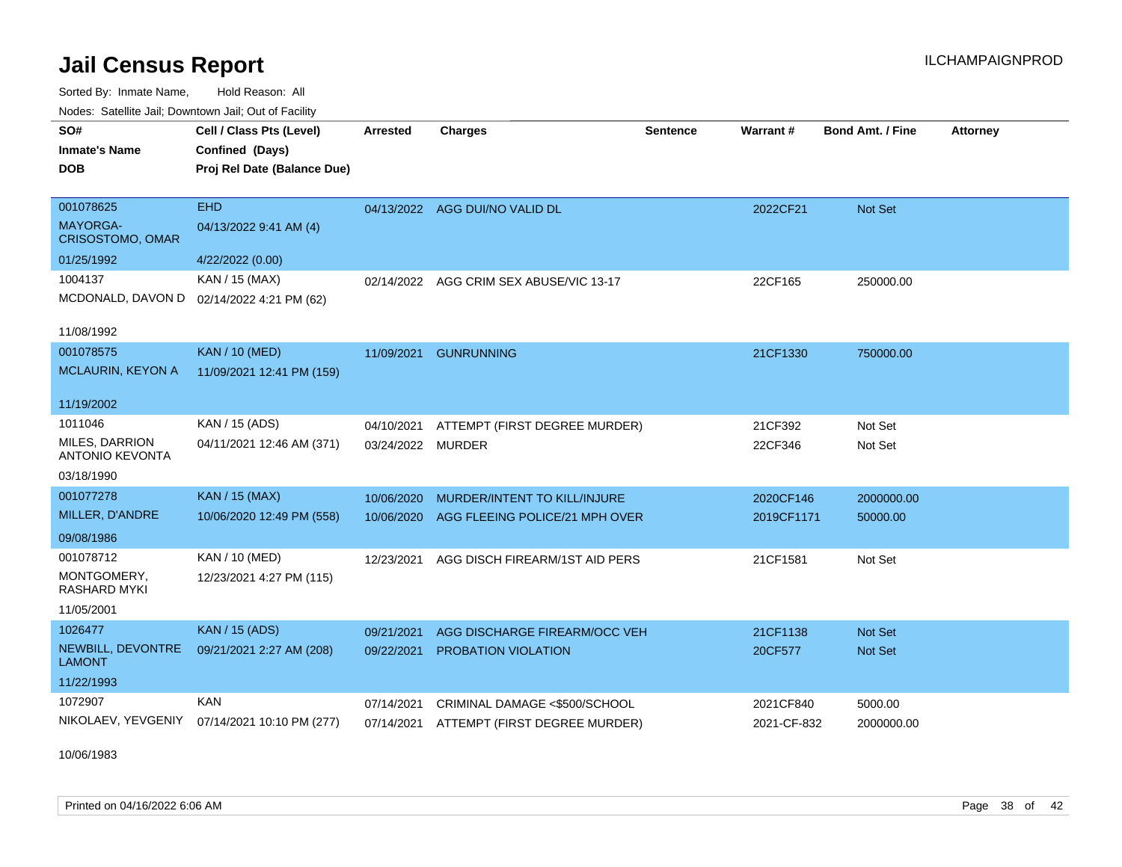Sorted By: Inmate Name, Hold Reason: All Nodes: Satellite Jail; Downtown Jail; Out of Facility

| Todos. Catolino can, Downtown can, Out of Fability |                                              |                   |                                          |                 |             |                         |                 |
|----------------------------------------------------|----------------------------------------------|-------------------|------------------------------------------|-----------------|-------------|-------------------------|-----------------|
| SO#                                                | Cell / Class Pts (Level)                     | <b>Arrested</b>   | <b>Charges</b>                           | <b>Sentence</b> | Warrant#    | <b>Bond Amt. / Fine</b> | <b>Attorney</b> |
| <b>Inmate's Name</b>                               | Confined (Days)                              |                   |                                          |                 |             |                         |                 |
| DOB                                                | Proj Rel Date (Balance Due)                  |                   |                                          |                 |             |                         |                 |
|                                                    |                                              |                   |                                          |                 |             |                         |                 |
| 001078625                                          | <b>EHD</b>                                   |                   | 04/13/2022 AGG DUI/NO VALID DL           |                 | 2022CF21    | Not Set                 |                 |
| <b>MAYORGA-</b><br><b>CRISOSTOMO, OMAR</b>         | 04/13/2022 9:41 AM (4)                       |                   |                                          |                 |             |                         |                 |
| 01/25/1992                                         | 4/22/2022 (0.00)                             |                   |                                          |                 |             |                         |                 |
| 1004137                                            | KAN / 15 (MAX)                               |                   | 02/14/2022 AGG CRIM SEX ABUSE/VIC 13-17  |                 | 22CF165     | 250000.00               |                 |
| MCDONALD, DAVON D                                  | 02/14/2022 4:21 PM (62)                      |                   |                                          |                 |             |                         |                 |
|                                                    |                                              |                   |                                          |                 |             |                         |                 |
| 11/08/1992                                         |                                              |                   |                                          |                 |             |                         |                 |
| 001078575                                          | <b>KAN / 10 (MED)</b>                        | 11/09/2021        | <b>GUNRUNNING</b>                        |                 | 21CF1330    | 750000.00               |                 |
| MCLAURIN, KEYON A                                  | 11/09/2021 12:41 PM (159)                    |                   |                                          |                 |             |                         |                 |
|                                                    |                                              |                   |                                          |                 |             |                         |                 |
| 11/19/2002                                         |                                              |                   |                                          |                 |             |                         |                 |
| 1011046                                            | KAN / 15 (ADS)                               | 04/10/2021        | ATTEMPT (FIRST DEGREE MURDER)            |                 | 21CF392     | Not Set                 |                 |
| MILES, DARRION<br><b>ANTONIO KEVONTA</b>           | 04/11/2021 12:46 AM (371)                    | 03/24/2022 MURDER |                                          |                 | 22CF346     | Not Set                 |                 |
| 03/18/1990                                         |                                              |                   |                                          |                 |             |                         |                 |
| 001077278                                          | <b>KAN / 15 (MAX)</b>                        | 10/06/2020        | MURDER/INTENT TO KILL/INJURE             |                 | 2020CF146   | 2000000.00              |                 |
| MILLER, D'ANDRE                                    | 10/06/2020 12:49 PM (558)                    | 10/06/2020        | AGG FLEEING POLICE/21 MPH OVER           |                 | 2019CF1171  | 50000.00                |                 |
| 09/08/1986                                         |                                              |                   |                                          |                 |             |                         |                 |
| 001078712                                          | KAN / 10 (MED)                               | 12/23/2021        | AGG DISCH FIREARM/1ST AID PERS           |                 | 21CF1581    | Not Set                 |                 |
| MONTGOMERY,<br><b>RASHARD MYKI</b>                 | 12/23/2021 4:27 PM (115)                     |                   |                                          |                 |             |                         |                 |
| 11/05/2001                                         |                                              |                   |                                          |                 |             |                         |                 |
| 1026477                                            | <b>KAN / 15 (ADS)</b>                        | 09/21/2021        | AGG DISCHARGE FIREARM/OCC VEH            |                 | 21CF1138    | <b>Not Set</b>          |                 |
| NEWBILL, DEVONTRE<br><b>LAMONT</b>                 | 09/21/2021 2:27 AM (208)                     | 09/22/2021        | <b>PROBATION VIOLATION</b>               |                 | 20CF577     | Not Set                 |                 |
| 11/22/1993                                         |                                              |                   |                                          |                 |             |                         |                 |
| 1072907                                            | KAN                                          | 07/14/2021        | CRIMINAL DAMAGE <\$500/SCHOOL            |                 | 2021CF840   | 5000.00                 |                 |
|                                                    | NIKOLAEV, YEVGENIY 07/14/2021 10:10 PM (277) |                   | 07/14/2021 ATTEMPT (FIRST DEGREE MURDER) |                 | 2021-CF-832 | 2000000.00              |                 |

10/06/1983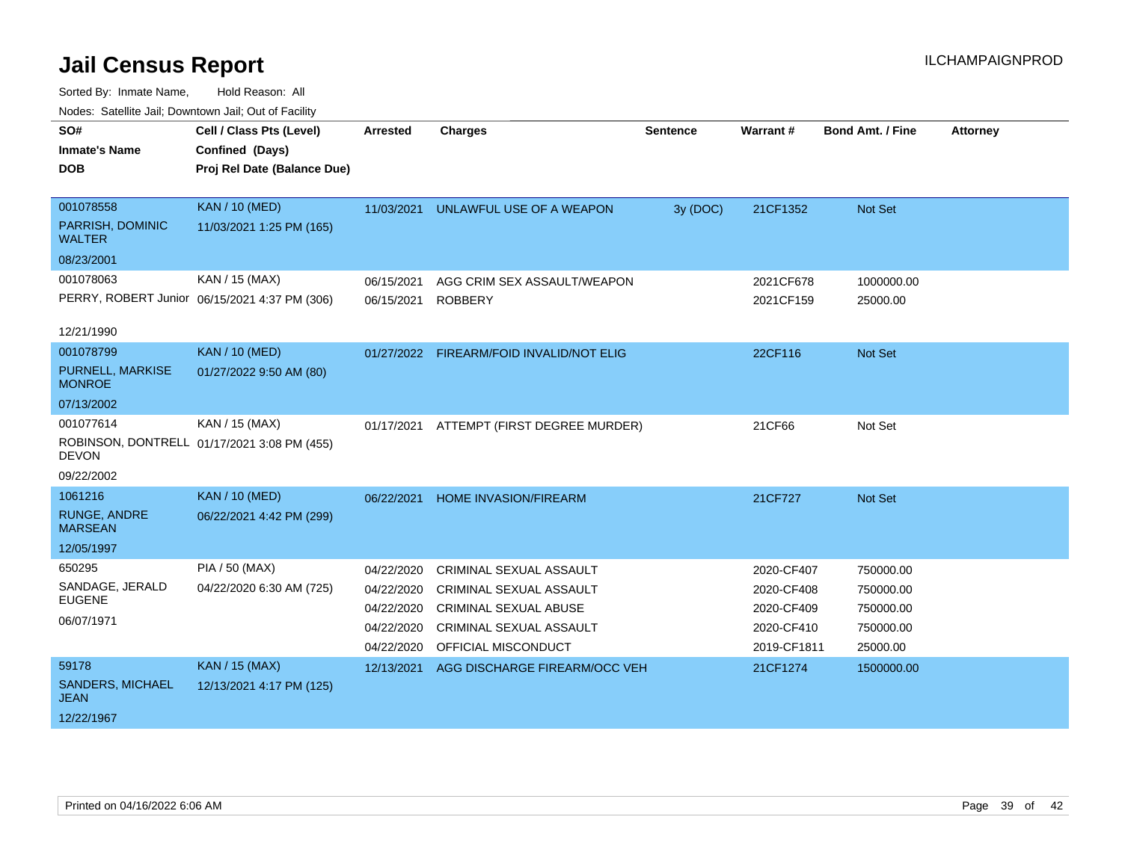| roucs. Oatchite sail, Downtown sail, Out of Facility |                                               |                 |                                          |                 |             |                         |                 |  |
|------------------------------------------------------|-----------------------------------------------|-----------------|------------------------------------------|-----------------|-------------|-------------------------|-----------------|--|
| SO#                                                  | Cell / Class Pts (Level)                      | <b>Arrested</b> | <b>Charges</b>                           | <b>Sentence</b> | Warrant#    | <b>Bond Amt. / Fine</b> | <b>Attorney</b> |  |
| <b>Inmate's Name</b>                                 | Confined (Days)                               |                 |                                          |                 |             |                         |                 |  |
| <b>DOB</b>                                           | Proj Rel Date (Balance Due)                   |                 |                                          |                 |             |                         |                 |  |
|                                                      |                                               |                 |                                          |                 |             |                         |                 |  |
| 001078558                                            | <b>KAN / 10 (MED)</b>                         | 11/03/2021      | UNLAWFUL USE OF A WEAPON                 | 3y (DOC)        | 21CF1352    | Not Set                 |                 |  |
| PARRISH, DOMINIC<br><b>WALTER</b>                    | 11/03/2021 1:25 PM (165)                      |                 |                                          |                 |             |                         |                 |  |
| 08/23/2001                                           |                                               |                 |                                          |                 |             |                         |                 |  |
| 001078063                                            | KAN / 15 (MAX)                                | 06/15/2021      | AGG CRIM SEX ASSAULT/WEAPON              |                 | 2021CF678   | 1000000.00              |                 |  |
|                                                      | PERRY, ROBERT Junior 06/15/2021 4:37 PM (306) | 06/15/2021      | <b>ROBBERY</b>                           |                 | 2021CF159   | 25000.00                |                 |  |
|                                                      |                                               |                 |                                          |                 |             |                         |                 |  |
| 12/21/1990                                           |                                               |                 |                                          |                 |             |                         |                 |  |
| 001078799                                            | <b>KAN / 10 (MED)</b>                         |                 | 01/27/2022 FIREARM/FOID INVALID/NOT ELIG |                 | 22CF116     | Not Set                 |                 |  |
| PURNELL, MARKISE<br><b>MONROE</b>                    | 01/27/2022 9:50 AM (80)                       |                 |                                          |                 |             |                         |                 |  |
| 07/13/2002                                           |                                               |                 |                                          |                 |             |                         |                 |  |
| 001077614                                            | KAN / 15 (MAX)                                | 01/17/2021      | ATTEMPT (FIRST DEGREE MURDER)            |                 | 21CF66      | Not Set                 |                 |  |
| <b>DEVON</b>                                         | ROBINSON, DONTRELL 01/17/2021 3:08 PM (455)   |                 |                                          |                 |             |                         |                 |  |
| 09/22/2002                                           |                                               |                 |                                          |                 |             |                         |                 |  |
| 1061216                                              | <b>KAN / 10 (MED)</b>                         | 06/22/2021      | <b>HOME INVASION/FIREARM</b>             |                 | 21CF727     | Not Set                 |                 |  |
| <b>RUNGE, ANDRE</b><br><b>MARSEAN</b>                | 06/22/2021 4:42 PM (299)                      |                 |                                          |                 |             |                         |                 |  |
| 12/05/1997                                           |                                               |                 |                                          |                 |             |                         |                 |  |
| 650295                                               | <b>PIA / 50 (MAX)</b>                         | 04/22/2020      | <b>CRIMINAL SEXUAL ASSAULT</b>           |                 | 2020-CF407  | 750000.00               |                 |  |
| SANDAGE, JERALD                                      | 04/22/2020 6:30 AM (725)                      | 04/22/2020      | <b>CRIMINAL SEXUAL ASSAULT</b>           |                 | 2020-CF408  | 750000.00               |                 |  |
| <b>EUGENE</b>                                        |                                               | 04/22/2020      | <b>CRIMINAL SEXUAL ABUSE</b>             |                 | 2020-CF409  | 750000.00               |                 |  |
| 06/07/1971                                           |                                               | 04/22/2020      | <b>CRIMINAL SEXUAL ASSAULT</b>           |                 | 2020-CF410  | 750000.00               |                 |  |
|                                                      |                                               | 04/22/2020      | OFFICIAL MISCONDUCT                      |                 | 2019-CF1811 | 25000.00                |                 |  |
| 59178                                                | <b>KAN / 15 (MAX)</b>                         | 12/13/2021      | AGG DISCHARGE FIREARM/OCC VEH            |                 | 21CF1274    | 1500000.00              |                 |  |
| <b>SANDERS, MICHAEL</b><br><b>JEAN</b>               | 12/13/2021 4:17 PM (125)                      |                 |                                          |                 |             |                         |                 |  |
| 12/22/1967                                           |                                               |                 |                                          |                 |             |                         |                 |  |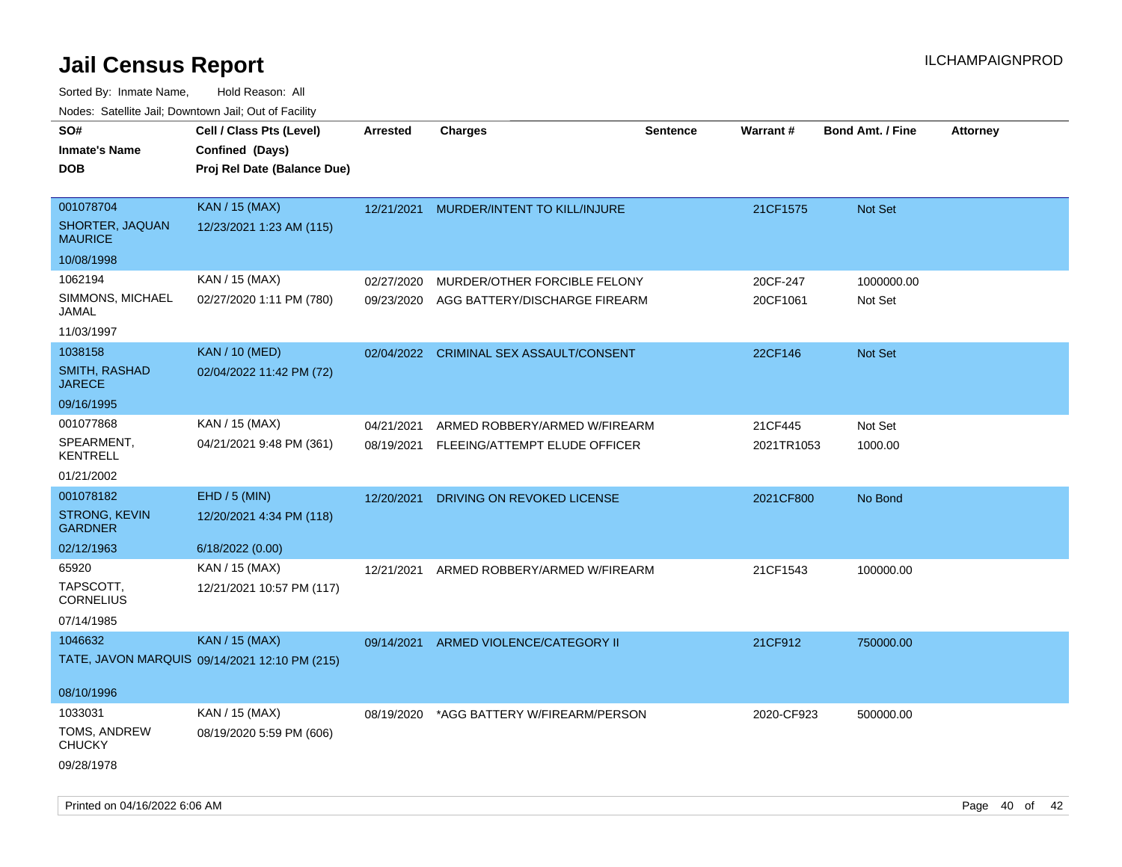| rougs. Calcing Jan, Downtown Jan, Out of Facility |                                               |                 |                                         |                 |            |                         |                 |
|---------------------------------------------------|-----------------------------------------------|-----------------|-----------------------------------------|-----------------|------------|-------------------------|-----------------|
| SO#                                               | Cell / Class Pts (Level)                      | <b>Arrested</b> | <b>Charges</b>                          | <b>Sentence</b> | Warrant#   | <b>Bond Amt. / Fine</b> | <b>Attorney</b> |
| <b>Inmate's Name</b>                              | Confined (Days)                               |                 |                                         |                 |            |                         |                 |
| <b>DOB</b>                                        | Proj Rel Date (Balance Due)                   |                 |                                         |                 |            |                         |                 |
|                                                   |                                               |                 |                                         |                 |            |                         |                 |
| 001078704                                         | <b>KAN / 15 (MAX)</b>                         |                 | 12/21/2021 MURDER/INTENT TO KILL/INJURE |                 | 21CF1575   | <b>Not Set</b>          |                 |
| SHORTER, JAQUAN<br><b>MAURICE</b>                 | 12/23/2021 1:23 AM (115)                      |                 |                                         |                 |            |                         |                 |
| 10/08/1998                                        |                                               |                 |                                         |                 |            |                         |                 |
| 1062194                                           | KAN / 15 (MAX)                                | 02/27/2020      | MURDER/OTHER FORCIBLE FELONY            |                 | 20CF-247   | 1000000.00              |                 |
| SIMMONS, MICHAEL<br>JAMAL                         | 02/27/2020 1:11 PM (780)                      | 09/23/2020      | AGG BATTERY/DISCHARGE FIREARM           |                 | 20CF1061   | Not Set                 |                 |
| 11/03/1997                                        |                                               |                 |                                         |                 |            |                         |                 |
| 1038158                                           | <b>KAN / 10 (MED)</b>                         |                 | 02/04/2022 CRIMINAL SEX ASSAULT/CONSENT |                 | 22CF146    | Not Set                 |                 |
| SMITH, RASHAD<br><b>JARECE</b>                    | 02/04/2022 11:42 PM (72)                      |                 |                                         |                 |            |                         |                 |
| 09/16/1995                                        |                                               |                 |                                         |                 |            |                         |                 |
| 001077868                                         | KAN / 15 (MAX)                                | 04/21/2021      | ARMED ROBBERY/ARMED W/FIREARM           |                 | 21CF445    | Not Set                 |                 |
| SPEARMENT,<br><b>KENTRELL</b>                     | 04/21/2021 9:48 PM (361)                      | 08/19/2021      | FLEEING/ATTEMPT ELUDE OFFICER           |                 | 2021TR1053 | 1000.00                 |                 |
| 01/21/2002                                        |                                               |                 |                                         |                 |            |                         |                 |
| 001078182                                         | EHD / 5 (MIN)                                 | 12/20/2021      | DRIVING ON REVOKED LICENSE              |                 | 2021CF800  | No Bond                 |                 |
| <b>STRONG, KEVIN</b><br><b>GARDNER</b>            | 12/20/2021 4:34 PM (118)                      |                 |                                         |                 |            |                         |                 |
| 02/12/1963                                        | 6/18/2022 (0.00)                              |                 |                                         |                 |            |                         |                 |
| 65920                                             | KAN / 15 (MAX)                                | 12/21/2021      | ARMED ROBBERY/ARMED W/FIREARM           |                 | 21CF1543   | 100000.00               |                 |
| TAPSCOTT,<br><b>CORNELIUS</b>                     | 12/21/2021 10:57 PM (117)                     |                 |                                         |                 |            |                         |                 |
| 07/14/1985                                        |                                               |                 |                                         |                 |            |                         |                 |
| 1046632                                           | <b>KAN / 15 (MAX)</b>                         | 09/14/2021      | ARMED VIOLENCE/CATEGORY II              |                 | 21CF912    | 750000.00               |                 |
|                                                   | TATE, JAVON MARQUIS 09/14/2021 12:10 PM (215) |                 |                                         |                 |            |                         |                 |
| 08/10/1996                                        |                                               |                 |                                         |                 |            |                         |                 |
| 1033031                                           | KAN / 15 (MAX)                                | 08/19/2020      | *AGG BATTERY W/FIREARM/PERSON           |                 | 2020-CF923 | 500000.00               |                 |
| TOMS, ANDREW<br><b>CHUCKY</b>                     | 08/19/2020 5:59 PM (606)                      |                 |                                         |                 |            |                         |                 |
| 09/28/1978                                        |                                               |                 |                                         |                 |            |                         |                 |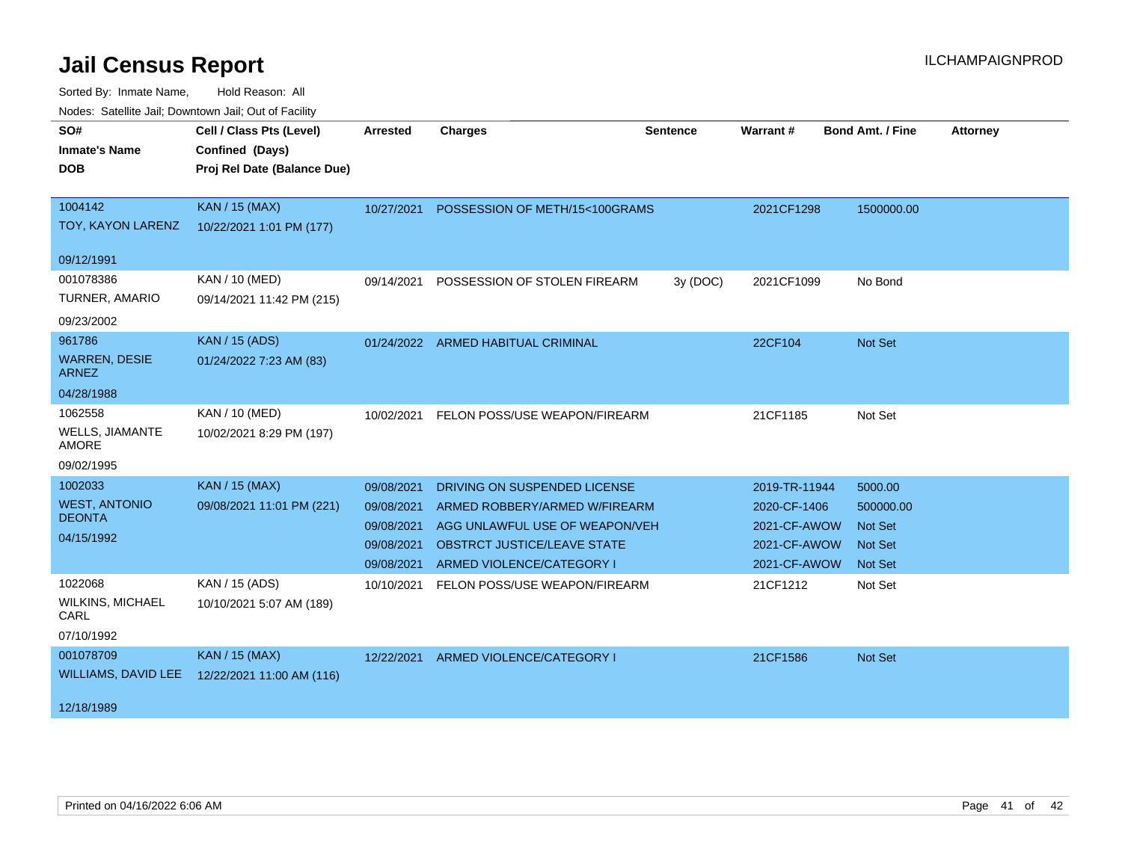| roaco. Calcinio can, Downlown can, Out or Fability |                             |            |                                           |                 |               |                  |                 |
|----------------------------------------------------|-----------------------------|------------|-------------------------------------------|-----------------|---------------|------------------|-----------------|
| SO#                                                | Cell / Class Pts (Level)    | Arrested   | <b>Charges</b>                            | <b>Sentence</b> | Warrant#      | Bond Amt. / Fine | <b>Attorney</b> |
| <b>Inmate's Name</b>                               | Confined (Days)             |            |                                           |                 |               |                  |                 |
| <b>DOB</b>                                         | Proj Rel Date (Balance Due) |            |                                           |                 |               |                  |                 |
|                                                    |                             |            |                                           |                 |               |                  |                 |
| 1004142                                            | <b>KAN / 15 (MAX)</b>       |            | 10/27/2021 POSSESSION OF METH/15<100GRAMS |                 | 2021CF1298    | 1500000.00       |                 |
| TOY, KAYON LARENZ                                  | 10/22/2021 1:01 PM (177)    |            |                                           |                 |               |                  |                 |
| 09/12/1991                                         |                             |            |                                           |                 |               |                  |                 |
| 001078386                                          | KAN / 10 (MED)              | 09/14/2021 | POSSESSION OF STOLEN FIREARM              | 3y (DOC)        | 2021CF1099    | No Bond          |                 |
| TURNER, AMARIO                                     | 09/14/2021 11:42 PM (215)   |            |                                           |                 |               |                  |                 |
| 09/23/2002                                         |                             |            |                                           |                 |               |                  |                 |
| 961786                                             | <b>KAN / 15 (ADS)</b>       |            | 01/24/2022 ARMED HABITUAL CRIMINAL        |                 | 22CF104       | Not Set          |                 |
| <b>WARREN, DESIE</b><br><b>ARNEZ</b>               | 01/24/2022 7:23 AM (83)     |            |                                           |                 |               |                  |                 |
| 04/28/1988                                         |                             |            |                                           |                 |               |                  |                 |
| 1062558                                            | KAN / 10 (MED)              |            | 10/02/2021 FELON POSS/USE WEAPON/FIREARM  |                 | 21CF1185      | Not Set          |                 |
| WELLS, JIAMANTE<br>AMORE                           | 10/02/2021 8:29 PM (197)    |            |                                           |                 |               |                  |                 |
| 09/02/1995                                         |                             |            |                                           |                 |               |                  |                 |
| 1002033                                            | <b>KAN / 15 (MAX)</b>       | 09/08/2021 | DRIVING ON SUSPENDED LICENSE              |                 | 2019-TR-11944 | 5000.00          |                 |
| <b>WEST, ANTONIO</b>                               | 09/08/2021 11:01 PM (221)   | 09/08/2021 | ARMED ROBBERY/ARMED W/FIREARM             |                 | 2020-CF-1406  | 500000.00        |                 |
| <b>DEONTA</b>                                      |                             | 09/08/2021 | AGG UNLAWFUL USE OF WEAPON/VEH            |                 | 2021-CF-AWOW  | <b>Not Set</b>   |                 |
| 04/15/1992                                         |                             | 09/08/2021 | <b>OBSTRCT JUSTICE/LEAVE STATE</b>        |                 | 2021-CF-AWOW  | <b>Not Set</b>   |                 |
|                                                    |                             | 09/08/2021 | ARMED VIOLENCE/CATEGORY I                 |                 | 2021-CF-AWOW  | <b>Not Set</b>   |                 |
| 1022068                                            | KAN / 15 (ADS)              | 10/10/2021 | FELON POSS/USE WEAPON/FIREARM             |                 | 21CF1212      | Not Set          |                 |
| <b>WILKINS, MICHAEL</b><br>CARL                    | 10/10/2021 5:07 AM (189)    |            |                                           |                 |               |                  |                 |
| 07/10/1992                                         |                             |            |                                           |                 |               |                  |                 |
| 001078709                                          | KAN / 15 (MAX)              |            | 12/22/2021 ARMED VIOLENCE/CATEGORY I      |                 | 21CF1586      | Not Set          |                 |
| WILLIAMS, DAVID LEE                                | 12/22/2021 11:00 AM (116)   |            |                                           |                 |               |                  |                 |
| 12/18/1989                                         |                             |            |                                           |                 |               |                  |                 |